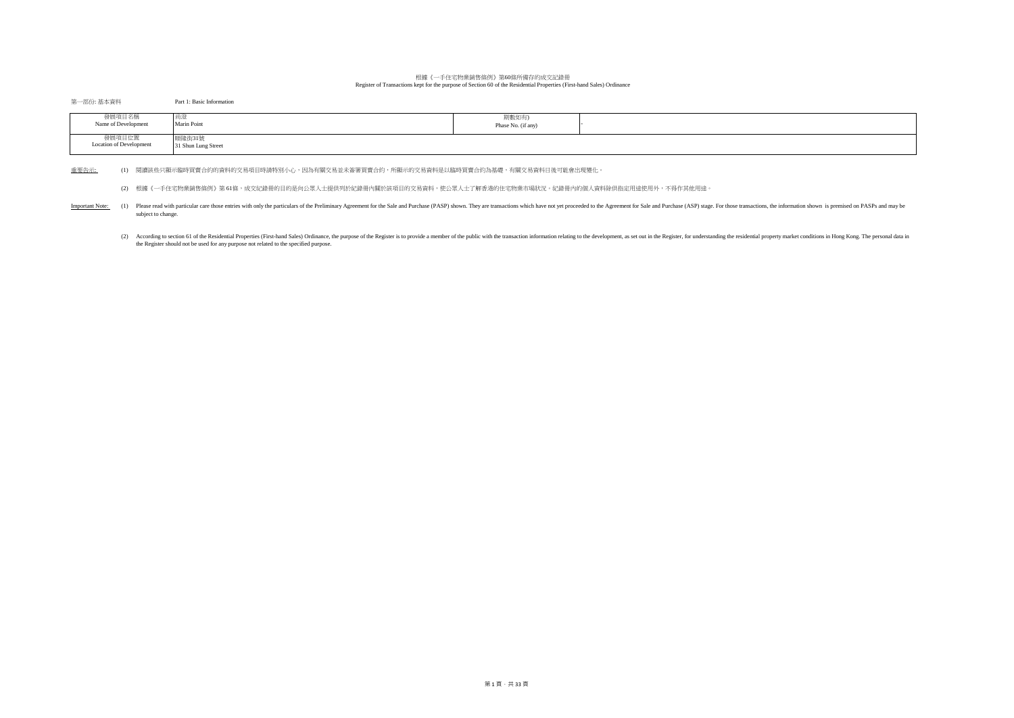## 根據《一手住宅物業銷售條例》第60條所備存的成交記錄冊 Register of Transactions kept for the purpose of Section 60 of the Residential Properties (First-hand Sales) Ordinance

## 第一部份: 基本資料 Part 1: Basic Information

| 發展項目名稱<br>Name of Development     | 20 J.M.<br>Marin Point       | 期數如有)<br>Phase No. (if any) |  |
|-----------------------------------|------------------------------|-----------------------------|--|
| 發展項目位置<br>Location of Development | 隆街31號<br>31 Shun Lung Street |                             |  |

重要告示: (1) 閱讀該些只顯示臨時買賣合約的資料的交易項目時請特別小心,因為有關交易並未簽署買賣合約,所顯示的交易資料是以臨時買賣合約為基礎,有關交易資料日後可能會出現變化。

(2) 根據《一手住宅物業銷售條例》第 61條,成交紀錄冊的目的是向公眾人士提供列於紀錄冊內關於該項目的交易資料,使公眾人士了解香港的住宅物業市場狀況。紀錄冊內的個人資料除供指定用途使用外,不得作其他用途。

Important Note: (1) Please read with particular care those entries with only the particulars of the Preliminary Agreement for the Sale and Purchase (PASP) shown. They are transactions which have not yet proceeded to the Ag subject to change.

(2) According to section 61 of the Residential Properties (First-hand Sales) Ordinance, the purpose of the Register is to provide a member of the public with the transaction information relating to the development, as set the Register should not be used for any purpose not related to the specified purpose.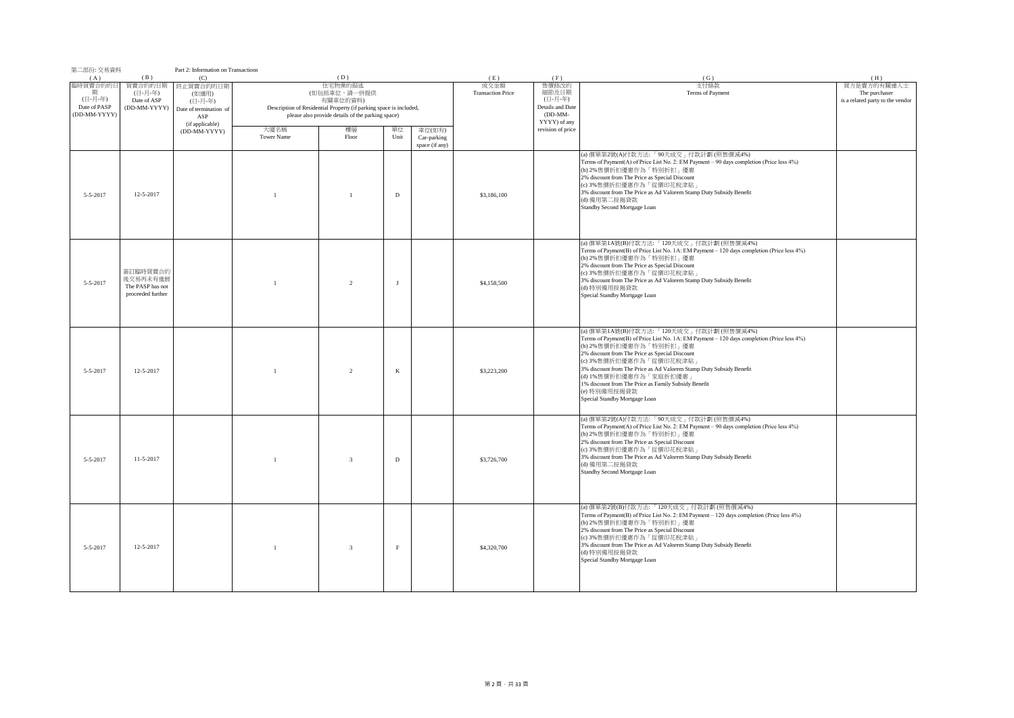| 第二部份: 交易資料                                                 |                                                               | Part 2: Information on Transactions                                                      |                    |                                                                                                                                                                       |              |                                         |                                         |                                                                                   |                                                                                                                                                                                                                                                                                                                                                                                                                                                       |                                                                         |
|------------------------------------------------------------|---------------------------------------------------------------|------------------------------------------------------------------------------------------|--------------------|-----------------------------------------------------------------------------------------------------------------------------------------------------------------------|--------------|-----------------------------------------|-----------------------------------------|-----------------------------------------------------------------------------------|-------------------------------------------------------------------------------------------------------------------------------------------------------------------------------------------------------------------------------------------------------------------------------------------------------------------------------------------------------------------------------------------------------------------------------------------------------|-------------------------------------------------------------------------|
| (A)<br>臨時買賣合約的日<br>(日-月-年)<br>Date of PASP<br>(DD-MM-YYYY) | (B)<br>買賣合約的日期<br>(日-月-年)<br>Date of ASP<br>(DD-MM-YYYY)      | (C)<br>终止買賣合約的日期<br>(如適用)<br>(日-月-年)<br>Date of termination of<br>ASP<br>(if applicable) |                    | (D)<br>住宅物業的描述<br>(如包括車位,請一併提供<br>有關車位的資料)<br>Description of Residential Property (if parking space is included,<br>please also provide details of the parking space) |              |                                         | (E)<br>成交金額<br><b>Transaction Price</b> | (F)<br>售價修改的<br>細節及日期<br>(日-月-年)<br>Details and Date<br>$(DD-MM-$<br>YYYY) of any | (G)<br>支付條款<br>Terms of Payment                                                                                                                                                                                                                                                                                                                                                                                                                       | (H)<br>買方是賣方的有關連人士<br>The purchaser<br>is a related party to the vendor |
|                                                            |                                                               | (DD-MM-YYYY)                                                                             | 大廈名稱<br>Tower Name | 樓層<br>Floor                                                                                                                                                           | 單位<br>Unit   | 車位(如有)<br>Car-parking<br>space (if any) |                                         | revision of price                                                                 |                                                                                                                                                                                                                                                                                                                                                                                                                                                       |                                                                         |
| $5 - 5 - 2017$                                             | 12-5-2017                                                     |                                                                                          | $\overline{1}$     | $\overline{1}$                                                                                                                                                        | D            |                                         | \$3,186,100                             |                                                                                   | (a) 價單第2號(A)付款方法:「90天成交」付款計劃 (照售價減4%)<br>Terms of Payment(A) of Price List No. 2: EM Payment - 90 days completion (Price less 4%)<br>(b) 2%售價折扣優惠作為「特別折扣」優惠<br>2% discount from The Price as Special Discount<br>(c) 3%售價折扣優惠作為「從價印花稅津貼」<br>3% discount from The Price as Ad Valorem Stamp Duty Subsidy Benefit<br>(d) 備用第二按揭貸款<br>Standby Second Mortgage Loan                                                                                       |                                                                         |
| $5 - 5 - 2017$                                             | 簽訂臨時買賣合約<br>後交易再未有進展<br>The PASP has not<br>proceeded further |                                                                                          | $\overline{1}$     | $\overline{2}$                                                                                                                                                        | $\mathbf{J}$ |                                         | \$4,158,500                             |                                                                                   | (a) 價單第1A號(B)付款方法:「120天成交」付款計劃 (照售價減4%)<br>Terms of Payment(B) of Price List No. 1A: EM Payment - 120 days completion (Price less 4%)<br>(b) 2%售價折扣優惠作為「特別折扣」優惠<br>2% discount from The Price as Special Discount<br>(c) 3%售價折扣優惠作為「從價印花稅津貼」<br>3% discount from The Price as Ad Valorem Stamp Duty Subsidy Benefit<br>(d) 特別備用按揭貸款<br>Special Standby Mortgage Loan                                                                                  |                                                                         |
| $5 - 5 - 2017$                                             | 12-5-2017                                                     |                                                                                          | $\overline{1}$     | $\overline{2}$                                                                                                                                                        | $\,$ K       |                                         | \$3,223,200                             |                                                                                   | (a) 價單第1A號(B)付款方法:「120天成交」付款計劃 (照售價減4%)<br>Terms of Payment(B) of Price List No. 1A: EM Payment - 120 days completion (Price less 4%)<br>(b) 2%售價折扣優惠作為「特別折扣」優惠<br>2% discount from The Price as Special Discount<br>(c) 3%售價折扣優惠作為「從價印花稅津貼」<br>3% discount from The Price as Ad Valorem Stamp Duty Subsidy Benefit<br>(d) 1%售價折扣優惠作為「家庭折扣優惠<br>1% discount from The Price as Family Subsidy Benefit<br>(e) 特別備用按揭貸款<br>Special Standby Mortgage Loan |                                                                         |
| $5 - 5 - 2017$                                             | 11-5-2017                                                     |                                                                                          | $\mathbf{1}$       | $\overline{\mathbf{3}}$                                                                                                                                               | $\mathbf D$  |                                         | \$3,726,700                             |                                                                                   | (a) 價單第2號(A)付款方法:「90天成交」付款計劃 (照售價減4%)<br>Terms of Payment(A) of Price List No. 2: EM Payment - 90 days completion (Price less 4%)<br>(b) 2%售價折扣優惠作為「特別折扣」優惠<br>2% discount from The Price as Special Discount<br>(c) 3%售價折扣優惠作為「從價印花稅津貼」<br>3% discount from The Price as Ad Valorem Stamp Duty Subsidy Benefit<br>(d) 備用第二按揭貸款<br>Standby Second Mortgage Loan                                                                                       |                                                                         |
| $5 - 5 - 2017$                                             | 12-5-2017                                                     |                                                                                          | $\overline{1}$     | $\mathbf{3}$                                                                                                                                                          | $\rm F$      |                                         | \$4,320,700                             |                                                                                   | (a) 價單第2號(B)付款方法:「120天成交」付款計劃 (照售價減4%)<br>Terms of Payment(B) of Price List No. 2: EM Payment - 120 days completion (Price less 4%)<br>(b) 2%售價折扣優惠作為「特別折扣」優惠<br>2% discount from The Price as Special Discount<br>(c) 3%售價折扣優惠作為「從價印花稅津貼」<br>3% discount from The Price as Ad Valorem Stamp Duty Subsidy Benefit<br>(d) 特別備用按揭貸款<br>Special Standby Mortgage Loan                                                                                    |                                                                         |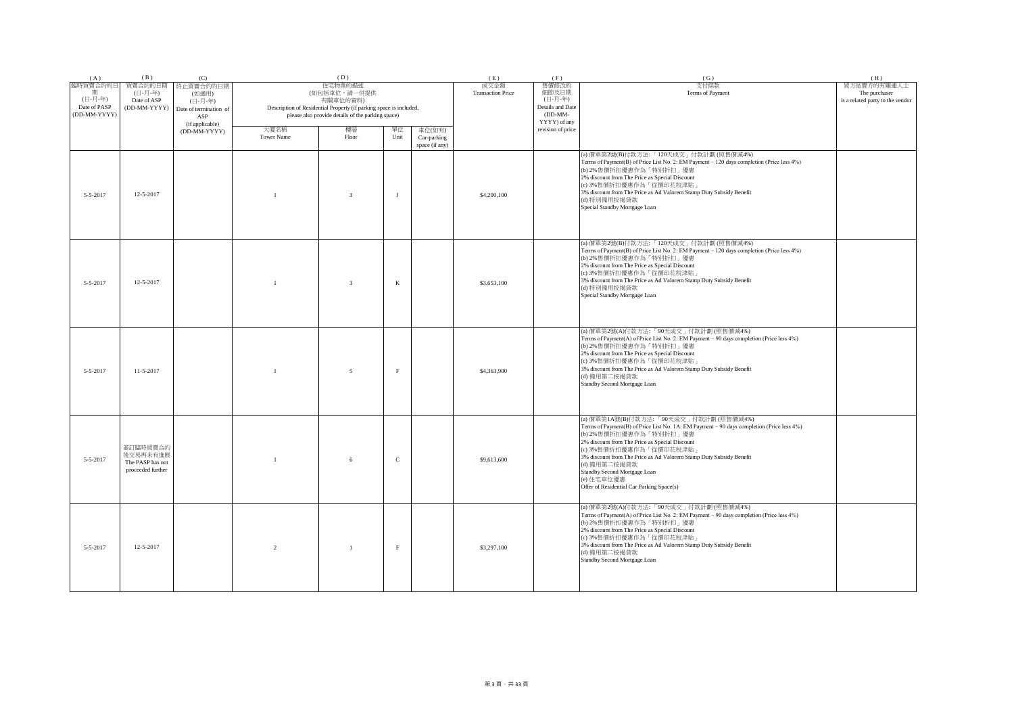| (A)                                                      | (B)                                                           | (C)                                                                               |                           | (D)                                                                                                                                                            |              |                                         | (E)                              | (F)                                                                      | (G)                                                                                                                                                                                                                                                                                                                                                                                                                          | (H)                                                              |
|----------------------------------------------------------|---------------------------------------------------------------|-----------------------------------------------------------------------------------|---------------------------|----------------------------------------------------------------------------------------------------------------------------------------------------------------|--------------|-----------------------------------------|----------------------------------|--------------------------------------------------------------------------|------------------------------------------------------------------------------------------------------------------------------------------------------------------------------------------------------------------------------------------------------------------------------------------------------------------------------------------------------------------------------------------------------------------------------|------------------------------------------------------------------|
| 臨時買賣合約的日<br>期<br>(日-月-年)<br>Date of PASP<br>(DD-MM-YYYY) | 買賣合約的日期<br>(日-月-年)<br>Date of ASP<br>(DD-MM-YYYY)             | 終止買賣合約的日期<br>(如適用)<br>(日-月-年)<br>Date of termination of<br>ASP<br>(if applicable) |                           | 住宅物業的描述<br>(如包括車位,請一併提供<br>有關車位的資料)<br>Description of Residential Property (if parking space is included,<br>please also provide details of the parking space) |              |                                         | 成交金額<br><b>Transaction Price</b> | 售價修改的<br>細節及日期<br>(日-月-年)<br>Details and Date<br>(DD-MM-<br>YYYY) of any | 支付條款<br>Terms of Payment                                                                                                                                                                                                                                                                                                                                                                                                     | 買方是賣方的有關連人士<br>The purchaser<br>is a related party to the vendor |
|                                                          |                                                               | (DD-MM-YYYY)                                                                      | 大廈名稱<br><b>Tower Name</b> | 樓層<br>Floor                                                                                                                                                    | 單位<br>Unit   | 車位(如有)<br>Car-parking<br>space (if any) |                                  | revision of price                                                        |                                                                                                                                                                                                                                                                                                                                                                                                                              |                                                                  |
| 5-5-2017                                                 | 12-5-2017                                                     |                                                                                   | $\overline{1}$            | $\overline{3}$                                                                                                                                                 | $\mathbf{J}$ |                                         | \$4,200,100                      |                                                                          | (a) 價單第2號(B)付款方法:「120天成交」付款計劃 (照售價減4%)<br>Terms of Payment(B) of Price List No. 2: EM Payment - 120 days completion (Price less 4%)<br>(b) 2%售價折扣優惠作為「特別折扣」優惠<br>2% discount from The Price as Special Discount<br>(c) 3%售價折扣優惠作為「從價印花稅津貼」<br>3% discount from The Price as Ad Valorem Stamp Duty Subsidy Benefit<br>(d) 特別備用按揭貸款<br>Special Standby Mortgage Loan                                                           |                                                                  |
| $5 - 5 - 2017$                                           | 12-5-2017                                                     |                                                                                   | $\mathbf{1}$              | -3                                                                                                                                                             | $\rm K$      |                                         | \$3,653,100                      |                                                                          | (a) 價單第2號(B)付款方法:「120天成交」付款計劃 (照售價減4%)<br>Terms of Payment(B) of Price List No. 2: EM Payment - 120 days completion (Price less 4%)<br>(b) 2%售價折扣優惠作為「特別折扣」優惠<br>2% discount from The Price as Special Discount<br>(c) 3%售價折扣優惠作為「從價印花稅津貼」<br>3% discount from The Price as Ad Valorem Stamp Duty Subsidy Benefit<br>(d) 特別備用按揭貸款<br>Special Standby Mortgage Loan                                                           |                                                                  |
| 5-5-2017                                                 | $11-5-2017$                                                   |                                                                                   |                           | 5                                                                                                                                                              | $\rm F$      |                                         | \$4,363,900                      |                                                                          | (a) 價單第2號(A)付款方法: 「90天成交」付款計劃 (照售價減4%)<br>Terms of Payment(A) of Price List No. 2: EM Payment - 90 days completion (Price less 4%)<br>(b) 2%售價折扣優惠作為「特別折扣」優惠<br>2% discount from The Price as Special Discount<br>(c) 3%售價折扣優惠作為「從價印花稅津貼」<br>3% discount from The Price as Ad Valorem Stamp Duty Subsidy Benefit<br>(d) 備用第二按揭貸款<br>Standby Second Mortgage Loan                                                             |                                                                  |
| $5 - 5 - 2017$                                           | 簽訂臨時買賣合約<br>後交易再未有進展<br>The PASP has not<br>proceeded further |                                                                                   |                           | 6                                                                                                                                                              | $\mathbf C$  |                                         | \$9,613,600                      |                                                                          | (a) 價單第1A號(B)付款方法:「90天成交」付款計劃 (照售價減4%)<br>Terms of Payment(B) of Price List No. 1A: EM Payment - 90 days completion (Price less 4%)<br>(b) 2%售價折扣優惠作為「特別折扣」優惠<br>2% discount from The Price as Special Discount<br>(c) 3%售價折扣優惠作為「從價印花稅津貼」<br>3% discount from The Price as Ad Valorem Stamp Duty Subsidy Benefit<br>(d) 備用第二按揭貸款<br>Standby Second Mortgage Loan<br>(e) 住宅車位優惠<br>Offer of Residential Car Parking Space(s) |                                                                  |
| $5 - 5 - 2017$                                           | 12-5-2017                                                     |                                                                                   | $\overline{2}$            | $\overline{1}$                                                                                                                                                 | $\rm F$      |                                         | \$3,297,100                      |                                                                          | (a) 價單第2號(A)付款方法:「90天成交」付款計劃 (照售價減4%)<br>Terms of Payment(A) of Price List No. 2: EM Payment - 90 days completion (Price less 4%)<br>(b) 2%售價折扣優惠作為「特別折扣」優惠<br>2% discount from The Price as Special Discount<br>(c) 3%售價折扣優惠作為「從價印花稅津貼」<br>3% discount from The Price as Ad Valorem Stamp Duty Subsidy Benefit<br>(d) 備用第二按揭貸款<br>Standby Second Mortgage Loan                                                              |                                                                  |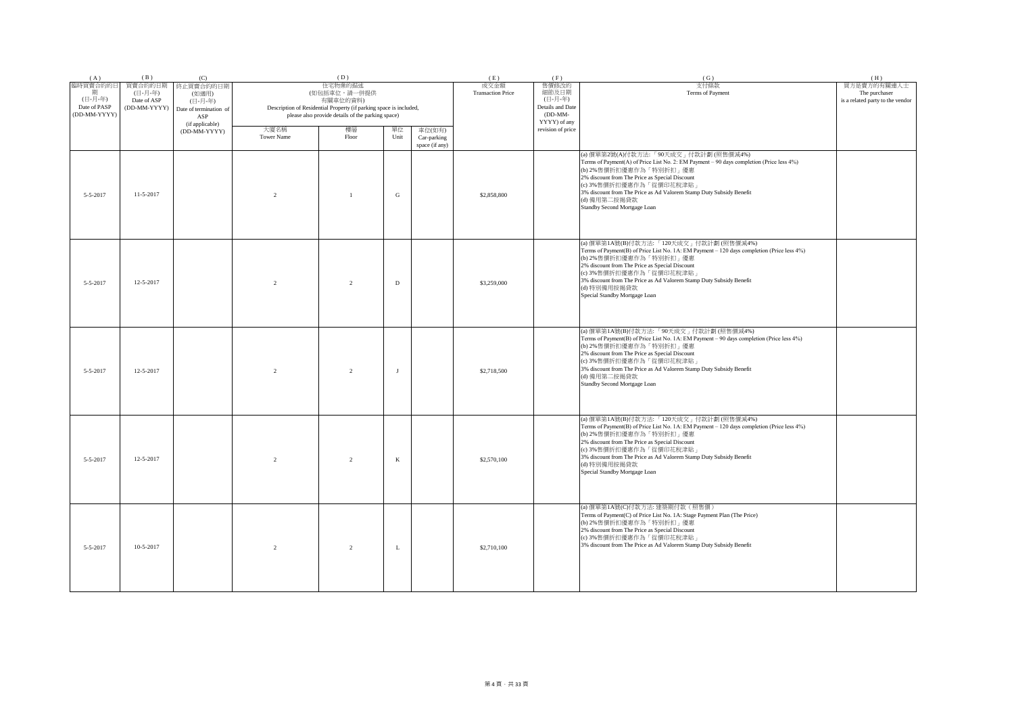| (A)                                                      | (B)                                               | (C)                                                                               |                           | (D)                                                                                                                                                            |             |                                         | (E)                              | (F)                                                                        | (G)                                                                                                                                                                                                                                                                                                                                                                  | (H)                                                              |
|----------------------------------------------------------|---------------------------------------------------|-----------------------------------------------------------------------------------|---------------------------|----------------------------------------------------------------------------------------------------------------------------------------------------------------|-------------|-----------------------------------------|----------------------------------|----------------------------------------------------------------------------|----------------------------------------------------------------------------------------------------------------------------------------------------------------------------------------------------------------------------------------------------------------------------------------------------------------------------------------------------------------------|------------------------------------------------------------------|
| 臨時買賣合約的日<br>期<br>(日-月-年)<br>Date of PASP<br>(DD-MM-YYYY) | 買賣合約的日期<br>(日-月-年)<br>Date of ASP<br>(DD-MM-YYYY) | 終止買賣合約的日期<br>(如適用)<br>(日-月-年)<br>Date of termination of<br>ASP<br>(if applicable) |                           | 住宅物業的描述<br>(如包括車位,請一併提供<br>有關車位的資料)<br>Description of Residential Property (if parking space is included,<br>please also provide details of the parking space) |             |                                         | 成交金額<br><b>Transaction Price</b> | 售價修改的<br>細節及日期<br>(日-月-年)<br>Details and Date<br>$(DD-MM-$<br>YYYY) of any | 支付條款<br>Terms of Payment                                                                                                                                                                                                                                                                                                                                             | 買方是賣方的有關連人士<br>The purchaser<br>is a related party to the vendor |
|                                                          |                                                   | (DD-MM-YYYY)                                                                      | 大廈名稱<br><b>Tower Name</b> | 樓層<br>Floor                                                                                                                                                    | 單位<br>Unit  | 車位(如有)<br>Car-parking<br>space (if any) |                                  | revision of price                                                          |                                                                                                                                                                                                                                                                                                                                                                      |                                                                  |
| 5-5-2017                                                 | $11-5-2017$                                       |                                                                                   | $\overline{2}$            | $\overline{1}$                                                                                                                                                 | ${\bf G}$   |                                         | \$2,858,800                      |                                                                            | (a) 價單第2號(A)付款方法:「90天成交」付款計劃 (照售價減4%)<br>Terms of Payment(A) of Price List No. 2: EM Payment - 90 days completion (Price less 4%)<br>(b) 2%售價折扣優惠作為「特別折扣」優惠<br>2% discount from The Price as Special Discount<br>(c) 3%售價折扣優惠作為「從價印花稅津貼」<br>3% discount from The Price as Ad Valorem Stamp Duty Subsidy Benefit<br>(d) 備用第二按揭貸款<br>Standby Second Mortgage Loan      |                                                                  |
| $5 - 5 - 2017$                                           | 12-5-2017                                         |                                                                                   | $\overline{2}$            | $\mathfrak{D}$                                                                                                                                                 | $\mathbf D$ |                                         | \$3,259,000                      |                                                                            | (a) 價單第1A號(B)付款方法:「120天成交」付款計劃 (照售價減4%)<br>Terms of Payment(B) of Price List No. 1A: EM Payment - 120 days completion (Price less 4%)<br>(b) 2%售價折扣優惠作為「特別折扣」優惠<br>2% discount from The Price as Special Discount<br>(c) 3%售價折扣優惠作為「從價印花稅津貼」<br>3% discount from The Price as Ad Valorem Stamp Duty Subsidy Benefit<br>(d) 特別備用按揭貸款<br>Special Standby Mortgage Loan |                                                                  |
| 5-5-2017                                                 | $12 - 5 - 2017$                                   |                                                                                   | $\overline{2}$            | $\overline{2}$                                                                                                                                                 | $_{\rm J}$  |                                         | \$2,718,500                      |                                                                            | (a) 價單第1A號(B)付款方法:「90天成交」付款計劃 (照售價減4%)<br>Terms of Payment(B) of Price List No. 1A: EM Payment - 90 days completion (Price less 4%)<br>(b) 2%售價折扣優惠作為「特別折扣」優惠<br>2% discount from The Price as Special Discount<br>(c) 3%售價折扣優惠作為「從價印花稅津貼」<br>3% discount from The Price as Ad Valorem Stamp Duty Subsidy Benefit<br>(d) 備用第二按揭貸款<br>Standby Second Mortgage Loan    |                                                                  |
| $5 - 5 - 2017$                                           | 12-5-2017                                         |                                                                                   | $\mathfrak{D}$            | $\mathfrak{D}$                                                                                                                                                 | $\,$ K      |                                         | \$2,570,100                      |                                                                            | (a) 價單第1A號(B)付款方法:「120天成交」付款計劃 (照售價減4%)<br>Terms of Payment(B) of Price List No. 1A: EM Payment - 120 days completion (Price less 4%)<br>(b) 2%售價折扣優惠作為「特別折扣」優惠<br>2% discount from The Price as Special Discount<br>(c) 3%售價折扣優惠作為「從價印花稅津貼」<br>3% discount from The Price as Ad Valorem Stamp Duty Subsidy Benefit<br>(d) 特別備用按揭貸款<br>Special Standby Mortgage Loan |                                                                  |
| $5 - 5 - 2017$                                           | 10-5-2017                                         |                                                                                   | $\overline{2}$            | $\mathfrak{D}$                                                                                                                                                 | L           |                                         | \$2,710,100                      |                                                                            | (a) 價單第1A號(C)付款方法: 建築期付款(照售價)<br>Terms of Payment(C) of Price List No. 1A: Stage Payment Plan (The Price)<br>(b) 2%售價折扣優惠作為「特別折扣」優惠<br>2% discount from The Price as Special Discount<br>(c) 3%售價折扣優惠作為「從價印花稅津貼」<br>3% discount from The Price as Ad Valorem Stamp Duty Subsidy Benefit                                                                              |                                                                  |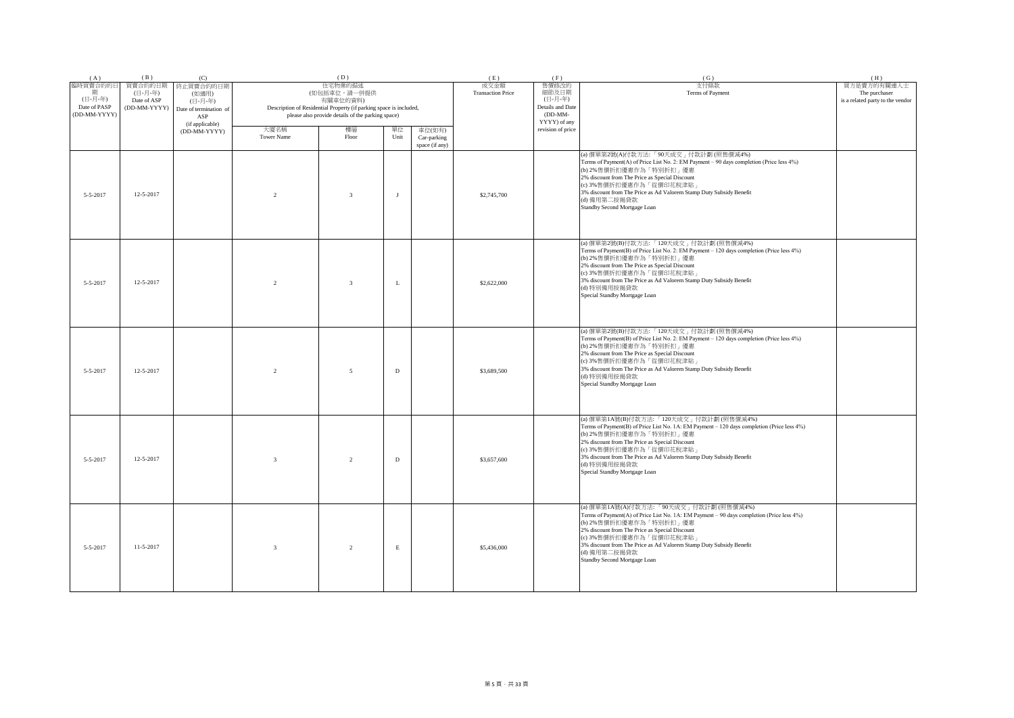| (A)                                                      | (B)                                               | (C)                                                                               |                           | (D)                                                                                                                                                            |             |                                         | (E)                              | (F)                                                                        | (G)                                                                                                                                                                                                                                                                                                                                                                  | (H)                                                              |
|----------------------------------------------------------|---------------------------------------------------|-----------------------------------------------------------------------------------|---------------------------|----------------------------------------------------------------------------------------------------------------------------------------------------------------|-------------|-----------------------------------------|----------------------------------|----------------------------------------------------------------------------|----------------------------------------------------------------------------------------------------------------------------------------------------------------------------------------------------------------------------------------------------------------------------------------------------------------------------------------------------------------------|------------------------------------------------------------------|
| 臨時買賣合約的日<br>期<br>(日-月-年)<br>Date of PASP<br>(DD-MM-YYYY) | 買賣合約的日期<br>(日-月-年)<br>Date of ASP<br>(DD-MM-YYYY) | 终止買賣合約的日期<br>(如適用)<br>(日-月-年)<br>Date of termination of<br>ASP<br>(if applicable) |                           | 住宅物業的描述<br>(如包括車位,請一併提供<br>有關車位的資料)<br>Description of Residential Property (if parking space is included,<br>please also provide details of the parking space) |             |                                         | 成交金額<br><b>Transaction Price</b> | 售價修改的<br>細節及日期<br>(日-月-年)<br>Details and Date<br>$(DD-MM-$<br>YYYY) of any | 支付條款<br>Terms of Payment                                                                                                                                                                                                                                                                                                                                             | 買方是賣方的有關連人士<br>The purchaser<br>is a related party to the vendor |
|                                                          |                                                   | (DD-MM-YYYY)                                                                      | 大廈名稱<br><b>Tower Name</b> | 樓層<br>Floor                                                                                                                                                    | 單位<br>Unit  | 車位(如有)<br>Car-parking<br>space (if any) |                                  | revision of price                                                          |                                                                                                                                                                                                                                                                                                                                                                      |                                                                  |
| $5 - 5 - 2017$                                           | 12-5-2017                                         |                                                                                   | $\overline{2}$            | $\overline{3}$                                                                                                                                                 | J           |                                         | \$2,745,700                      |                                                                            | (a) 價單第2號(A)付款方法:「90天成交」付款計劃 (照售價減4%)<br>Terms of Payment(A) of Price List No. 2: EM Payment - 90 days completion (Price less 4%)<br>(b) 2%售價折扣優惠作為「特別折扣」優惠<br>2% discount from The Price as Special Discount<br>(c) 3%售價折扣優惠作為「從價印花稅津貼」<br>3% discount from The Price as Ad Valorem Stamp Duty Subsidy Benefit<br>(d) 備用第二按揭貸款<br>Standby Second Mortgage Loan      |                                                                  |
| $5 - 5 - 2017$                                           | 12-5-2017                                         |                                                                                   | 2                         | $\overline{3}$                                                                                                                                                 | L           |                                         | \$2,622,000                      |                                                                            | (a) 價單第2號(B)付款方法:「120天成交」付款計劃(照售價減4%)<br>Terms of Payment(B) of Price List No. 2: EM Payment - 120 days completion (Price less 4%)<br>(b) 2%售價折扣優惠作為「特別折扣」優惠<br>2% discount from The Price as Special Discount<br>(c) 3%售價折扣優惠作為「從價印花稅津貼」<br>3% discount from The Price as Ad Valorem Stamp Duty Subsidy Benefit<br>(d) 特別備用按揭貸款<br>Special Standby Mortgage Loan    |                                                                  |
| 5-5-2017                                                 | 12-5-2017                                         |                                                                                   | $\overline{2}$            | 5                                                                                                                                                              | $\mathbf D$ |                                         | \$3,689,500                      |                                                                            | (a) 價單第2號(B)付款方法:「120天成交」付款計劃 (照售價減4%)<br>Terms of Payment(B) of Price List No. 2: EM Payment - 120 days completion (Price less 4%)<br>(b) 2%售價折扣優惠作為「特別折扣」優惠<br>2% discount from The Price as Special Discount<br>(c) 3%售價折扣優惠作為「從價印花稅津貼」<br>3% discount from The Price as Ad Valorem Stamp Duty Subsidy Benefit<br>(d) 特別備用按揭貸款<br>Special Standby Mortgage Loan   |                                                                  |
| $5 - 5 - 2017$                                           | 12-5-2017                                         |                                                                                   | $\overline{3}$            | $\overline{2}$                                                                                                                                                 | D           |                                         | \$3,657,600                      |                                                                            | (a) 價單第1A號(B)付款方法:「120天成交」付款計劃 (照售價減4%)<br>Terms of Payment(B) of Price List No. 1A: EM Payment - 120 days completion (Price less 4%)<br>(b) 2%售價折扣優惠作為「特別折扣」優惠<br>2% discount from The Price as Special Discount<br>(c) 3%售價折扣優惠作為「從價印花稅津貼」<br>3% discount from The Price as Ad Valorem Stamp Duty Subsidy Benefit<br>(d) 特別備用按揭貸款<br>Special Standby Mortgage Loan |                                                                  |
| $5 - 5 - 2017$                                           | $11 - 5 - 2017$                                   |                                                                                   | $\overline{3}$            | 2                                                                                                                                                              | $\mathbf E$ |                                         | \$5,436,000                      |                                                                            | (a) 價單第1A號(A)付款方法:「90天成交」付款計劃(照售價減4%)<br>Terms of Payment(A) of Price List No. 1A: EM Payment - 90 days completion (Price less 4%)<br>(b) 2%售價折扣優惠作為「特別折扣」優惠<br>2% discount from The Price as Special Discount<br>(c) 3%售價折扣優惠作為「從價印花稅津貼」<br>3% discount from The Price as Ad Valorem Stamp Duty Subsidy Benefit<br>(d) 備用第二按揭貸款<br>Standby Second Mortgage Loan     |                                                                  |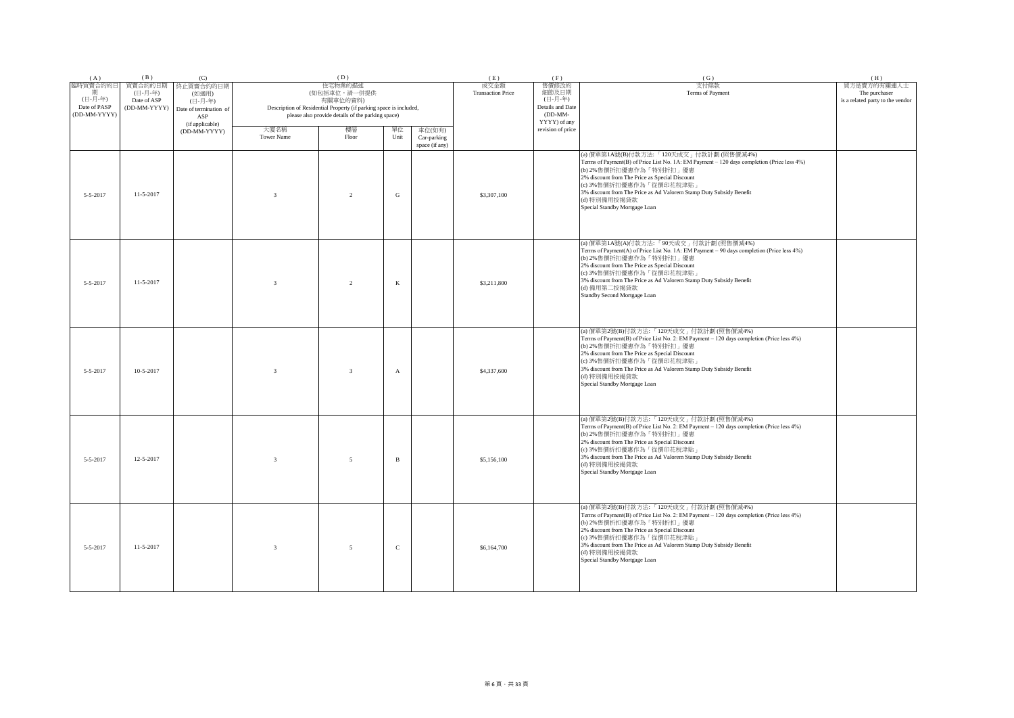| (A)                                                      | (B)                                               | (C)                                                                               |                           | (D)                                                                                                                                                            |              |                                         | (E)                              | (F)                                                                        | (G)                                                                                                                                                                                                                                                                                                                                                                  | (H)                                                              |
|----------------------------------------------------------|---------------------------------------------------|-----------------------------------------------------------------------------------|---------------------------|----------------------------------------------------------------------------------------------------------------------------------------------------------------|--------------|-----------------------------------------|----------------------------------|----------------------------------------------------------------------------|----------------------------------------------------------------------------------------------------------------------------------------------------------------------------------------------------------------------------------------------------------------------------------------------------------------------------------------------------------------------|------------------------------------------------------------------|
| 臨時買賣合約的日<br>期<br>(日-月-年)<br>Date of PASP<br>(DD-MM-YYYY) | 買賣合約的日期<br>(日-月-年)<br>Date of ASP<br>(DD-MM-YYYY) | 終止買賣合約的日期<br>(如適用)<br>(日-月-年)<br>Date of termination of<br>ASP<br>(if applicable) |                           | 住宅物業的描述<br>(如包括車位,請一併提供<br>有關車位的資料)<br>Description of Residential Property (if parking space is included,<br>please also provide details of the parking space) |              |                                         | 成交金額<br><b>Transaction Price</b> | 售價修改的<br>細節及日期<br>(日-月-年)<br>Details and Date<br>$(DD-MM-$<br>YYYY) of any | 支付條款<br>Terms of Payment                                                                                                                                                                                                                                                                                                                                             | 買方是賣方的有關連人士<br>The purchaser<br>is a related party to the vendor |
|                                                          |                                                   | (DD-MM-YYYY)                                                                      | 大廈名稱<br><b>Tower Name</b> | 樓層<br>Floor                                                                                                                                                    | 單位<br>Unit   | 車位(如有)<br>Car-parking<br>space (if any) |                                  | revision of price                                                          |                                                                                                                                                                                                                                                                                                                                                                      |                                                                  |
| 5-5-2017                                                 | $11-5-2017$                                       |                                                                                   | $\overline{3}$            | $\overline{2}$                                                                                                                                                 | ${\bf G}$    |                                         | \$3,307,100                      |                                                                            | (a) 價單第1A號(B)付款方法:「120天成交」付款計劃 (照售價減4%)<br>Terms of Payment(B) of Price List No. 1A: EM Payment - 120 days completion (Price less 4%)<br>(b) 2%售價折扣優惠作為「特別折扣」優惠<br>2% discount from The Price as Special Discount<br>(c) 3%售價折扣優惠作為「從價印花稅津貼」<br>3% discount from The Price as Ad Valorem Stamp Duty Subsidy Benefit<br>(d) 特別備用按揭貸款<br>Special Standby Mortgage Loan |                                                                  |
| $5 - 5 - 2017$                                           | 11-5-2017                                         |                                                                                   | $\overline{3}$            | 2                                                                                                                                                              | $\bf K$      |                                         | \$3,211,800                      |                                                                            | (a) 價單第1A號(A)付款方法:「90天成交」付款計劃 (照售價減4%)<br>Terms of Payment(A) of Price List No. 1A: EM Payment - 90 days completion (Price less 4%)<br>(b) 2%售價折扣優惠作為「特別折扣」優惠<br>2% discount from The Price as Special Discount<br>(c) 3%售價折扣優惠作為「從價印花稅津貼」<br>3% discount from The Price as Ad Valorem Stamp Duty Subsidy Benefit<br>(d) 備用第二按揭貸款<br>Standby Second Mortgage Loan    |                                                                  |
| 5-5-2017                                                 | $10 - 5 - 2017$                                   |                                                                                   | $\overline{\mathbf{3}}$   | $\overline{3}$                                                                                                                                                 | $\mathbf{A}$ |                                         | \$4,337,600                      |                                                                            | (a) 價單第2號(B)付款方法:「120天成交」付款計劃 (照售價減4%)<br>Terms of Payment(B) of Price List No. 2: EM Payment - 120 days completion (Price less 4%)<br>(b) 2%售價折扣優惠作為「特別折扣」優惠<br>2% discount from The Price as Special Discount<br>(c) 3%售價折扣優惠作為「從價印花稅津貼」<br>3% discount from The Price as Ad Valorem Stamp Duty Subsidy Benefit<br>(d) 特別備用按揭貸款<br>Special Standby Mortgage Loan   |                                                                  |
| $5 - 5 - 2017$                                           | 12-5-2017                                         |                                                                                   | $\overline{3}$            | 5                                                                                                                                                              | $\, {\bf B}$ |                                         | \$5,156,100                      |                                                                            | (a) 價單第2號(B)付款方法:「120天成交」付款計劃 (照售價減4%)<br>Terms of Payment(B) of Price List No. 2: EM Payment - 120 days completion (Price less 4%)<br>(b) 2%售價折扣優惠作為「特別折扣」優惠<br>2% discount from The Price as Special Discount<br>(c) 3%售價折扣優惠作為「從價印花稅津貼」<br>3% discount from The Price as Ad Valorem Stamp Duty Subsidy Benefit<br>(d) 特別備用按揭貸款<br>Special Standby Mortgage Loan   |                                                                  |
| $5 - 5 - 2017$                                           | $11 - 5 - 2017$                                   |                                                                                   | $\overline{3}$            | 5                                                                                                                                                              | $\mathbf C$  |                                         | \$6,164,700                      |                                                                            | (a) 價單第2號(B)付款方法:「120天成交」付款計劃 (照售價減4%)<br>Terms of Payment(B) of Price List No. 2: EM Payment - 120 days completion (Price less 4%)<br>(b) 2%售價折扣優惠作為「特別折扣」優惠<br>2% discount from The Price as Special Discount<br>(c) 3%售價折扣優惠作為「從價印花稅津貼」<br>3% discount from The Price as Ad Valorem Stamp Duty Subsidy Benefit<br>(d) 特別備用按揭貸款<br>Special Standby Mortgage Loan   |                                                                  |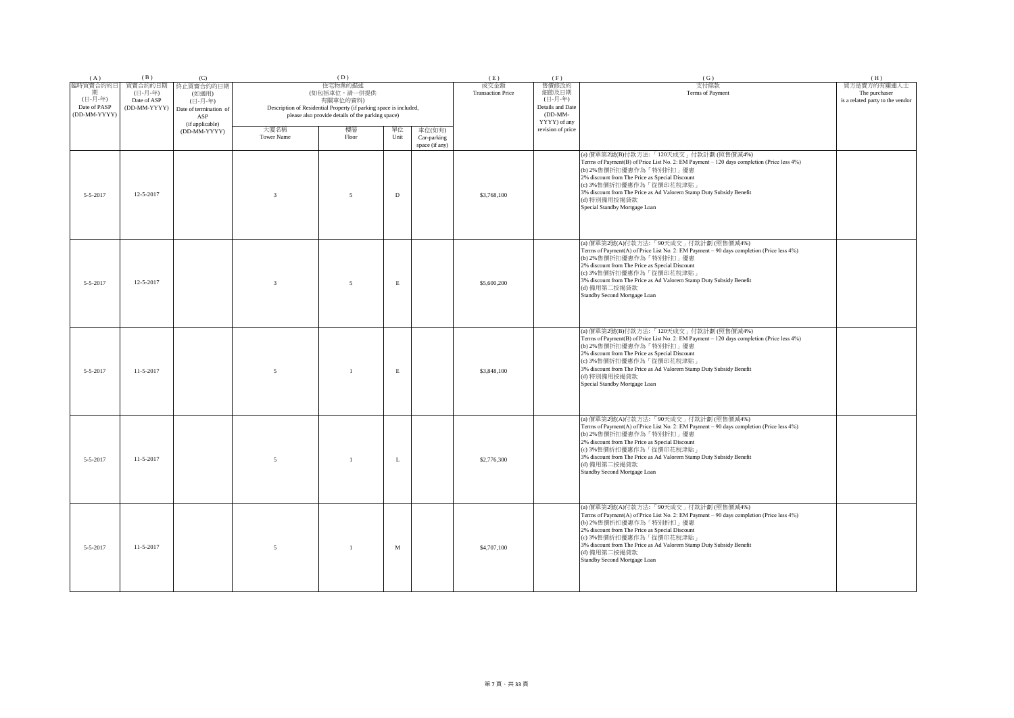| (A)                                                      | (B)                                               | (C)                                                                               |                           | (D)                                                                                                                                                            |             |                                         | (E)                              | (F)                                                                        | (G)                                                                                                                                                                                                                                                                                                                                                                | (H)                                                              |
|----------------------------------------------------------|---------------------------------------------------|-----------------------------------------------------------------------------------|---------------------------|----------------------------------------------------------------------------------------------------------------------------------------------------------------|-------------|-----------------------------------------|----------------------------------|----------------------------------------------------------------------------|--------------------------------------------------------------------------------------------------------------------------------------------------------------------------------------------------------------------------------------------------------------------------------------------------------------------------------------------------------------------|------------------------------------------------------------------|
| 臨時買賣合約的日<br>期<br>(日-月-年)<br>Date of PASP<br>(DD-MM-YYYY) | 買賣合約的日期<br>(日-月-年)<br>Date of ASP<br>(DD-MM-YYYY) | 终止買賣合約的日期<br>(如適用)<br>(日-月-年)<br>Date of termination of<br>ASP<br>(if applicable) |                           | 住宅物業的描述<br>(如包括車位,請一併提供<br>有關車位的資料)<br>Description of Residential Property (if parking space is included,<br>please also provide details of the parking space) |             |                                         | 成交金額<br><b>Transaction Price</b> | 售價修改的<br>細節及日期<br>(日-月-年)<br>Details and Date<br>$(DD-MM-$<br>YYYY) of any | 支付條款<br>Terms of Payment                                                                                                                                                                                                                                                                                                                                           | 買方是賣方的有關連人士<br>The purchaser<br>is a related party to the vendor |
|                                                          |                                                   | (DD-MM-YYYY)                                                                      | 大廈名稱<br><b>Tower Name</b> | 樓層<br>Floor                                                                                                                                                    | 單位<br>Unit  | 車位(如有)<br>Car-parking<br>space (if any) |                                  | revision of price                                                          |                                                                                                                                                                                                                                                                                                                                                                    |                                                                  |
| $5 - 5 - 2017$                                           | 12-5-2017                                         |                                                                                   | $\overline{3}$            | 5                                                                                                                                                              | D           |                                         | \$3,768,100                      |                                                                            | (a) 價單第2號(B)付款方法:「120天成交」付款計劃 (照售價減4%)<br>Terms of Payment(B) of Price List No. 2: EM Payment - 120 days completion (Price less 4%)<br>(b) 2%售價折扣優惠作為「特別折扣」優惠<br>2% discount from The Price as Special Discount<br>(c) 3%售價折扣優惠作為「從價印花稅津貼」<br>3% discount from The Price as Ad Valorem Stamp Duty Subsidy Benefit<br>(d) 特別備用按揭貸款<br>Special Standby Mortgage Loan |                                                                  |
| $5 - 5 - 2017$                                           | 12-5-2017                                         |                                                                                   | $\overline{3}$            | 5                                                                                                                                                              | $\mathbf E$ |                                         | \$5,600,200                      |                                                                            | (a) 價單第2號(A)付款方法:「90天成交」付款計劃 (照售價減4%)<br>Terms of Payment(A) of Price List No. 2: EM Payment - 90 days completion (Price less 4%)<br>(b) 2%售價折扣優惠作為「特別折扣」優惠<br>2% discount from The Price as Special Discount<br>(c) 3%售價折扣優惠作為「從價印花稅津貼」<br>3% discount from The Price as Ad Valorem Stamp Duty Subsidy Benefit<br>(d) 備用第二按揭貸款<br>Standby Second Mortgage Loan    |                                                                  |
| 5-5-2017                                                 | $11-5-2017$                                       |                                                                                   | 5                         | $\overline{1}$                                                                                                                                                 | $\mathbf E$ |                                         | \$3,848,100                      |                                                                            | (a) 價單第2號(B)付款方法:「120天成交」付款計劃 (照售價減4%)<br>Terms of Payment(B) of Price List No. 2: EM Payment - 120 days completion (Price less 4%)<br>(b) 2%售價折扣優惠作為「特別折扣」優惠<br>2% discount from The Price as Special Discount<br>(c) 3%售價折扣優惠作為「從價印花稅津貼」<br>3% discount from The Price as Ad Valorem Stamp Duty Subsidy Benefit<br>(d) 特別備用按揭貸款<br>Special Standby Mortgage Loan |                                                                  |
| $5 - 5 - 2017$                                           | 11-5-2017                                         |                                                                                   | 5                         | $\overline{1}$                                                                                                                                                 | L           |                                         | \$2,776,300                      |                                                                            | (a) 價單第2號(A)付款方法:「90天成交」付款計劃 (照售價減4%)<br>Terms of Payment(A) of Price List No. 2: EM Payment - 90 days completion (Price less 4%)<br>(b) 2%售價折扣優惠作為「特別折扣」優惠<br>2% discount from The Price as Special Discount<br>(c) 3%售價折扣優惠作為「從價印花稅津貼」<br>3% discount from The Price as Ad Valorem Stamp Duty Subsidy Benefit<br>(d) 備用第二按揭貸款<br>Standby Second Mortgage Loan    |                                                                  |
| $5 - 5 - 2017$                                           | $11 - 5 - 2017$                                   |                                                                                   | 5                         | $\overline{1}$                                                                                                                                                 | M           |                                         | \$4,707,100                      |                                                                            | (a) 價單第2號(A)付款方法:「90天成交」付款計劃 (照售價減4%)<br>Terms of Payment(A) of Price List No. 2: EM Payment - 90 days completion (Price less 4%)<br>(b) 2%售價折扣優惠作為「特別折扣」優惠<br>2% discount from The Price as Special Discount<br>(c) 3%售價折扣優惠作為「從價印花稅津貼」<br>3% discount from The Price as Ad Valorem Stamp Duty Subsidy Benefit<br>(d) 備用第二按揭貸款<br>Standby Second Mortgage Loan    |                                                                  |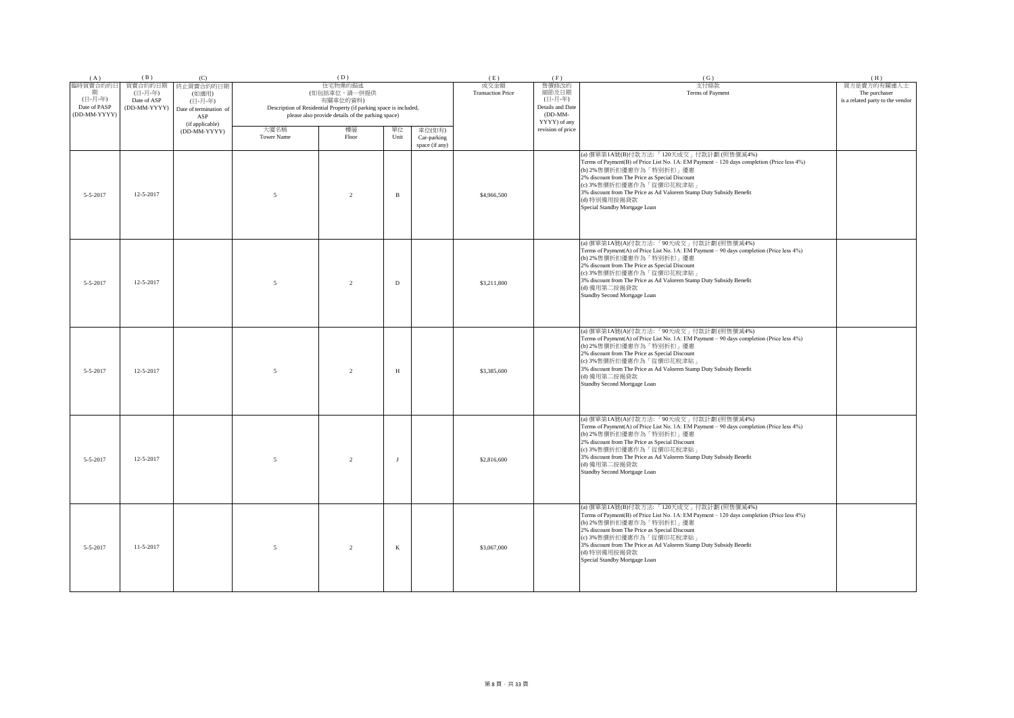| (A)                                                      | (B)                                               | (C)                                                                               |                           | (D)                                                                                                                                                            |              |                                         | (E)                              | (F)                                                                        | (G)                                                                                                                                                                                                                                                                                                                                                                  | (H)                                                              |
|----------------------------------------------------------|---------------------------------------------------|-----------------------------------------------------------------------------------|---------------------------|----------------------------------------------------------------------------------------------------------------------------------------------------------------|--------------|-----------------------------------------|----------------------------------|----------------------------------------------------------------------------|----------------------------------------------------------------------------------------------------------------------------------------------------------------------------------------------------------------------------------------------------------------------------------------------------------------------------------------------------------------------|------------------------------------------------------------------|
| 臨時買賣合約的日<br>期<br>(日-月-年)<br>Date of PASP<br>(DD-MM-YYYY) | 買賣合約的日期<br>(日-月-年)<br>Date of ASP<br>(DD-MM-YYYY) | 终止買賣合約的日期<br>(如適用)<br>(日-月-年)<br>Date of termination of<br>ASP<br>(if applicable) |                           | 住宅物業的描述<br>(如包括車位,請一併提供<br>有關車位的資料)<br>Description of Residential Property (if parking space is included,<br>please also provide details of the parking space) |              |                                         | 成交金額<br><b>Transaction Price</b> | 售價修改的<br>細節及日期<br>(日-月-年)<br>Details and Date<br>$(DD-MM-$<br>YYYY) of any | 支付條款<br>Terms of Payment                                                                                                                                                                                                                                                                                                                                             | 買方是賣方的有關連人士<br>The purchaser<br>is a related party to the vendor |
|                                                          |                                                   | (DD-MM-YYYY)                                                                      | 大廈名稱<br><b>Tower Name</b> | 樓層<br>Floor                                                                                                                                                    | 單位<br>Unit   | 車位(如有)<br>Car-parking<br>space (if any) |                                  | revision of price                                                          |                                                                                                                                                                                                                                                                                                                                                                      |                                                                  |
| $5 - 5 - 2017$                                           | 12-5-2017                                         |                                                                                   | 5                         | $\overline{2}$                                                                                                                                                 | $\, {\bf B}$ |                                         | \$4,966,500                      |                                                                            | (a) 價單第1A號(B)付款方法:「120天成交」付款計劃 (照售價減4%)<br>Terms of Payment(B) of Price List No. 1A: EM Payment - 120 days completion (Price less 4%)<br>(b) 2%售價折扣優惠作為「特別折扣」優惠<br>2% discount from The Price as Special Discount<br>(c) 3%售價折扣優惠作為「從價印花稅津貼」<br>3% discount from The Price as Ad Valorem Stamp Duty Subsidy Benefit<br>(d) 特別備用按揭貸款<br>Special Standby Mortgage Loan |                                                                  |
| $5 - 5 - 2017$                                           | 12-5-2017                                         |                                                                                   | 5                         | $\overline{2}$                                                                                                                                                 | $\mathbf D$  |                                         | \$3,211,800                      |                                                                            | (a) 價單第1A號(A)付款方法:「90天成交」付款計劃 (照售價減4%)<br>Terms of Payment(A) of Price List No. 1A: EM Payment - 90 days completion (Price less 4%)<br>(b) 2%售價折扣優惠作為「特別折扣」優惠<br>2% discount from The Price as Special Discount<br>(c) 3%售價折扣優惠作為「從價印花稅津貼」<br>3% discount from The Price as Ad Valorem Stamp Duty Subsidy Benefit<br>(d) 備用第二按揭貸款<br>Standby Second Mortgage Loan    |                                                                  |
| 5-5-2017                                                 | 12-5-2017                                         |                                                                                   | 5                         | $\overline{2}$                                                                                                                                                 | H            |                                         | \$3,385,600                      |                                                                            | (a) 價單第1A號(A)付款方法:「90天成交」付款計劃(照售價減4%)<br>Terms of Payment(A) of Price List No. 1A: EM Payment - 90 days completion (Price less 4%)<br>(b) 2%售價折扣優惠作為「特別折扣」優惠<br>2% discount from The Price as Special Discount<br>(c) 3%售價折扣優惠作為「從價印花稅津貼」<br>3% discount from The Price as Ad Valorem Stamp Duty Subsidy Benefit<br>(d) 備用第二按揭貸款<br>Standby Second Mortgage Loan     |                                                                  |
| $5 - 5 - 2017$                                           | 12-5-2017                                         |                                                                                   | 5                         | $\overline{2}$                                                                                                                                                 | $\mathbf{J}$ |                                         | \$2,816,600                      |                                                                            | (a) 價單第1A號(A)付款方法:「90天成交」付款計劃 (照售價減4%)<br>Terms of Payment(A) of Price List No. 1A: EM Payment - 90 days completion (Price less 4%)<br>(b) 2%售價折扣優惠作為「特別折扣」優惠<br>2% discount from The Price as Special Discount<br>(c) 3%售價折扣優惠作為「從價印花稅津貼」<br>3% discount from The Price as Ad Valorem Stamp Duty Subsidy Benefit<br>(d) 備用第二按揭貸款<br>Standby Second Mortgage Loan    |                                                                  |
| $5 - 5 - 2017$                                           | $11 - 5 - 2017$                                   |                                                                                   | 5                         | 2                                                                                                                                                              | $\bf K$      |                                         | \$3,067,000                      |                                                                            | (a) 價單第1A號(B)付款方法:「120天成交」付款計劃 (照售價減4%)<br>Terms of Payment(B) of Price List No. 1A: EM Payment - 120 days completion (Price less 4%)<br>(b) 2%售價折扣優惠作為「特別折扣」優惠<br>2% discount from The Price as Special Discount<br>(c) 3%售價折扣優惠作為「從價印花稅津貼」<br>3% discount from The Price as Ad Valorem Stamp Duty Subsidy Benefit<br>(d) 特別備用按揭貸款<br>Special Standby Mortgage Loan |                                                                  |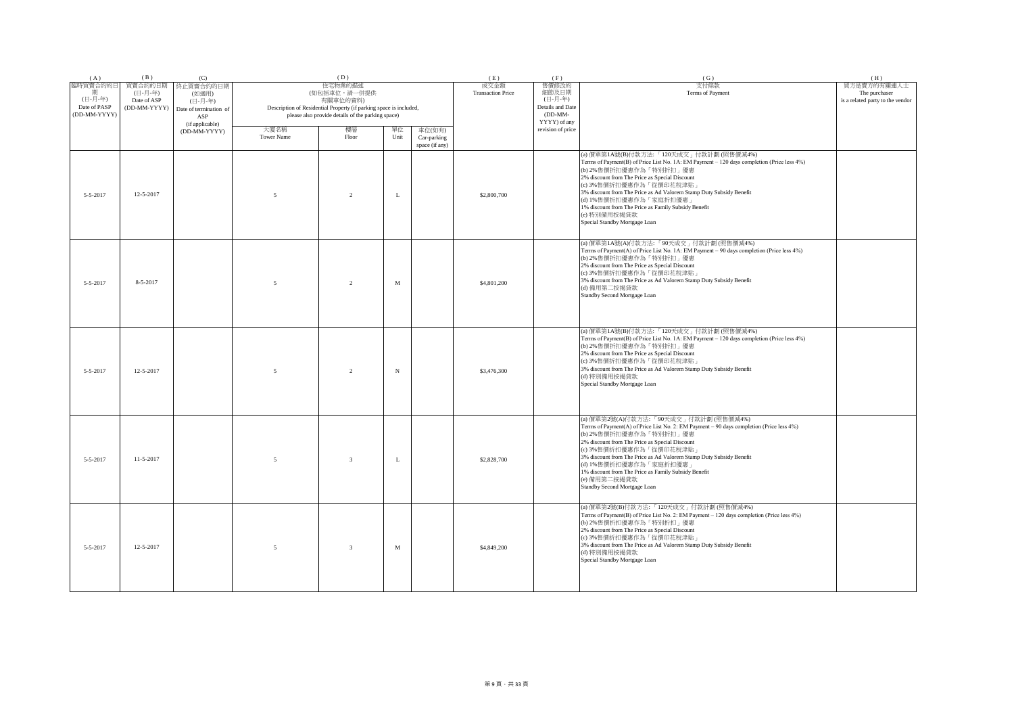| (A)                                                      | (B)                                               | (C)                                                                               |                          | (D)                                                                                                                                                            |             |                                         | (E)                              | (F)                                                                        | (G)                                                                                                                                                                                                                                                                                                                                                                                                                                                  | (H)                                                              |
|----------------------------------------------------------|---------------------------------------------------|-----------------------------------------------------------------------------------|--------------------------|----------------------------------------------------------------------------------------------------------------------------------------------------------------|-------------|-----------------------------------------|----------------------------------|----------------------------------------------------------------------------|------------------------------------------------------------------------------------------------------------------------------------------------------------------------------------------------------------------------------------------------------------------------------------------------------------------------------------------------------------------------------------------------------------------------------------------------------|------------------------------------------------------------------|
| 臨時買賣合約的日<br>期<br>(日-月-年)<br>Date of PASP<br>(DD-MM-YYYY) | 買賣合約的日期<br>(日-月-年)<br>Date of ASP<br>(DD-MM-YYYY) | 終止買賣合約的日期<br>(如適用)<br>(日-月-年)<br>Date of termination of<br>ASP<br>(if applicable) |                          | 住宅物業的描述<br>(如包括車位,請一併提供<br>有關車位的資料)<br>Description of Residential Property (if parking space is included,<br>please also provide details of the parking space) |             |                                         | 成交金額<br><b>Transaction Price</b> | 售價修改的<br>細節及日期<br>(日-月-年)<br>Details and Date<br>$(DD-MM-$<br>YYYY) of any | 支付條款<br>Terms of Payment                                                                                                                                                                                                                                                                                                                                                                                                                             | 買方是賣方的有關連人士<br>The purchaser<br>is a related party to the vendor |
|                                                          |                                                   | (DD-MM-YYYY)                                                                      | 大廈名稱<br>Tower Name       | 樓層<br>Floor                                                                                                                                                    | 單位<br>Unit  | 車位(如有)<br>Car-parking<br>space (if any) |                                  | revision of price                                                          |                                                                                                                                                                                                                                                                                                                                                                                                                                                      |                                                                  |
| 5-5-2017                                                 | 12-5-2017                                         |                                                                                   | $\overline{5}$           | $\overline{2}$                                                                                                                                                 | $\mathbf L$ |                                         | \$2,800,700                      |                                                                            | (a) 價單第1A號(B)付款方法:「120天成交」付款計劃(照售價減4%)<br>Terms of Payment(B) of Price List No. 1A: EM Payment - 120 days completion (Price less 4%)<br>(b) 2%售價折扣優惠作為「特別折扣」優惠<br>2% discount from The Price as Special Discount<br>(c) 3%售價折扣優惠作為「從價印花稅津貼」<br>3% discount from The Price as Ad Valorem Stamp Duty Subsidy Benefit<br>(d) 1%售價折扣優惠作為「家庭折扣優惠<br>1% discount from The Price as Family Subsidy Benefit<br>(e) 特別備用按揭貸款<br>Special Standby Mortgage Loan |                                                                  |
| $5 - 5 - 2017$                                           | 8-5-2017                                          |                                                                                   | $\overline{5}$           | $\mathfrak{D}$                                                                                                                                                 | M           |                                         | \$4,801,200                      |                                                                            | (a) 價單第1A號(A)付款方法:「90天成交」付款計劃 (照售價減4%)<br>Terms of Payment(A) of Price List No. 1A: EM Payment - 90 days completion (Price less 4%)<br>(b) 2%售價折扣優惠作為「特別折扣」優惠<br>2% discount from The Price as Special Discount<br>(c) 3%售價折扣優惠作為「從價印花稅津貼」<br>3% discount from The Price as Ad Valorem Stamp Duty Subsidy Benefit<br>(d) 備用第二按揭貸款<br>Standby Second Mortgage Loan                                                                                    |                                                                  |
| $5 - 5 - 2017$                                           | 12-5-2017                                         |                                                                                   | $\overline{5}$           | $\mathfrak{D}$                                                                                                                                                 | N           |                                         | \$3,476,300                      |                                                                            | (a) 價單第1A號(B)付款方法:「120天成交」付款計劃 (照售價減4%)<br>Terms of Payment(B) of Price List No. 1A: EM Payment - 120 days completion (Price less 4%)<br>(b) 2%售價折扣優惠作為「特別折扣」優惠<br>2% discount from The Price as Special Discount<br>(c) 3%售價折扣優惠作為「從價印花稅津貼」<br>3% discount from The Price as Ad Valorem Stamp Duty Subsidy Benefit<br>(d) 特別備用按揭貸款<br>Special Standby Mortgage Loan                                                                                 |                                                                  |
| $5 - 5 - 2017$                                           | 11-5-2017                                         |                                                                                   | $\overline{5}$           | $\overline{3}$                                                                                                                                                 | L           |                                         | \$2,828,700                      |                                                                            | (a) 價單第2號(A)付款方法:「90天成交」付款計劃 (照售價減4%)<br>Terms of Payment(A) of Price List No. 2: EM Payment - 90 days completion (Price less 4%)<br>(b) 2%售價折扣優惠作為「特別折扣」優惠<br>2% discount from The Price as Special Discount<br>(c) 3%售價折扣優惠作為「從價印花稅津貼」<br>3% discount from The Price as Ad Valorem Stamp Duty Subsidy Benefit<br>(d) 1%售價折扣優惠作為「家庭折扣優惠<br>1% discount from The Price as Family Subsidy Benefit<br>(e) 備用第二按揭貸款<br>Standby Second Mortgage Loan     |                                                                  |
| 5-5-2017                                                 | 12-5-2017                                         |                                                                                   | $\overline{\phantom{0}}$ | $\overline{3}$                                                                                                                                                 | $_{\rm M}$  |                                         | \$4,849,200                      |                                                                            | (a) 價單第2號(B)付款方法:「120天成交」付款計劃 (照售價減4%)<br>Terms of Payment(B) of Price List No. 2: EM Payment - 120 days completion (Price less 4%)<br>(b) 2%售價折扣優惠作為「特別折扣」優惠<br>2% discount from The Price as Special Discount<br>(c) 3%售價折扣優惠作為「從價印花稅津貼」<br>3% discount from The Price as Ad Valorem Stamp Duty Subsidy Benefit<br>(d) 特別備用按揭貸款<br>Special Standby Mortgage Loan                                                                                   |                                                                  |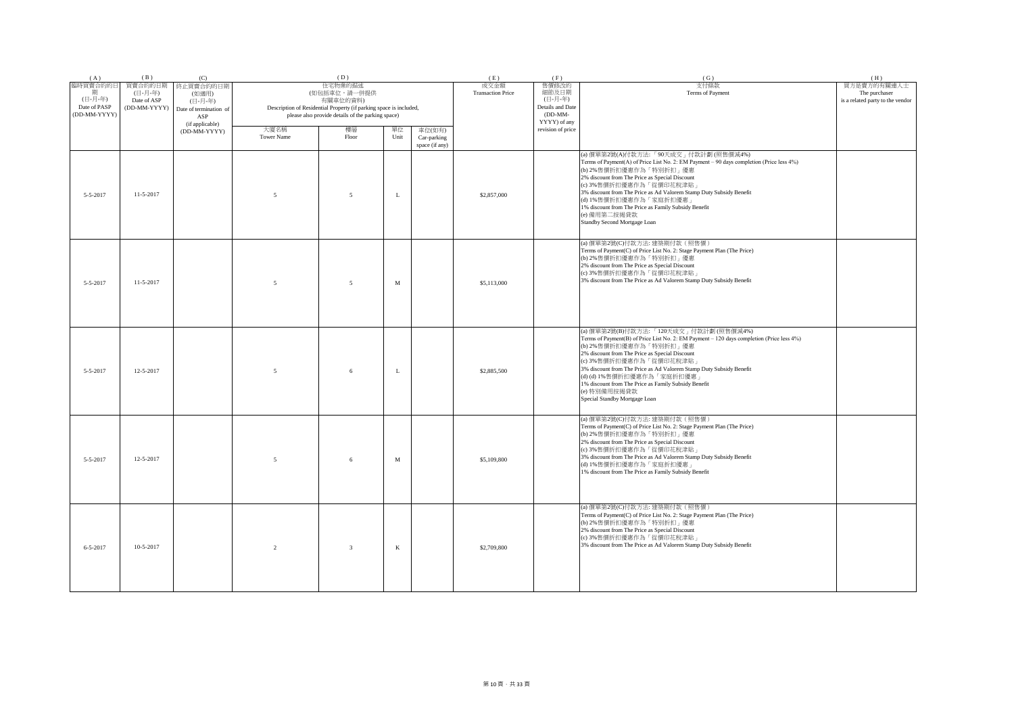| (A)                                                      | (B)                                               | (C)                                                                               |                    | (D)                                                                                                                                                            |             |                                         | (E)                              | (F)                                                                        | (G)                                                                                                                                                                                                                                                                                                                                                                                                                                                      | (H)                                                              |
|----------------------------------------------------------|---------------------------------------------------|-----------------------------------------------------------------------------------|--------------------|----------------------------------------------------------------------------------------------------------------------------------------------------------------|-------------|-----------------------------------------|----------------------------------|----------------------------------------------------------------------------|----------------------------------------------------------------------------------------------------------------------------------------------------------------------------------------------------------------------------------------------------------------------------------------------------------------------------------------------------------------------------------------------------------------------------------------------------------|------------------------------------------------------------------|
| 臨時買賣合約的日<br>期<br>(日-月-年)<br>Date of PASP<br>(DD-MM-YYYY) | 買賣合約的日期<br>(日-月-年)<br>Date of ASP<br>(DD-MM-YYYY) | 終止買賣合約的日期<br>(如適用)<br>(日-月-年)<br>Date of termination of<br>ASP<br>(if applicable) |                    | 住宅物業的描述<br>(如包括車位,請一併提供<br>有關車位的資料)<br>Description of Residential Property (if parking space is included,<br>please also provide details of the parking space) |             |                                         | 成交金額<br><b>Transaction Price</b> | 售價修改的<br>細節及日期<br>(日-月-年)<br>Details and Date<br>$(DD-MM-$<br>YYYY) of any | 支付條款<br>Terms of Payment                                                                                                                                                                                                                                                                                                                                                                                                                                 | 買方是賣方的有關連人士<br>The purchaser<br>is a related party to the vendor |
|                                                          |                                                   | (DD-MM-YYYY)                                                                      | 大廈名稱<br>Tower Name | 樓層<br>Floor                                                                                                                                                    | 單位<br>Unit  | 車位(如有)<br>Car-parking<br>space (if any) |                                  | revision of price                                                          |                                                                                                                                                                                                                                                                                                                                                                                                                                                          |                                                                  |
| 5-5-2017                                                 | $11-5-2017$                                       |                                                                                   | $\overline{5}$     | 5                                                                                                                                                              | $\mathbf L$ |                                         | \$2,857,000                      |                                                                            | (a) 價單第2號(A)付款方法:「90天成交」付款計劃 (照售價減4%)<br>Terms of Payment(A) of Price List No. 2: EM Payment - 90 days completion (Price less 4%)<br>(b) 2%售價折扣優惠作為「特別折扣」優惠<br>2% discount from The Price as Special Discount<br>(c) 3%售價折扣優惠作為「從價印花稅津貼」<br>3% discount from The Price as Ad Valorem Stamp Duty Subsidy Benefit<br>(d) 1%售價折扣優惠作為「家庭折扣優惠」<br>1% discount from The Price as Family Subsidy Benefit<br>(e) 備用第二按揭貸款<br>Standby Second Mortgage Loan        |                                                                  |
| $5 - 5 - 2017$                                           | $11 - 5 - 2017$                                   |                                                                                   | $\overline{5}$     | $\overline{5}$                                                                                                                                                 | M           |                                         | \$5,113,000                      |                                                                            | (a) 價單第2號(C)付款方法: 建築期付款(照售價)<br>Terms of Payment(C) of Price List No. 2: Stage Payment Plan (The Price)<br>(b) 2%售價折扣優惠作為「特別折扣」優惠<br>2% discount from The Price as Special Discount<br>(c) 3%售價折扣優惠作為「從價印花稅津貼」<br>3% discount from The Price as Ad Valorem Stamp Duty Subsidy Benefit                                                                                                                                                                    |                                                                  |
| $5 - 5 - 2017$                                           | 12-5-2017                                         |                                                                                   | $\overline{5}$     | 6                                                                                                                                                              | L           |                                         | \$2,885,500                      |                                                                            | (a) 價單第2號(B)付款方法:「120天成交」付款計劃 (照售價減4%)<br>Terms of Payment(B) of Price List No. 2: EM Payment - 120 days completion (Price less 4%)<br>(b) 2%售價折扣優惠作為「特別折扣」優惠<br>2% discount from The Price as Special Discount<br>(c) 3%售價折扣優惠作為「從價印花稅津貼」<br>3% discount from The Price as Ad Valorem Stamp Duty Subsidy Benefit<br>(d) (d) 1%售價折扣優惠作為「家庭折扣優惠」<br>1% discount from The Price as Family Subsidy Benefit<br>(e) 特別備用按揭貸款<br>Special Standby Mortgage Loan |                                                                  |
| $5 - 5 - 2017$                                           | 12-5-2017                                         |                                                                                   | $\overline{5}$     | 6                                                                                                                                                              | M           |                                         | \$5,109,800                      |                                                                            | (a) 價單第2號(C)付款方法: 建築期付款(照售價)<br>Terms of Payment(C) of Price List No. 2: Stage Payment Plan (The Price)<br>(b) 2%售價折扣優惠作為「特別折扣」優惠<br>2% discount from The Price as Special Discount<br>(c) 3%售價折扣優惠作為「從價印花稅津貼」<br>3% discount from The Price as Ad Valorem Stamp Duty Subsidy Benefit<br>(d) 1%售價折扣優惠作為「家庭折扣優惠<br>1% discount from The Price as Family Subsidy Benefit                                                                                   |                                                                  |
| $6 - 5 - 2017$                                           | 10-5-2017                                         |                                                                                   | $\overline{2}$     | $\overline{3}$                                                                                                                                                 | $\bf K$     |                                         | \$2,709,800                      |                                                                            | (a) 價單第2號(C)付款方法: 建築期付款 (照售價)<br>Terms of Payment(C) of Price List No. 2: Stage Payment Plan (The Price)<br>(b) 2%售價折扣優惠作為「特別折扣」優惠<br>2% discount from The Price as Special Discount<br>(c) 3%售價折扣優惠作為「從價印花稅津貼」<br>3% discount from The Price as Ad Valorem Stamp Duty Subsidy Benefit                                                                                                                                                                   |                                                                  |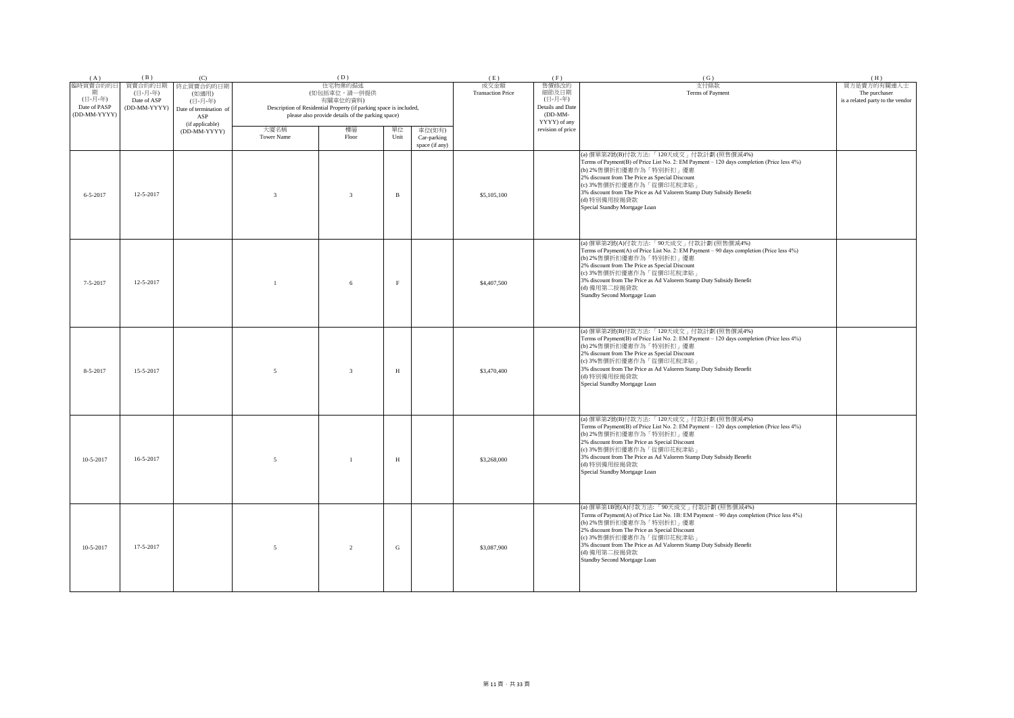| (A)                                                      | (B)                                               | (C)                                                                               |                           | (D)                                                                                                                                                            |              |                                         | (E)                              | (F)                                                                      | (G)                                                                                                                                                                                                                                                                                                                                                                | (H)                                                              |
|----------------------------------------------------------|---------------------------------------------------|-----------------------------------------------------------------------------------|---------------------------|----------------------------------------------------------------------------------------------------------------------------------------------------------------|--------------|-----------------------------------------|----------------------------------|--------------------------------------------------------------------------|--------------------------------------------------------------------------------------------------------------------------------------------------------------------------------------------------------------------------------------------------------------------------------------------------------------------------------------------------------------------|------------------------------------------------------------------|
| 臨時買賣合約的日<br>期<br>(日-月-年)<br>Date of PASP<br>(DD-MM-YYYY) | 買賣合約的日期<br>(日-月-年)<br>Date of ASP<br>(DD-MM-YYYY) | 終止買賣合約的日期<br>(如適用)<br>(日-月-年)<br>Date of termination of<br>ASP<br>(if applicable) |                           | 住宅物業的描述<br>(如包括車位,請一併提供<br>有關車位的資料)<br>Description of Residential Property (if parking space is included,<br>please also provide details of the parking space) |              |                                         | 成交金額<br><b>Transaction Price</b> | 售價修改的<br>細節及日期<br>(日-月-年)<br>Details and Date<br>(DD-MM-<br>YYYY) of any | 支付條款<br>Terms of Payment                                                                                                                                                                                                                                                                                                                                           | 買方是賣方的有關連人士<br>The purchaser<br>is a related party to the vendor |
|                                                          |                                                   | (DD-MM-YYYY)                                                                      | 大廈名稱<br><b>Tower Name</b> | 樓層<br>Floor                                                                                                                                                    | 單位<br>Unit   | 車位(如有)<br>Car-parking<br>space (if any) |                                  | revision of price                                                        |                                                                                                                                                                                                                                                                                                                                                                    |                                                                  |
| $6 - 5 - 2017$                                           | 12-5-2017                                         |                                                                                   | $\overline{3}$            | $\overline{3}$                                                                                                                                                 | $\, {\bf B}$ |                                         | \$5,105,100                      |                                                                          | (a) 價單第2號(B)付款方法:「120天成交」付款計劃 (照售價減4%)<br>Terms of Payment(B) of Price List No. 2: EM Payment - 120 days completion (Price less 4%)<br>(b) 2%售價折扣優惠作為「特別折扣」優惠<br>2% discount from The Price as Special Discount<br>(c) 3%售價折扣優惠作為「從價印花稅津貼」<br>3% discount from The Price as Ad Valorem Stamp Duty Subsidy Benefit<br>(d) 特別備用按揭貸款<br>Special Standby Mortgage Loan |                                                                  |
| $7 - 5 - 2017$                                           | 12-5-2017                                         |                                                                                   |                           | 6                                                                                                                                                              | $\rm F$      |                                         | \$4,407,500                      |                                                                          | (a) 價單第2號(A)付款方法:「90天成交」付款計劃 (照售價減4%)<br>Terms of Payment(A) of Price List No. 2: EM Payment - 90 days completion (Price less 4%)<br>(b) 2%售價折扣優惠作為「特別折扣」優惠<br>2% discount from The Price as Special Discount<br>(c) 3%售價折扣優惠作為「從價印花稅津貼」<br>3% discount from The Price as Ad Valorem Stamp Duty Subsidy Benefit<br>(d) 備用第二按揭貸款<br>Standby Second Mortgage Loan    |                                                                  |
| 8-5-2017                                                 | 15-5-2017                                         |                                                                                   | 5                         | $\overline{3}$                                                                                                                                                 | $\, {\rm H}$ |                                         | \$3,470,400                      |                                                                          | (a) 價單第2號(B)付款方法:「120天成交」付款計劃 (照售價減4%)<br>Terms of Payment(B) of Price List No. 2: EM Payment - 120 days completion (Price less 4%)<br>(b) 2%售價折扣優惠作為「特別折扣」優惠<br>2% discount from The Price as Special Discount<br>(c) 3%售價折扣優惠作為「從價印花稅津貼」<br>3% discount from The Price as Ad Valorem Stamp Duty Subsidy Benefit<br>(d) 特別備用按揭貸款<br>Special Standby Mortgage Loan |                                                                  |
| $10-5-2017$                                              | 16-5-2017                                         |                                                                                   | $\sim$                    | $\overline{1}$                                                                                                                                                 | H            |                                         | \$3,268,000                      |                                                                          | (a) 價單第2號(B)付款方法:「120天成交」付款計劃 (照售價減4%)<br>Terms of Payment(B) of Price List No. 2: EM Payment - 120 days completion (Price less 4%)<br>(b) 2%售價折扣優惠作為「特別折扣」優惠<br>2% discount from The Price as Special Discount<br>(c) 3%售價折扣優惠作為「從價印花稅津貼」<br>3% discount from The Price as Ad Valorem Stamp Duty Subsidy Benefit<br>(d) 特別備用按揭貸款<br>Special Standby Mortgage Loan |                                                                  |
| $10-5-2017$                                              | 17-5-2017                                         |                                                                                   | $\overline{5}$            | $\mathfrak{D}$                                                                                                                                                 | G            |                                         | \$3,087,900                      |                                                                          | (a) 價單第1B號(A)付款方法:「90天成交」付款計劃(照售價減4%)<br>Terms of Payment(A) of Price List No. 1B: EM Payment - 90 days completion (Price less 4%)<br>(b) 2%售價折扣優惠作為「特別折扣」優惠<br>2% discount from The Price as Special Discount<br>(c) 3%售價折扣優惠作為「從價印花稅津貼」<br>3% discount from The Price as Ad Valorem Stamp Duty Subsidy Benefit<br>(d) 備用第二按揭貸款<br>Standby Second Mortgage Loan   |                                                                  |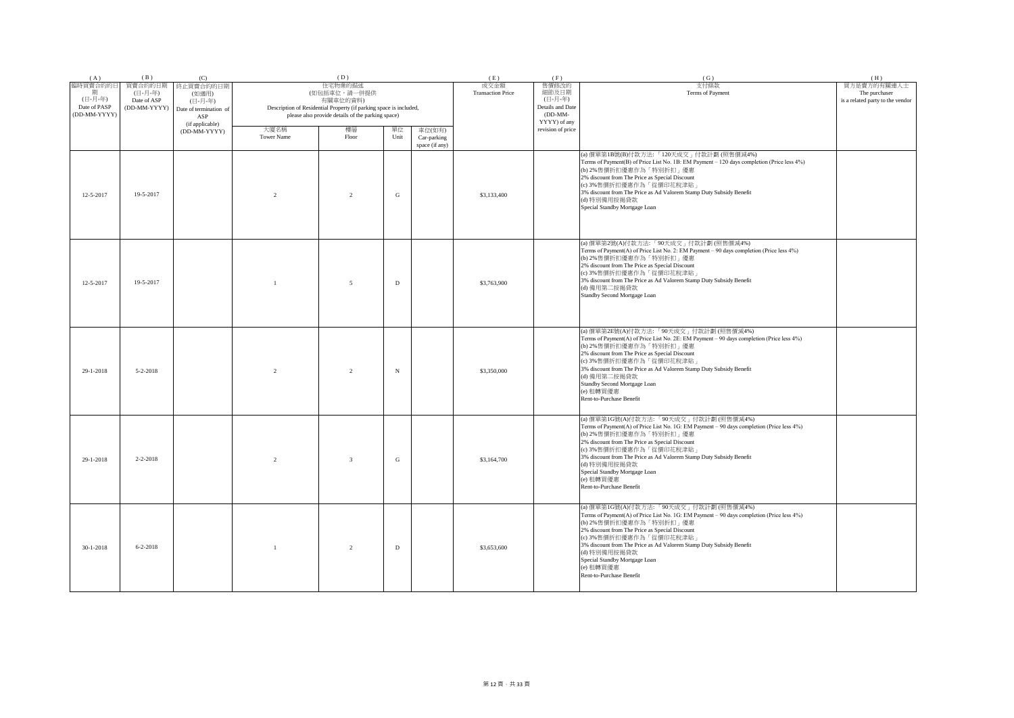| (A)                                                      | (B)                                               | (C)                                                                               |                    | (D)                                                                                                                                                            |             |                                         | (E)                              | (F)                                                                        | (G)                                                                                                                                                                                                                                                                                                                                                                                                         | (H)                                                              |
|----------------------------------------------------------|---------------------------------------------------|-----------------------------------------------------------------------------------|--------------------|----------------------------------------------------------------------------------------------------------------------------------------------------------------|-------------|-----------------------------------------|----------------------------------|----------------------------------------------------------------------------|-------------------------------------------------------------------------------------------------------------------------------------------------------------------------------------------------------------------------------------------------------------------------------------------------------------------------------------------------------------------------------------------------------------|------------------------------------------------------------------|
| 臨時買賣合約的日<br>期<br>(日-月-年)<br>Date of PASP<br>(DD-MM-YYYY) | 買賣合約的日期<br>(日-月-年)<br>Date of ASP<br>(DD-MM-YYYY) | 終止買賣合約的日期<br>(如適用)<br>(日-月-年)<br>Date of termination of<br>ASP<br>(if applicable) |                    | 住宅物業的描述<br>(如包括車位,請一併提供<br>有關車位的資料)<br>Description of Residential Property (if parking space is included,<br>please also provide details of the parking space) |             |                                         | 成交金額<br><b>Transaction Price</b> | 售價修改的<br>細節及日期<br>(日-月-年)<br>Details and Date<br>$(DD-MM-$<br>YYYY) of any | 支付條款<br>Terms of Payment                                                                                                                                                                                                                                                                                                                                                                                    | 買方是賣方的有關連人士<br>The purchaser<br>is a related party to the vendor |
|                                                          |                                                   | (DD-MM-YYYY)                                                                      | 大廈名稱<br>Tower Name | 樓層<br>Floor                                                                                                                                                    | 單位<br>Unit  | 車位(如有)<br>Car-parking<br>space (if any) |                                  | revision of price                                                          |                                                                                                                                                                                                                                                                                                                                                                                                             |                                                                  |
| 12-5-2017                                                | 19-5-2017                                         |                                                                                   | $\overline{2}$     | $\overline{2}$                                                                                                                                                 | ${\bf G}$   |                                         | \$3,133,400                      |                                                                            | (a) 價單第1B號(B)付款方法:「120天成交」付款計劃 (照售價減4%)<br>Terms of Payment(B) of Price List No. 1B: EM Payment - 120 days completion (Price less 4%)<br>(b) 2%售價折扣優惠作為「特別折扣」優惠<br>2% discount from The Price as Special Discount<br>(c) 3%售價折扣優惠作為「從價印花稅津貼」<br>3% discount from The Price as Ad Valorem Stamp Duty Subsidy Benefit<br>(d) 特別備用按揭貸款<br>Special Standby Mortgage Loan                                        |                                                                  |
| $12 - 5 - 2017$                                          | 19-5-2017                                         |                                                                                   | $\overline{1}$     | $\overline{5}$                                                                                                                                                 | D           |                                         | \$3,763,900                      |                                                                            | (a) 價單第2號(A)付款方法:「90天成交」付款計劃 (照售價減4%)<br>Terms of Payment(A) of Price List No. 2: EM Payment - 90 days completion (Price less 4%)<br>(b) 2%售價折扣優惠作為「特別折扣」優惠<br>2% discount from The Price as Special Discount<br>(c) 3%售價折扣優惠作為「從價印花稅津貼」<br>3% discount from The Price as Ad Valorem Stamp Duty Subsidy Benefit<br>(d) 備用第二按揭貸款<br>Standby Second Mortgage Loan                                             |                                                                  |
| 29-1-2018                                                | $5 - 2 - 2018$                                    |                                                                                   | $\mathfrak{D}$     | $\mathfrak{D}$                                                                                                                                                 | N           |                                         | \$3,350,000                      |                                                                            | (a) 價單第2E號(A)付款方法:「90天成交」付款計劃 (照售價減4%)<br>Terms of Payment(A) of Price List No. 2E: EM Payment - 90 days completion (Price less 4%)<br>(b) 2%售價折扣優惠作為「特別折扣」優惠<br>2% discount from The Price as Special Discount<br>(c) 3%售價折扣優惠作為「從價印花稅津貼」<br>3% discount from The Price as Ad Valorem Stamp Duty Subsidy Benefit<br>(d) 備用第二按揭貸款<br>Standby Second Mortgage Loan<br>(e) 租轉買優惠<br>Rent-to-Purchase Benefit  |                                                                  |
| 29-1-2018                                                | $2 - 2 - 2018$                                    |                                                                                   | $\overline{2}$     | $\overline{3}$                                                                                                                                                 | G           |                                         | \$3,164,700                      |                                                                            | (a) 價單第1G號(A)付款方法:「90天成交」付款計劃 (照售價減4%)<br>Terms of Payment(A) of Price List No. 1G: EM Payment - 90 days completion (Price less 4%)<br>(b) 2%售價折扣優惠作為「特別折扣」優惠<br>2% discount from The Price as Special Discount<br>(c) 3%售價折扣優惠作為「從價印花稅津貼」<br>3% discount from The Price as Ad Valorem Stamp Duty Subsidy Benefit<br>(d) 特別備用按揭貸款<br>Special Standby Mortgage Loan<br>(e) 租轉買優惠<br>Rent-to-Purchase Benefit |                                                                  |
| $30 - 1 - 2018$                                          | $6 - 2 - 2018$                                    |                                                                                   | $\overline{1}$     | $\overline{2}$                                                                                                                                                 | $\mathbf D$ |                                         | \$3,653,600                      |                                                                            | (a) 價單第1G號(A)付款方法:「90天成交」付款計劃 (照售價減4%)<br>Terms of Payment(A) of Price List No. 1G: EM Payment - 90 days completion (Price less 4%)<br>(b) 2%售價折扣優惠作為「特別折扣」優惠<br>2% discount from The Price as Special Discount<br>(c) 3%售價折扣優惠作為「從價印花稅津貼」<br>3% discount from The Price as Ad Valorem Stamp Duty Subsidy Benefit<br>(d) 特別備用按揭貸款<br>Special Standby Mortgage Loan<br>(e) 租轉買優惠<br>Rent-to-Purchase Benefit |                                                                  |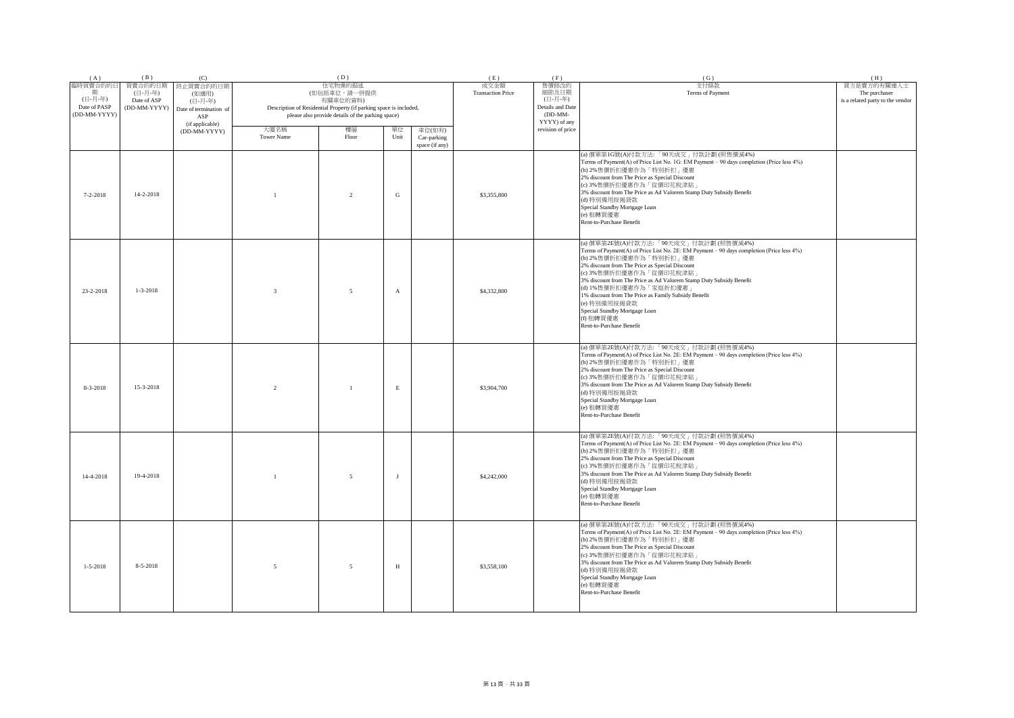| (A)                                                      | (B)                                               | (C)                                                                               |                           | (D)                                                                                                                                                            |              |                                         | (E)                              | (F)                                                                        | (G)                                                                                                                                                                                                                                                                                                                                                                                                                                                                                           | (H)                                                              |
|----------------------------------------------------------|---------------------------------------------------|-----------------------------------------------------------------------------------|---------------------------|----------------------------------------------------------------------------------------------------------------------------------------------------------------|--------------|-----------------------------------------|----------------------------------|----------------------------------------------------------------------------|-----------------------------------------------------------------------------------------------------------------------------------------------------------------------------------------------------------------------------------------------------------------------------------------------------------------------------------------------------------------------------------------------------------------------------------------------------------------------------------------------|------------------------------------------------------------------|
| 臨時買賣合約的日<br>期<br>(日-月-年)<br>Date of PASP<br>(DD-MM-YYYY) | 買賣合約的日期<br>(日-月-年)<br>Date of ASP<br>(DD-MM-YYYY) | 终止買賣合約的日期<br>(如適用)<br>(日-月-年)<br>Date of termination of<br>ASP<br>(if applicable) |                           | 住宅物業的描述<br>(如包括車位,請一併提供<br>有關車位的資料)<br>Description of Residential Property (if parking space is included,<br>please also provide details of the parking space) |              |                                         | 成交金額<br><b>Transaction Price</b> | 售價修改的<br>細節及日期<br>(日-月-年)<br>Details and Date<br>$(DD-MM-$<br>YYYY) of any | 支付條款<br>Terms of Payment                                                                                                                                                                                                                                                                                                                                                                                                                                                                      | 買方是賣方的有關連人士<br>The purchaser<br>is a related party to the vendor |
|                                                          |                                                   | (DD-MM-YYYY)                                                                      | 大廈名稱<br><b>Tower Name</b> | 樓層<br>Floor                                                                                                                                                    | 單位<br>Unit   | 車位(如有)<br>Car-parking<br>space (if any) |                                  | revision of price                                                          |                                                                                                                                                                                                                                                                                                                                                                                                                                                                                               |                                                                  |
| $7 - 2 - 2018$                                           | 14-2-2018                                         |                                                                                   |                           | $\overline{2}$                                                                                                                                                 | ${\rm G}$    |                                         | \$3,355,800                      |                                                                            | (a) 價單第1G號(A)付款方法:「90天成交」付款計劃(照售價減4%)<br>Terms of Payment(A) of Price List No. 1G: EM Payment - 90 days completion (Price less 4%)<br>(b) 2%售價折扣優惠作為「特別折扣」優惠<br>2% discount from The Price as Special Discount<br>(c) 3%售價折扣優惠作為「從價印花稅津貼」<br>3% discount from The Price as Ad Valorem Stamp Duty Subsidy Benefit<br>(d) 特別備用按揭貸款<br>Special Standby Mortgage Loan<br>(e) 租轉買優惠<br>Rent-to-Purchase Benefit                                                                                    |                                                                  |
| 23-2-2018                                                | $1 - 3 - 2018$                                    |                                                                                   | 3                         | 5                                                                                                                                                              | $\mathbf{A}$ |                                         | \$4,332,800                      |                                                                            | (a) 價單第2E號(A)付款方法:「90天成交」付款計劃 (照售價減4%)<br>Terms of Payment(A) of Price List No. 2E: EM Payment - 90 days completion (Price less 4%)<br>(b) 2%售價折扣優惠作為「特別折扣」優惠<br>2% discount from The Price as Special Discount<br>(c) 3%售價折扣優惠作為「從價印花稅津貼」<br>3% discount from The Price as Ad Valorem Stamp Duty Subsidy Benefit<br>(d) 1%售價折扣優惠作為「家庭折扣優惠」<br>1% discount from The Price as Family Subsidy Benefit<br>(e) 特別備用按揭貸款<br>Special Standby Mortgage Loan<br>(f) 租轉買優惠<br>Rent-to-Purchase Benefit |                                                                  |
| 8-3-2018                                                 | 15-3-2018                                         |                                                                                   | $\overline{2}$            | -1                                                                                                                                                             | $\mathbf E$  |                                         | \$3,904,700                      |                                                                            | (a) 價單第2E號(A)付款方法:「90天成交」付款計劃 (照售價減4%)<br>Terms of Payment(A) of Price List No. 2E: EM Payment - 90 days completion (Price less 4%)<br>(b) 2%售價折扣優惠作為「特別折扣」優惠<br>2% discount from The Price as Special Discount<br>(c) 3%售價折扣優惠作為「從價印花稅津貼」<br>3% discount from The Price as Ad Valorem Stamp Duty Subsidy Benefit<br>(d) 特別備用按揭貸款<br>Special Standby Mortgage Loan<br>(e) 租轉買優惠<br>Rent-to-Purchase Benefit                                                                                   |                                                                  |
| 14-4-2018                                                | 19-4-2018                                         |                                                                                   |                           | 5                                                                                                                                                              | $\mathbf{J}$ |                                         | \$4,242,000                      |                                                                            | (a) 價單第2E號(A)付款方法:「90天成交」付款計劃 (照售價減4%)<br>Terms of Payment(A) of Price List No. 2E: EM Payment - 90 days completion (Price less 4%)<br>(b) 2%售價折扣優惠作為「特別折扣」優惠<br>2% discount from The Price as Special Discount<br>(c) 3%售價折扣優惠作為「從價印花稅津貼」<br>3% discount from The Price as Ad Valorem Stamp Duty Subsidy Benefit<br>(d) 特別備用按揭貸款<br>Special Standby Mortgage Loan<br>(e) 租轉買優惠<br>Rent-to-Purchase Benefit                                                                                   |                                                                  |
| $1 - 5 - 2018$                                           | 8-5-2018                                          |                                                                                   | $\overline{5}$            | 5                                                                                                                                                              | $\, {\rm H}$ |                                         | \$3,558,100                      |                                                                            | (a) 價單第2E號(A)付款方法:「90天成交」付款計劃 (照售價減4%)<br>Terms of Payment(A) of Price List No. 2E: EM Payment - 90 days completion (Price less 4%)<br>(b) 2%售價折扣優惠作為「特別折扣」優惠<br>2% discount from The Price as Special Discount<br>(c) 3%售價折扣優惠作為「從價印花稅津貼」<br>3% discount from The Price as Ad Valorem Stamp Duty Subsidy Benefit<br>(d) 特別備用按揭貸款<br>Special Standby Mortgage Loan<br>(e) 租轉買優惠<br>Rent-to-Purchase Benefit                                                                                   |                                                                  |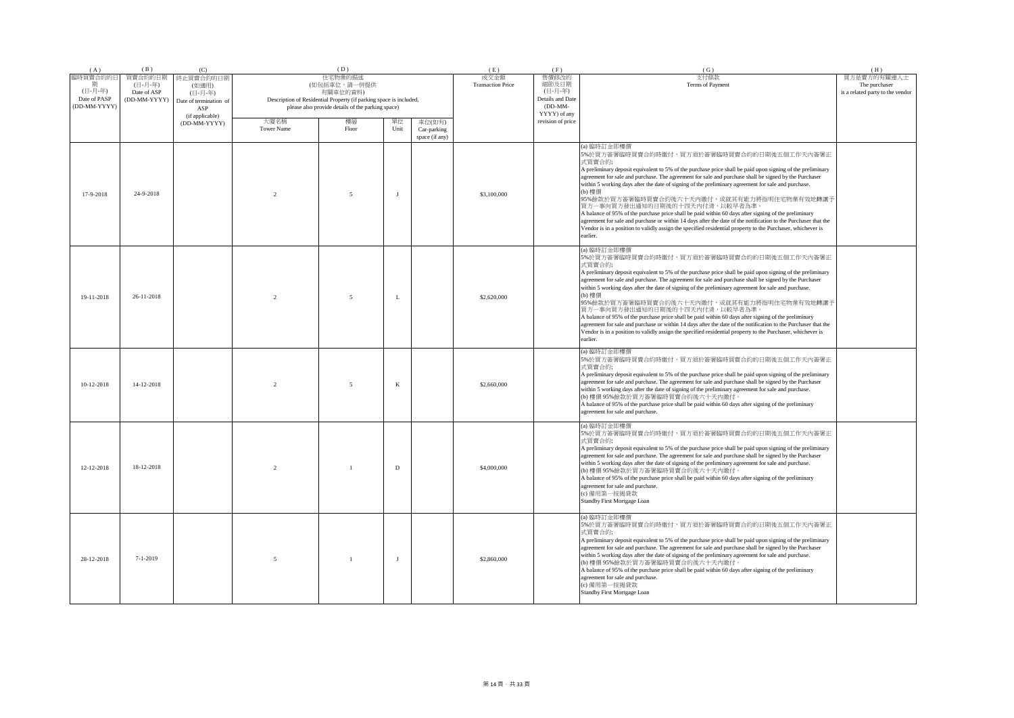| (A)                                                 | (B)                                               | (C)                                                                               |                                                                                                                                                     | (D)                      |              |                                         | (E)                                                                        | (F)                      | (G)                                                                                                                                                                                                                                                                                                                                                                                                                                                                                                                                                                                                                                                                                                                                                                                                                                              | (H) |
|-----------------------------------------------------|---------------------------------------------------|-----------------------------------------------------------------------------------|-----------------------------------------------------------------------------------------------------------------------------------------------------|--------------------------|--------------|-----------------------------------------|----------------------------------------------------------------------------|--------------------------|--------------------------------------------------------------------------------------------------------------------------------------------------------------------------------------------------------------------------------------------------------------------------------------------------------------------------------------------------------------------------------------------------------------------------------------------------------------------------------------------------------------------------------------------------------------------------------------------------------------------------------------------------------------------------------------------------------------------------------------------------------------------------------------------------------------------------------------------------|-----|
| 臨時買賣合約的日<br>(日-月-年)<br>Date of PASP<br>(DD-MM-YYYY) | 買賣合約的日期<br>(日-月-年)<br>Date of ASP<br>(DD-MM-YYYY) | 終止買賣合約的日期<br>(如適用)<br>(日-月-年)<br>Date of termination of<br>ASP<br>(if applicable) | (如包括車位,請一併提供<br>有關車位的資料)<br>Description of Residential Property (if parking space is included,<br>please also provide details of the parking space) |                          |              | 成交金額<br><b>Transaction Price</b>        | 售價修改的<br>細節及日期<br>(日-月-年)<br>Details and Date<br>$(DD-MM-$<br>YYYY) of any | 支付條款<br>Terms of Payment | 買方是賣方的有關連人士<br>The purchaser<br>is a related party to the vendor                                                                                                                                                                                                                                                                                                                                                                                                                                                                                                                                                                                                                                                                                                                                                                                 |     |
|                                                     |                                                   | (DD-MM-YYYY)                                                                      | 大廈名稱<br>Tower Name                                                                                                                                  | 樓層<br>Floor              | 單位<br>Unit   | 車位(如有)<br>Car-parking<br>space (if any) |                                                                            | revision of price        |                                                                                                                                                                                                                                                                                                                                                                                                                                                                                                                                                                                                                                                                                                                                                                                                                                                  |     |
| 17-9-2018                                           | 24-9-2018                                         |                                                                                   | $\mathcal{L}$                                                                                                                                       | 5                        | J            |                                         | \$3,100,000                                                                |                          | (a) 臨時訂金即樓價<br>5%於買方簽署臨時買賣合約時繳付,買方須於簽署臨時買賣合約的日期後五個工作天內簽署正<br>式買賣合約;<br>A preliminary deposit equivalent to 5% of the purchase price shall be paid upon signing of the preliminary<br>agreement for sale and purchase. The agreement for sale and purchase shall be signed by the Purchaser<br>within 5 working days after the date of signing of the preliminary agreement for sale and purchase.<br>(b) 樓價<br>95%餘款於買方簽署臨時買賣合約後六十天內繳付,或就其有能力將指明住宅物業有效地轉讓予<br>買方一事向買方發出通知的日期後的十四天內付清,以較早者為準<br>A balance of 95% of the purchase price shall be paid within 60 days after signing of the preliminary<br>agreement for sale and purchase or within 14 days after the date of the notification to the Purchaser that the<br>Vendor is in a position to validly assign the specified residential property to the Purchaser, whichever is<br>earlier. |     |
| 19-11-2018                                          | 26-11-2018                                        |                                                                                   | 2                                                                                                                                                   | 5                        | L            |                                         | \$2,620,000                                                                |                          | (a) 臨時訂金即樓價<br>5%於買方簽署臨時買賣合約時繳付,買方須於簽署臨時買賣合約的日期後五個工作天內簽署正<br>式買賣合約;<br>A preliminary deposit equivalent to 5% of the purchase price shall be paid upon signing of the preliminary<br>agreement for sale and purchase. The agreement for sale and purchase shall be signed by the Purchaser<br>within 5 working days after the date of signing of the preliminary agreement for sale and purchase.<br>(b) 機價<br>95%餘款於買方簽署臨時買賣合約後六十天內繳付,或就其有能力將指明住宅物業有效地轉讓予<br>買方一事向買方發出通知的日期後的十四天內付清,以較早者為準<br>A balance of 95% of the purchase price shall be paid within 60 days after signing of the preliminary<br>agreement for sale and purchase or within 14 days after the date of the notification to the Purchaser that the<br>Vendor is in a position to validly assign the specified residential property to the Purchaser, whichever is<br>earlier. |     |
| 10-12-2018                                          | 14-12-2018                                        |                                                                                   | $\gamma$                                                                                                                                            | $\overline{\phantom{0}}$ | $\bf K$      |                                         | \$2,660,000                                                                |                          | (a) 臨時訂金即樓價<br>5%於買方簽署臨時買賣合約時繳付,買方須於簽署臨時買賣合約的日期後五個工作天內簽署正<br>式買賣合約;<br>A preliminary deposit equivalent to 5% of the purchase price shall be paid upon signing of the preliminary<br>agreement for sale and purchase. The agreement for sale and purchase shall be signed by the Purchaser<br>within 5 working days after the date of signing of the preliminary agreement for sale and purchase.<br>(b) 樓價 95%餘款於買方簽署臨時買賣合約後六十天內繳付。<br>A balance of 95% of the purchase price shall be paid within 60 days after signing of the preliminary<br>agreement for sale and purchase.                                                                                                                                                                                                                                                                 |     |
| 12-12-2018                                          | 18-12-2018                                        |                                                                                   | $\mathfrak{D}$                                                                                                                                      | $\overline{1}$           | $\mathbf D$  |                                         | \$4,000,000                                                                |                          | (a) 臨時訂金即樓價<br>5%於買方簽署臨時買賣合約時繳付,買方須於簽署臨時買賣合約的日期後五個工作天內簽署正<br>式買賣合約;<br>A preliminary deposit equivalent to 5% of the purchase price shall be paid upon signing of the preliminary<br>agreement for sale and purchase. The agreement for sale and purchase shall be signed by the Purchaser<br>within 5 working days after the date of signing of the preliminary agreement for sale and purchase.<br>(b) 樓價 95%餘款於買方簽署臨時買賣合約後六十天內繳付。<br>A balance of 95% of the purchase price shall be paid within 60 days after signing of the preliminary<br>agreement for sale and purchase.<br>(c) 備用第一按揭貸款<br>Standby First Mortgage Loan                                                                                                                                                                                                                  |     |
| 28-12-2018                                          | $7 - 1 - 2019$                                    |                                                                                   | 5                                                                                                                                                   | $\overline{1}$           | $\mathbf{I}$ |                                         | \$2,860,000                                                                |                          | (a) 臨時訂金即樓價<br>5%於買方簽署臨時買賣合約時繳付,買方須於簽署臨時買賣合約的日期後五個工作天內簽署正<br>式買賣合約;<br>A preliminary deposit equivalent to 5% of the purchase price shall be paid upon signing of the preliminary<br>agreement for sale and purchase. The agreement for sale and purchase shall be signed by the Purchaser<br>within 5 working days after the date of signing of the preliminary agreement for sale and purchase.<br>(b) 樓價 95%餘款於買方簽署臨時買賣合約後六十天內繳付。<br>A balance of 95% of the purchase price shall be paid within 60 days after signing of the preliminary<br>agreement for sale and purchase.<br>(c) 備用第一按揭貸款<br>Standby First Mortgage Loan                                                                                                                                                                                                                  |     |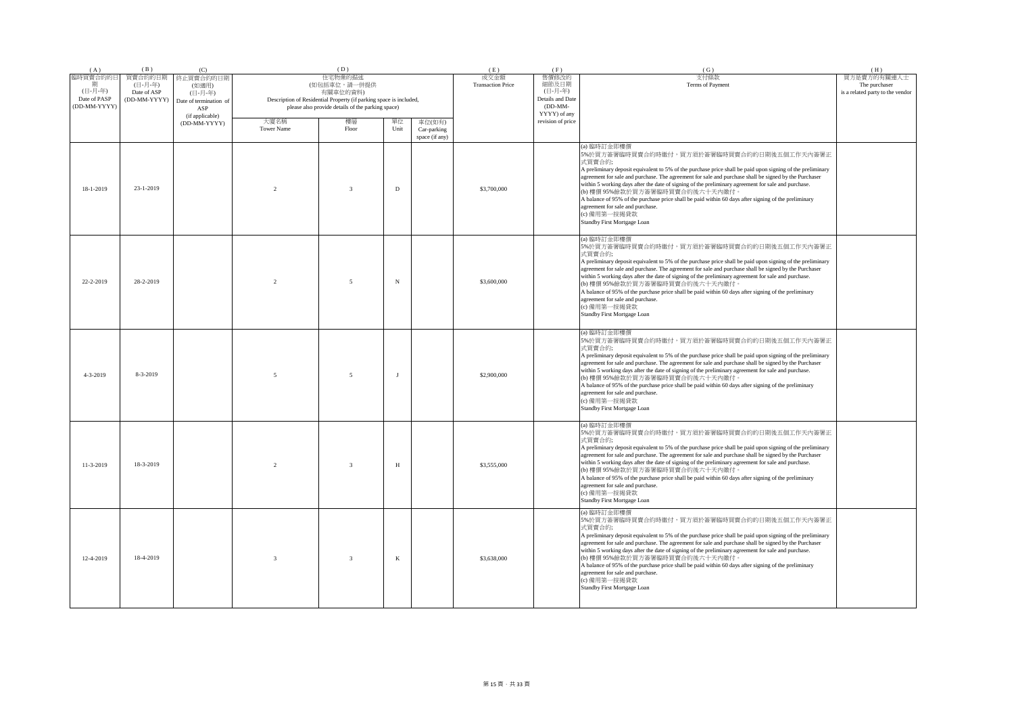| (A)                                                 | (B)                                               | (C)                                                                               |                   | (D)                                                                                                                                                                                          |              |                               | (E)<br>成交金額 | (F)                                                                        | (G)                                                                                                                                                                                                                                                                                                                                                                                                                                                                                                                                                                                                                             | (H)                                                              |
|-----------------------------------------------------|---------------------------------------------------|-----------------------------------------------------------------------------------|-------------------|----------------------------------------------------------------------------------------------------------------------------------------------------------------------------------------------|--------------|-------------------------------|-------------|----------------------------------------------------------------------------|---------------------------------------------------------------------------------------------------------------------------------------------------------------------------------------------------------------------------------------------------------------------------------------------------------------------------------------------------------------------------------------------------------------------------------------------------------------------------------------------------------------------------------------------------------------------------------------------------------------------------------|------------------------------------------------------------------|
| 臨時買賣合約的日<br>(日-月-年)<br>Date of PASP<br>(DD-MM-YYYY) | 買賣合約的日期<br>(日-月-年)<br>Date of ASP<br>(DD-MM-YYYY) | 終止買賣合約的日期<br>(如適用)<br>(日-月-年)<br>Date of termination of<br>ASP<br>(if applicable) |                   | 住宅物業的描述<br>(如包括車位,請一併提供<br>有關車位的資料)<br>Description of Residential Property (if parking space is included,<br>please also provide details of the parking space)<br>大廈名稱<br>樓層<br>單位<br>車位(如有) |              |                               |             | 售價修改的<br>細節及日期<br>(日-月-年)<br>Details and Date<br>$(DD-MM-$<br>YYYY) of any | 支付條款<br>Terms of Payment                                                                                                                                                                                                                                                                                                                                                                                                                                                                                                                                                                                                        | 買方是賣方的有關連人士<br>The purchaser<br>is a related party to the vendor |
|                                                     |                                                   | (DD-MM-YYYY)                                                                      | <b>Tower Name</b> | Floor                                                                                                                                                                                        | Unit         | Car-parking<br>space (if any) |             | revision of price                                                          |                                                                                                                                                                                                                                                                                                                                                                                                                                                                                                                                                                                                                                 |                                                                  |
| 18-1-2019                                           | $23 - 1 - 2019$                                   |                                                                                   | $\overline{2}$    | 3                                                                                                                                                                                            | $\mathbf D$  |                               | \$3,700,000 |                                                                            | (a) 臨時訂金即樓價<br>5%於買方簽署臨時買賣合約時繳付,買方須於簽署臨時買賣合約的日期後五個工作天內簽署正<br>式買賣合約;<br>A preliminary deposit equivalent to 5% of the purchase price shall be paid upon signing of the preliminary<br>agreement for sale and purchase. The agreement for sale and purchase shall be signed by the Purchaser<br>within 5 working days after the date of signing of the preliminary agreement for sale and purchase.<br>(b) 樓價 95%餘款於買方簽署臨時買賣合約後六十天內繳付。<br>A balance of 95% of the purchase price shall be paid within 60 days after signing of the preliminary<br>agreement for sale and purchase.<br>(c) 備用第一按揭貸款<br>Standby First Mortgage Loan |                                                                  |
| 22-2-2019                                           | 28-2-2019                                         |                                                                                   | $\overline{2}$    | $\overline{5}$                                                                                                                                                                               | $_{\rm N}$   |                               | \$3,600,000 |                                                                            | (a) 臨時訂金即樓價<br>5%於買方簽署臨時買賣合約時繳付,買方須於簽署臨時買賣合約的日期後五個工作天內簽署正<br>式買賣合約;<br>A preliminary deposit equivalent to 5% of the purchase price shall be paid upon signing of the preliminary<br>agreement for sale and purchase. The agreement for sale and purchase shall be signed by the Purchaser<br>within 5 working days after the date of signing of the preliminary agreement for sale and purchase.<br>(b) 樓價 95%餘款於買方簽署臨時買賣合約後六十天內繳付。<br>A balance of 95% of the purchase price shall be paid within 60 days after signing of the preliminary<br>agreement for sale and purchase.<br>(c) 備用第一按揭貸款<br>Standby First Mortgage Loan |                                                                  |
| $4 - 3 - 2019$                                      | 8-3-2019                                          |                                                                                   | $\overline{5}$    | 5                                                                                                                                                                                            | J            |                               | \$2,900,000 |                                                                            | (a) 臨時訂金即樓價<br>5%於買方簽署臨時買賣合約時繳付,買方須於簽署臨時買賣合約的日期後五個工作天內簽署正<br>式買賣合約;<br>A preliminary deposit equivalent to 5% of the purchase price shall be paid upon signing of the preliminary<br>agreement for sale and purchase. The agreement for sale and purchase shall be signed by the Purchaser<br>within 5 working days after the date of signing of the preliminary agreement for sale and purchase.<br>(b) 樓價 95%餘款於買方簽署臨時買賣合約後六十天內繳付,<br>A balance of 95% of the purchase price shall be paid within 60 days after signing of the preliminary<br>agreement for sale and purchase.<br>(c) 備用第一按揭貸款<br>Standby First Mortgage Loan |                                                                  |
| $11 - 3 - 2019$                                     | 18-3-2019                                         |                                                                                   | $\overline{2}$    | $\mathbf{3}$                                                                                                                                                                                 | H            |                               | \$3,555,000 |                                                                            | (a) 臨時訂金即樓價<br>5%於買方簽署臨時買賣合約時繳付,買方須於簽署臨時買賣合約的日期後五個工作天內簽署正<br>式買賣合約;<br>A preliminary deposit equivalent to 5% of the purchase price shall be paid upon signing of the preliminary<br>agreement for sale and purchase. The agreement for sale and purchase shall be signed by the Purchaser<br>within 5 working days after the date of signing of the preliminary agreement for sale and purchase.<br>(b) 樓價 95%餘款於買方簽署臨時買賣合約後六十天內繳付。<br>A balance of 95% of the purchase price shall be paid within 60 days after signing of the preliminary<br>agreement for sale and purchase.<br>(c) 備用第一按揭貸款<br>Standby First Mortgage Loan |                                                                  |
| 12-4-2019                                           | 18-4-2019                                         |                                                                                   | $\overline{3}$    | $\mathbf{3}$                                                                                                                                                                                 | $\mathbf{K}$ |                               | \$3,638,000 |                                                                            | (a) 臨時訂金即樓價<br>5%於買方簽署臨時買賣合約時繳付,買方須於簽署臨時買賣合約的日期後五個工作天內簽署正<br>式買賣合約;<br>A preliminary deposit equivalent to 5% of the purchase price shall be paid upon signing of the preliminary<br>agreement for sale and purchase. The agreement for sale and purchase shall be signed by the Purchaser<br>within 5 working days after the date of signing of the preliminary agreement for sale and purchase.<br>(b) 樓價 95%餘款於買方簽署臨時買賣合約後六十天內繳付。<br>A balance of 95% of the purchase price shall be paid within 60 days after signing of the preliminary<br>agreement for sale and purchase.<br>(c) 備用第一按揭貸款<br>Standby First Mortgage Loan |                                                                  |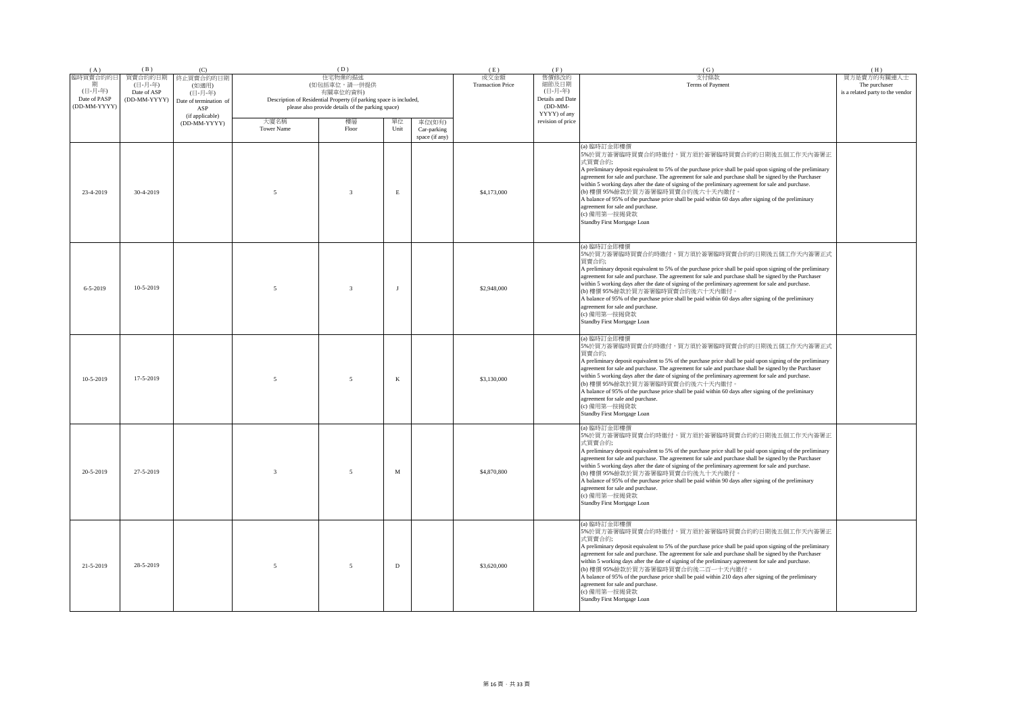| (A)                                                 | (B)                                               | (C)                                                                               |                                                                                                                                                                                                                                    | (D)                     |                               | (E)                              | (F)                                                                        | (G)                                                                                                                                                                                                                                                                                                                                                                                                                                                                                                                                                                                                                                | (H)                                                              |
|-----------------------------------------------------|---------------------------------------------------|-----------------------------------------------------------------------------------|------------------------------------------------------------------------------------------------------------------------------------------------------------------------------------------------------------------------------------|-------------------------|-------------------------------|----------------------------------|----------------------------------------------------------------------------|------------------------------------------------------------------------------------------------------------------------------------------------------------------------------------------------------------------------------------------------------------------------------------------------------------------------------------------------------------------------------------------------------------------------------------------------------------------------------------------------------------------------------------------------------------------------------------------------------------------------------------|------------------------------------------------------------------|
| 臨時買賣合約的日<br>(日-月-年)<br>Date of PASP<br>(DD-MM-YYYY) | 買賣合約的日期<br>(日-月-年)<br>Date of ASP<br>(DD-MM-YYYY) | 終止買賣合約的日期<br>(如適用)<br>(日-月-年)<br>Date of termination of<br>ASP<br>(if applicable) | 住宅物業的描述<br>(如包括車位,請一併提供<br>有關車位的資料)<br>Description of Residential Property (if parking space is included,<br>please also provide details of the parking space)<br>樓層<br>大廈名稱<br>單位<br>車位(如有)<br><b>Tower Name</b><br>Floor<br>Unit |                         |                               | 成交金額<br><b>Transaction Price</b> | 售價修改的<br>細節及日期<br>(日-月-年)<br>Details and Date<br>$(DD-MM-$<br>YYYY) of any | 支付條款<br>Terms of Payment                                                                                                                                                                                                                                                                                                                                                                                                                                                                                                                                                                                                           | 買方是賣方的有關連人士<br>The purchaser<br>is a related party to the vendor |
|                                                     |                                                   | (DD-MM-YYYY)                                                                      |                                                                                                                                                                                                                                    |                         | Car-parking<br>space (if any) |                                  | revision of price                                                          |                                                                                                                                                                                                                                                                                                                                                                                                                                                                                                                                                                                                                                    |                                                                  |
| 23-4-2019                                           | 30-4-2019                                         |                                                                                   | $\overline{\phantom{0}}$                                                                                                                                                                                                           | $\mathbf{3}$            | $\mathop{\hbox{\bf E}}$       | \$4,173,000                      |                                                                            | (a) 臨時訂金即樓價<br>5%於買方簽署臨時買賣合約時繳付,買方須於簽署臨時買賣合約的日期後五個工作天內簽署正<br>式買賣合約;<br>A preliminary deposit equivalent to 5% of the purchase price shall be paid upon signing of the preliminary<br>agreement for sale and purchase. The agreement for sale and purchase shall be signed by the Purchaser<br>within 5 working days after the date of signing of the preliminary agreement for sale and purchase.<br>(b) 樓價 95%餘款於買方簽署臨時買賣合約後六十天內繳付。<br>A balance of 95% of the purchase price shall be paid within 60 days after signing of the preliminary<br>agreement for sale and purchase.<br>(c) 備用第一按揭貸款<br>Standby First Mortgage Loan    |                                                                  |
| $6 - 5 - 2019$                                      | $10-5-2019$                                       |                                                                                   | $\overline{\phantom{0}}$                                                                                                                                                                                                           | $\overline{\mathbf{3}}$ | $\mathbf{I}$                  | \$2,948,000                      |                                                                            | (a) 臨時訂金即樓價<br>5%於買方簽署臨時買賣合約時繳付,買方須於簽署臨時買賣合約的日期後五個工作天內簽署正式<br>買賣合約;<br>A preliminary deposit equivalent to 5% of the purchase price shall be paid upon signing of the preliminary<br>agreement for sale and purchase. The agreement for sale and purchase shall be signed by the Purchaser<br>within 5 working days after the date of signing of the preliminary agreement for sale and purchase.<br>(b) 樓價 95% 餘款於買方簽署臨時買賣合約後六十天內繳付。<br>A balance of 95% of the purchase price shall be paid within 60 days after signing of the preliminary<br>agreement for sale and purchase.<br>(c) 備用第一按揭貸款<br>Standby First Mortgage Loan   |                                                                  |
| $10-5-2019$                                         | 17-5-2019                                         |                                                                                   | $\overline{5}$                                                                                                                                                                                                                     | 5                       | $\bf K$                       | \$3,130,000                      |                                                                            | (a) 臨時訂金即樓價<br>5%於買方簽署臨時買賣合約時繳付,買方須於簽署臨時買賣合約的日期後五個工作天內簽署正式<br>冒賣合約:<br>A preliminary deposit equivalent to 5% of the purchase price shall be paid upon signing of the preliminary<br>agreement for sale and purchase. The agreement for sale and purchase shall be signed by the Purchaser<br>within 5 working days after the date of signing of the preliminary agreement for sale and purchase.<br>(b) 樓價 95% 餘款於買方簽署臨時買賣合約後六十天內繳付。<br>A balance of 95% of the purchase price shall be paid within 60 days after signing of the preliminary<br>agreement for sale and purchase.<br>(c) 備用第一按揭貸款<br>Standby First Mortgage Loan   |                                                                  |
| 20-5-2019                                           | 27-5-2019                                         |                                                                                   | $\mathcal{R}$                                                                                                                                                                                                                      | 5                       | $_{\rm M}$                    | \$4,870,800                      |                                                                            | (a) 臨時訂金即樓價<br>5%於買方簽署臨時買賣合約時繳付,買方須於簽署臨時買賣合約的日期後五個工作天內簽署正<br>式買賣合約;<br>A preliminary deposit equivalent to 5% of the purchase price shall be paid upon signing of the preliminary<br>agreement for sale and purchase. The agreement for sale and purchase shall be signed by the Purchaser<br>within 5 working days after the date of signing of the preliminary agreement for sale and purchase.<br>(b) 樓價 95%餘款於買方簽署臨時買賣合約後九十天內繳付。<br>A balance of 95% of the purchase price shall be paid within 90 days after signing of the preliminary<br>agreement for sale and purchase.<br>(c) 備用第一按揭貸款<br>Standby First Mortgage Loan    |                                                                  |
| 21-5-2019                                           | 28-5-2019                                         |                                                                                   | $\sim$                                                                                                                                                                                                                             | 5                       | D                             | \$3,620,000                      |                                                                            | (a) 臨時訂金即樓價<br>5%於買方簽署臨時買賣合約時繳付,買方須於簽署臨時買賣合約的日期後五個工作天內簽署正<br>式買賣合約;<br>A preliminary deposit equivalent to 5% of the purchase price shall be paid upon signing of the preliminary<br>agreement for sale and purchase. The agreement for sale and purchase shall be signed by the Purchaser<br>within 5 working days after the date of signing of the preliminary agreement for sale and purchase.<br>(b) 樓價 95%餘款於買方簽署臨時買賣合約後二百一十天內繳付。<br>A balance of 95% of the purchase price shall be paid within 210 days after signing of the preliminary<br>agreement for sale and purchase.<br>(c) 備用第一按揭貸款<br>Standby First Mortgage Loan |                                                                  |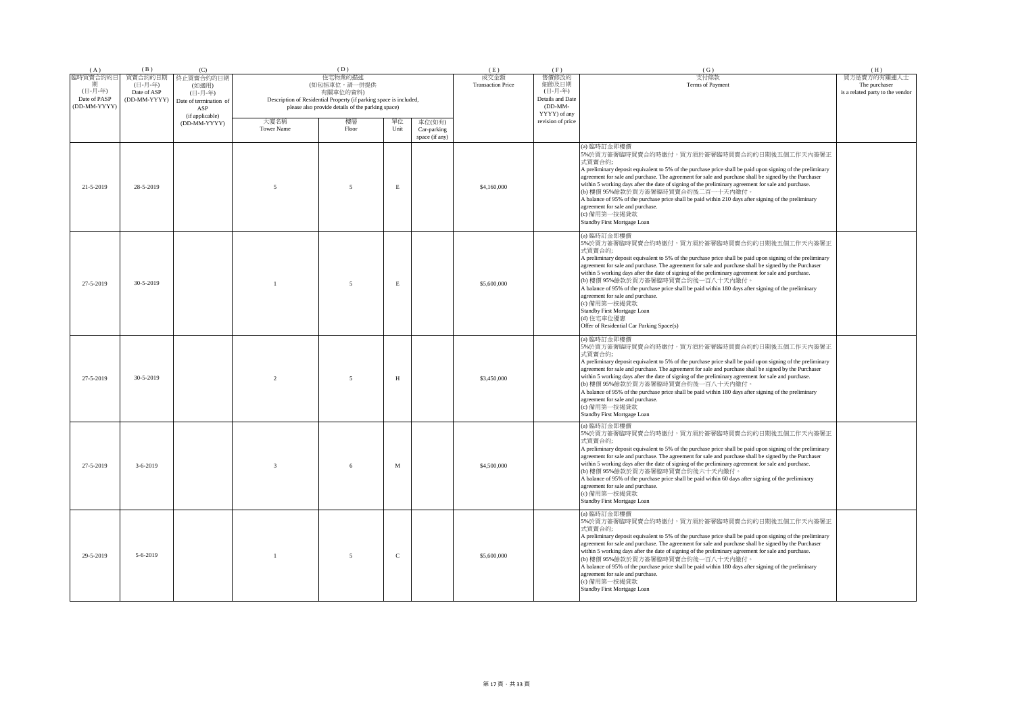| (A)                                                 | (B)                                               | (C)                                                                               |                | (D)                                                                                                                                                                                |             |                                         | (E)<br>成交金額 | (F)                                                                        | (G)                                                                                                                                                                                                                                                                                                                                                                                                                                                                                                                                                                                                                                                                                           | (H)                                                              |
|-----------------------------------------------------|---------------------------------------------------|-----------------------------------------------------------------------------------|----------------|------------------------------------------------------------------------------------------------------------------------------------------------------------------------------------|-------------|-----------------------------------------|-------------|----------------------------------------------------------------------------|-----------------------------------------------------------------------------------------------------------------------------------------------------------------------------------------------------------------------------------------------------------------------------------------------------------------------------------------------------------------------------------------------------------------------------------------------------------------------------------------------------------------------------------------------------------------------------------------------------------------------------------------------------------------------------------------------|------------------------------------------------------------------|
| 臨時買賣合約的日<br>(日-月-年)<br>Date of PASP<br>(DD-MM-YYYY) | 買賣合約的日期<br>(日-月-年)<br>Date of ASP<br>(DD-MM-YYYY) | 終止買賣合約的日期<br>(如適用)<br>(日-月-年)<br>Date of termination of<br>ASP<br>(if applicable) |                | 住宅物業的描述<br>(如包括車位,請一併提供<br>有關車位的資料)<br>Description of Residential Property (if parking space is included,<br>please also provide details of the parking space)<br>大廈名稱<br>樓層<br>單位 |             |                                         |             | 售價修改的<br>細節及日期<br>(日-月-年)<br>Details and Date<br>$(DD-MM-$<br>YYYY) of any | 支付條款<br>Terms of Payment                                                                                                                                                                                                                                                                                                                                                                                                                                                                                                                                                                                                                                                                      | 買方是賣方的有關連人士<br>The purchaser<br>is a related party to the vendor |
|                                                     |                                                   | (DD-MM-YYYY)                                                                      | Tower Name     | Floor                                                                                                                                                                              | Unit        | 車位(如有)<br>Car-parking<br>space (if any) |             | revision of price                                                          |                                                                                                                                                                                                                                                                                                                                                                                                                                                                                                                                                                                                                                                                                               |                                                                  |
| 21-5-2019                                           | 28-5-2019                                         |                                                                                   | 5              | 5                                                                                                                                                                                  | $\,$ E      |                                         | \$4,160,000 |                                                                            | (a) 臨時訂金即樓價<br>5%於買方簽署臨時買賣合約時繳付,買方須於簽署臨時買賣合約的日期後五個工作天內簽署正<br>式買賣合約;<br>A preliminary deposit equivalent to 5% of the purchase price shall be paid upon signing of the preliminary<br>agreement for sale and purchase. The agreement for sale and purchase shall be signed by the Purchaser<br>within 5 working days after the date of signing of the preliminary agreement for sale and purchase.<br>(b) 樓價 95%餘款於買方簽署臨時買賣合約後二百一十天內繳付。<br>A balance of 95% of the purchase price shall be paid within 210 days after signing of the preliminary<br>agreement for sale and purchase.<br>(c) 備用第一按揭貸款<br>Standby First Mortgage Loan                                                            |                                                                  |
| 27-5-2019                                           | $30 - 5 - 2019$                                   |                                                                                   |                | 5                                                                                                                                                                                  | $\mathbf E$ |                                         | \$5,600,000 |                                                                            | (a) 臨時訂金即樓價<br>5%於買方簽署臨時買賣合約時繳付,買方須於簽署臨時買賣合約的日期後五個工作天內簽署正<br>式買賣合約;<br>A preliminary deposit equivalent to 5% of the purchase price shall be paid upon signing of the preliminary<br>agreement for sale and purchase. The agreement for sale and purchase shall be signed by the Purchaser<br>within 5 working days after the date of signing of the preliminary agreement for sale and purchase.<br>(b) 樓價 95%餘款於買方簽署臨時買賣合約後一百八十天內繳付。<br>A balance of 95% of the purchase price shall be paid within 180 days after signing of the preliminary<br>agreement for sale and purchase.<br>(c) 備用第一按揭貸款<br>Standby First Mortgage Loan<br>(d) 住宅車位優惠<br>Offer of Residential Car Parking Space(s) |                                                                  |
| 27-5-2019                                           | 30-5-2019                                         |                                                                                   | $\mathfrak{D}$ | $\overline{5}$                                                                                                                                                                     | H           |                                         | \$3,450,000 |                                                                            | (a) 臨時訂金即樓價<br>5%於買方簽署臨時買賣合約時繳付,買方須於簽署臨時買賣合約的日期後五個工作天內簽署正<br>式買賣合約;<br>A preliminary deposit equivalent to 5% of the purchase price shall be paid upon signing of the preliminary<br>agreement for sale and purchase. The agreement for sale and purchase shall be signed by the Purchaser<br>within 5 working days after the date of signing of the preliminary agreement for sale and purchase.<br>(b) 樓價 95%餘款於買方簽署臨時買賣合約後一百八十天內繳付<br>A balance of 95% of the purchase price shall be paid within 180 days after signing of the preliminary<br>agreement for sale and purchase.<br>(c) 備用第一按揭貸款<br>Standby First Mortgage Loan                                                             |                                                                  |
| 27-5-2019                                           | $3 - 6 - 2019$                                    |                                                                                   | $\mathbf{3}$   | 6                                                                                                                                                                                  | M           |                                         | \$4,500,000 |                                                                            | (a) 臨時訂金即樓價<br>5%於買方簽署臨時買賣合約時繳付,買方須於簽署臨時買賣合約的日期後五個工作天內簽署正<br>式買賣合約;<br>A preliminary deposit equivalent to 5% of the purchase price shall be paid upon signing of the preliminary<br>agreement for sale and purchase. The agreement for sale and purchase shall be signed by the Purchaser<br>within 5 working days after the date of signing of the preliminary agreement for sale and purchase.<br>(b) 樓價 95%餘款於買方簽署臨時買賣合約後六十天內繳付。<br>A balance of 95% of the purchase price shall be paid within 60 days after signing of the preliminary<br>agreement for sale and purchase.<br>(c) 備用第一按揭貸款<br>Standby First Mortgage Loan                                                               |                                                                  |
| 29-5-2019                                           | $5 - 6 - 2019$                                    |                                                                                   |                | 5                                                                                                                                                                                  | $\mathsf C$ |                                         | \$5,600,000 |                                                                            | (a) 臨時訂金即樓價<br>5%於買方簽署臨時買賣合約時繳付,買方須於簽署臨時買賣合約的日期後五個工作天內簽署正<br>式買賣合約;<br>A preliminary deposit equivalent to 5% of the purchase price shall be paid upon signing of the preliminary<br>agreement for sale and purchase. The agreement for sale and purchase shall be signed by the Purchaser<br>within 5 working days after the date of signing of the preliminary agreement for sale and purchase.<br>(b) 樓價 95%餘款於買方簽署臨時買賣合約後一百八十天內繳付。<br>A balance of 95% of the purchase price shall be paid within 180 days after signing of the preliminary<br>agreement for sale and purchase.<br>(c) 備用第一按揭貸款<br>Standby First Mortgage Loan                                                            |                                                                  |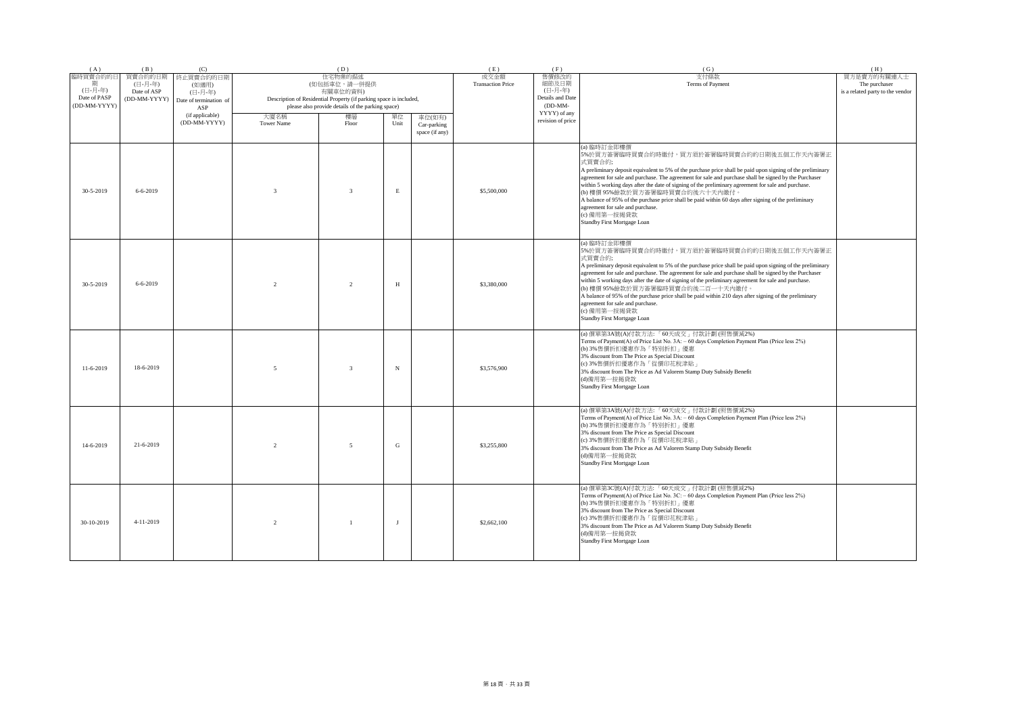| (A)                                                      | (B)                                               | (C)                                                            |                   | (D)                                                                                                                                                                                           |             |                               | (E)         | (F)                                                                        | (G)                                                                                                                                                                                                                                                                                                                                                                                                                                                                                                                                                                                                                                | (H)                                                              |
|----------------------------------------------------------|---------------------------------------------------|----------------------------------------------------------------|-------------------|-----------------------------------------------------------------------------------------------------------------------------------------------------------------------------------------------|-------------|-------------------------------|-------------|----------------------------------------------------------------------------|------------------------------------------------------------------------------------------------------------------------------------------------------------------------------------------------------------------------------------------------------------------------------------------------------------------------------------------------------------------------------------------------------------------------------------------------------------------------------------------------------------------------------------------------------------------------------------------------------------------------------------|------------------------------------------------------------------|
| 臨時買賣合約的日<br>期<br>(日-月-年)<br>Date of PASP<br>(DD-MM-YYYY) | 買賣合約的日期<br>(日-月-年)<br>Date of ASP<br>(DD-MM-YYYY) | 終止買賣合約的日期<br>(如適用)<br>(日-月-年)<br>Date of termination of<br>ASP |                   | 住宅物業的描述<br>(如包括車位,請一併提供<br>有關車位的資料)<br>Description of Residential Property (if parking space is included,<br>please also provide details of the parking space)<br>樓層<br>大廈名稱<br>單位.<br>車位(如有) |             |                               |             | 售價修改的<br>細節及日期<br>(日-月-年)<br>Details and Date<br>$(DD-MM-$<br>YYYY) of any | 支付條款<br>Terms of Payment                                                                                                                                                                                                                                                                                                                                                                                                                                                                                                                                                                                                           | 買方是賣方的有關連人士<br>The purchaser<br>is a related party to the vendor |
|                                                          |                                                   | (if applicable)<br>(DD-MM-YYYY)                                | <b>Tower Name</b> | Floor                                                                                                                                                                                         | Unit        | Car-parking<br>space (if any) |             | revision of price                                                          |                                                                                                                                                                                                                                                                                                                                                                                                                                                                                                                                                                                                                                    |                                                                  |
| 30-5-2019                                                | $6 - 6 - 2019$                                    |                                                                | $\overline{3}$    | $\overline{3}$                                                                                                                                                                                | $\mathbf E$ |                               | \$5,500,000 |                                                                            | (a) 臨時訂金即樓價<br>5%於買方簽署臨時買賣合約時繳付,買方須於簽署臨時買賣合約的日期後五個工作天內簽署正<br>式買賣合約;<br>A preliminary deposit equivalent to 5% of the purchase price shall be paid upon signing of the preliminary<br>agreement for sale and purchase. The agreement for sale and purchase shall be signed by the Purchaser<br>within 5 working days after the date of signing of the preliminary agreement for sale and purchase.<br>(b) 樓價 95%餘款於買方簽署臨時買賣合約後六十天內繳付。<br>A balance of 95% of the purchase price shall be paid within 60 days after signing of the preliminary<br>agreement for sale and purchase.<br>(c) 備用第一按揭貸款<br>Standby First Mortgage Loan    |                                                                  |
| 30-5-2019                                                | $6 - 6 - 2019$                                    |                                                                | $\mathcal{D}$     | $\mathfrak{D}$                                                                                                                                                                                | H           |                               | \$3,380,000 |                                                                            | (a) 臨時訂金即樓價<br>5%於買方簽署臨時買賣合約時繳付,買方須於簽署臨時買賣合約的日期後五個工作天內簽署正<br>式買賣合約;<br>A preliminary deposit equivalent to 5% of the purchase price shall be paid upon signing of the preliminary<br>agreement for sale and purchase. The agreement for sale and purchase shall be signed by the Purchaser<br>within 5 working days after the date of signing of the preliminary agreement for sale and purchase.<br>(b) 樓價 95%餘款於買方簽署臨時買賣合約後二百一十天內繳付。<br>A balance of 95% of the purchase price shall be paid within 210 days after signing of the preliminary<br>agreement for sale and purchase.<br>(c) 備用第一按揭貸款<br>Standby First Mortgage Loan |                                                                  |
| $11-6-2019$                                              | 18-6-2019                                         |                                                                | $\sim$            | $\overline{3}$                                                                                                                                                                                | $_{\rm N}$  |                               | \$3,576,900 |                                                                            | (a) 價單第3A號(A)付款方法:「60天成交」付款計劃 (照售價減2%)<br>Terms of Payment(A) of Price List No. 3A: - 60 days Completion Payment Plan (Price less 2%)<br>(b) 3%售價折扣優惠作為「特別折扣」優惠<br>3% discount from The Price as Special Discount<br>(c) 3%售價折扣優惠作為「從價印花稅津貼」<br>3% discount from The Price as Ad Valorem Stamp Duty Subsidy Benefit<br>(d)備用第一按揭貸款<br>Standby First Mortgage Loan                                                                                                                                                                                                                                                                  |                                                                  |
| 14-6-2019                                                | 21-6-2019                                         |                                                                | $\mathcal{L}$     | $\overline{\phantom{0}}$                                                                                                                                                                      | G           |                               | \$3,255,800 |                                                                            | (a) 價單第3A號(A)付款方法:「60天成交」付款計劃 (照售價減2%)<br>Terms of Payment(A) of Price List No. 3A: - 60 days Completion Payment Plan (Price less 2%)<br>(b) 3%售價折扣優惠作為「特別折扣」優惠<br>3% discount from The Price as Special Discount<br>(c) 3%售價折扣優惠作為「從價印花稅津貼」<br>3% discount from The Price as Ad Valorem Stamp Duty Subsidy Benefit<br>(d)備用第一按揭貸款<br>Standby First Mortgage Loan                                                                                                                                                                                                                                                                  |                                                                  |
| 30-10-2019                                               | $4-11-2019$                                       |                                                                | 2                 | $\overline{1}$                                                                                                                                                                                | J           |                               | \$2,662,100 |                                                                            | (a) 價單第3C號(A)付款方法:「60天成交」付款計劃 (照售價減2%)<br>Terms of Payment(A) of Price List No. 3C: - 60 days Completion Payment Plan (Price less 2%)<br>(b) 3%售價折扣優惠作為「特別折扣」優惠<br>3% discount from The Price as Special Discount<br>(c) 3%售價折扣優惠作為「從價印花稅津貼」<br>3% discount from The Price as Ad Valorem Stamp Duty Subsidy Benefit<br>(d)備用第一按揭貸款<br>Standby First Mortgage Loan                                                                                                                                                                                                                                                                  |                                                                  |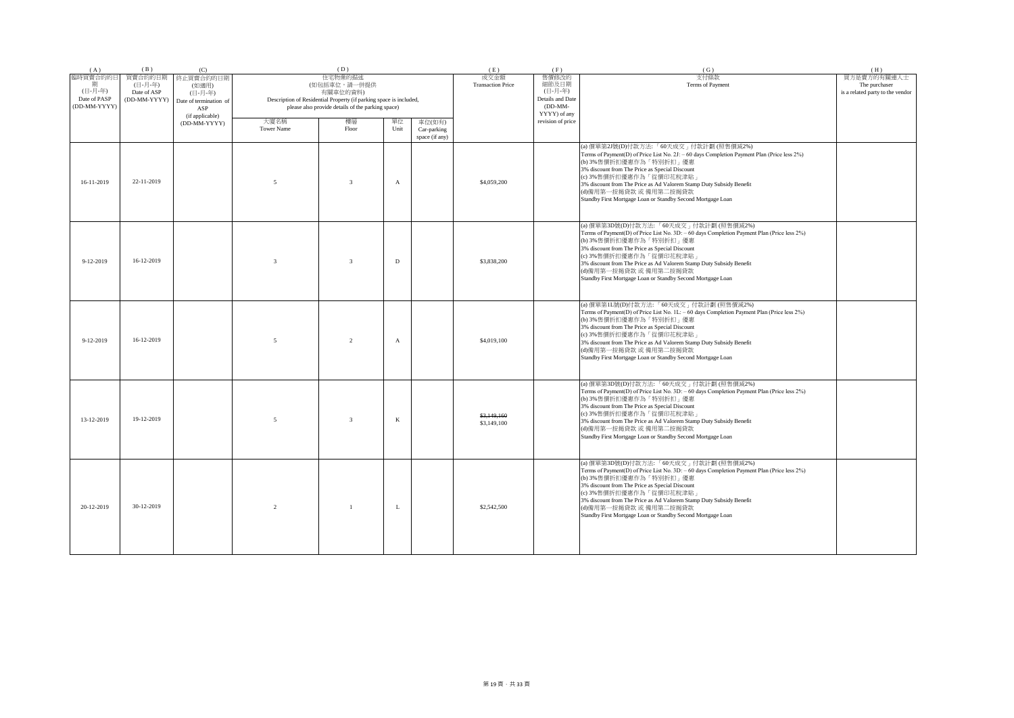| (A)                                                      | (B)                                               | (C)                                                                               |                           | (D)                                                                                                                                                            |              |                                         | (E)                              | (F)                                                                        | (G)                                                                                                                                                                                                                                                                                                                                                                                                           | (H)                                                              |
|----------------------------------------------------------|---------------------------------------------------|-----------------------------------------------------------------------------------|---------------------------|----------------------------------------------------------------------------------------------------------------------------------------------------------------|--------------|-----------------------------------------|----------------------------------|----------------------------------------------------------------------------|---------------------------------------------------------------------------------------------------------------------------------------------------------------------------------------------------------------------------------------------------------------------------------------------------------------------------------------------------------------------------------------------------------------|------------------------------------------------------------------|
| 臨時買賣合約的日<br>期<br>(日-月-年)<br>Date of PASP<br>(DD-MM-YYYY) | 買賣合約的日期<br>(日-月-年)<br>Date of ASP<br>(DD-MM-YYYY) | 終止買賣合約的日期<br>(如適用)<br>(日-月-年)<br>Date of termination of<br>ASP<br>(if applicable) |                           | 住宅物業的描述<br>(如包括車位,請一併提供<br>有關車位的資料)<br>Description of Residential Property (if parking space is included,<br>please also provide details of the parking space) |              |                                         | 成交金額<br><b>Transaction Price</b> | 售價修改的<br>細節及日期<br>(日-月-年)<br>Details and Date<br>$(DD-MM-$<br>YYYY) of any | 支付條款<br>Terms of Payment                                                                                                                                                                                                                                                                                                                                                                                      | 買方是賣方的有關連人士<br>The purchaser<br>is a related party to the vendor |
|                                                          |                                                   | (DD-MM-YYYY)                                                                      | 大廈名稱<br><b>Tower Name</b> | 樓層<br>Floor                                                                                                                                                    | 單位<br>Unit   | 車位(如有)<br>Car-parking<br>space (if any) |                                  | revision of price                                                          |                                                                                                                                                                                                                                                                                                                                                                                                               |                                                                  |
| 16-11-2019                                               | 22-11-2019                                        |                                                                                   | $\overline{5}$            | $\overline{3}$                                                                                                                                                 | $\mathbf{A}$ |                                         | \$4,059,200                      |                                                                            | (a) 價單第2J號(D)付款方法: 「60天成交」付款計劃 (照售價減2%)<br>Terms of Payment(D) of Price List No. 2J: - 60 days Completion Payment Plan (Price less 2%)<br>(b) 3%售價折扣優惠作為「特別折扣」優惠<br>3% discount from The Price as Special Discount<br>(c) 3%售價折扣優惠作為「從價印花稅津貼」<br>3% discount from The Price as Ad Valorem Stamp Duty Subsidy Benefit<br>(d)備用第一按揭貸款 或 備用第二按揭貸款<br>Standby First Mortgage Loan or Standby Second Mortgage Loan |                                                                  |
| $9 - 12 - 2019$                                          | 16-12-2019                                        |                                                                                   | $\mathbf{3}$              | $\overline{3}$                                                                                                                                                 | D            |                                         | \$3,838,200                      |                                                                            | (a) 價單第3D號(D)付款方法:「60天成交」付款計劃(照售價減2%)<br>Terms of Payment(D) of Price List No. 3D: - 60 days Completion Payment Plan (Price less 2%)<br>(b) 3%售價折扣優惠作為「特別折扣」優惠<br>3% discount from The Price as Special Discount<br>(c) 3%售價折扣優惠作為「從價印花稅津貼<br>3% discount from The Price as Ad Valorem Stamp Duty Subsidy Benefit<br>(d)備用第一按揭貸款 或 備用第二按揭貸款<br>Standby First Mortgage Loan or Standby Second Mortgage Loan    |                                                                  |
| $9 - 12 - 2019$                                          | 16-12-2019                                        |                                                                                   | $\overline{5}$            | $\mathcal{L}$                                                                                                                                                  | $\mathbf{A}$ |                                         | \$4,019,100                      |                                                                            | (a) 價單第1L號(D)付款方法:「60天成交」付款計劃 (照售價減2%)<br>Terms of Payment(D) of Price List No. 1L: - 60 days Completion Payment Plan (Price less 2%)<br>(b) 3%售價折扣優惠作為「特別折扣」優惠<br>3% discount from The Price as Special Discount<br>(c) 3%售價折扣優惠作為「從價印花稅津貼」<br>3% discount from The Price as Ad Valorem Stamp Duty Subsidy Benefit<br>(d)備用第一按揭貸款 或 備用第二按揭貸款<br>Standby First Mortgage Loan or Standby Second Mortgage Loan  |                                                                  |
| 13-12-2019                                               | 19-12-2019                                        |                                                                                   | $\overline{5}$            | $\mathcal{R}$                                                                                                                                                  | $\mathbf{K}$ |                                         | \$3,149,160<br>\$3,149,100       |                                                                            | (a) 價單第3D號(D)付款方法:「60天成交」付款計劃(照售價減2%)<br>Terms of Payment(D) of Price List No. 3D: - 60 days Completion Payment Plan (Price less 2%)<br>(b) 3%售價折扣優惠作為「特別折扣」優惠<br>3% discount from The Price as Special Discount<br>(c) 3%售價折扣優惠作為「從價印花稅津貼」<br>3% discount from The Price as Ad Valorem Stamp Duty Subsidy Benefit<br>(d)備用第一按揭貸款 或 備用第二按揭貸款<br>Standby First Mortgage Loan or Standby Second Mortgage Loan   |                                                                  |
| 20-12-2019                                               | 30-12-2019                                        |                                                                                   | 2                         | $\overline{1}$                                                                                                                                                 | L            |                                         | \$2,542,500                      |                                                                            | (a) 價單第3D號(D)付款方法:「60天成交」付款計劃(照售價減2%)<br>Terms of Payment(D) of Price List No. 3D: - 60 days Completion Payment Plan (Price less 2%)<br>(b) 3%售價折扣優惠作為「特別折扣」優惠<br>3% discount from The Price as Special Discount<br>(c) 3%售價折扣優惠作為「從價印花稅津貼」<br>3% discount from The Price as Ad Valorem Stamp Duty Subsidy Benefit<br>(d)備用第一按揭貸款 或 備用第二按揭貸款<br>Standby First Mortgage Loan or Standby Second Mortgage Loan   |                                                                  |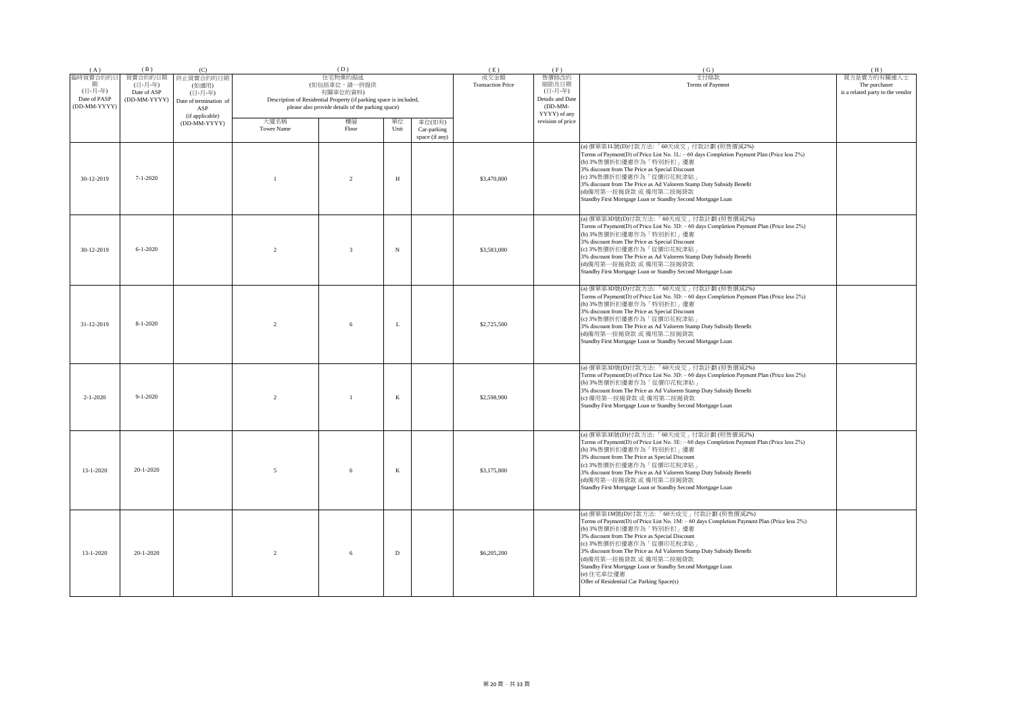| (A)                                                      | (B)                                               | (C)                                                                               |                                                                                                                                                                                              | (D)            |            |                               | (E)                              | (F)                                                                        | (G)                                                                                                                                                                                                                                                                                                                                                                                                                                                                    | (H)                                                              |
|----------------------------------------------------------|---------------------------------------------------|-----------------------------------------------------------------------------------|----------------------------------------------------------------------------------------------------------------------------------------------------------------------------------------------|----------------|------------|-------------------------------|----------------------------------|----------------------------------------------------------------------------|------------------------------------------------------------------------------------------------------------------------------------------------------------------------------------------------------------------------------------------------------------------------------------------------------------------------------------------------------------------------------------------------------------------------------------------------------------------------|------------------------------------------------------------------|
| 臨時買賣合約的日<br>期<br>(日-月-年)<br>Date of PASP<br>(DD-MM-YYYY) | 買賣合約的日期<br>(日-月-年)<br>Date of ASP<br>(DD-MM-YYYY) | 終止買賣合約的日期<br>(如適用)<br>(日-月-年)<br>Date of termination of<br>ASP<br>(if applicable) | 住宅物業的描述<br>(如包括車位,請一併提供<br>有關車位的資料)<br>Description of Residential Property (if parking space is included,<br>please also provide details of the parking space)<br>大廈名稱<br>樓層<br>單位<br>車位(如有) |                |            |                               | 成交金額<br><b>Transaction Price</b> | 售價修改的<br>細節及日期<br>(日-月-年)<br>Details and Date<br>$(DD-MM-$<br>YYYY) of any | 支付條款<br>Terms of Payment                                                                                                                                                                                                                                                                                                                                                                                                                                               | 買方是賣方的有關連人士<br>The purchaser<br>is a related party to the vendor |
|                                                          |                                                   | (DD-MM-YYYY)                                                                      | <b>Tower Name</b>                                                                                                                                                                            | Floor          | Unit       | Car-parking<br>space (if any) |                                  | revision of price                                                          |                                                                                                                                                                                                                                                                                                                                                                                                                                                                        |                                                                  |
| 30-12-2019                                               | $7 - 1 - 2020$                                    |                                                                                   |                                                                                                                                                                                              | $\overline{2}$ | $_{\rm H}$ |                               | \$3,470,800                      |                                                                            | (a) 價單第1L號(D)付款方法:「60天成交」付款計劃 (照售價減2%)<br>Terms of Payment(D) of Price List No. 1L: - 60 days Completion Payment Plan (Price less 2%)<br>(b) 3%售價折扣優惠作為「特別折扣」優惠<br>3% discount from The Price as Special Discount<br>(c) 3%售價折扣優惠作為「從價印花稅津貼」<br>3% discount from The Price as Ad Valorem Stamp Duty Subsidy Benefit<br>(d)備用第一按揭貸款 或 備用第二按揭貸款<br>Standby First Mortgage Loan or Standby Second Mortgage Loan                                                           |                                                                  |
| 30-12-2019                                               | $6 - 1 - 2020$                                    |                                                                                   |                                                                                                                                                                                              | $\overline{3}$ | $_{\rm N}$ |                               | \$3,583,000                      |                                                                            | (a) 價單第3D號(D)付款方法:「60天成交」付款計劃 (照售價減2%)<br>Terms of Payment(D) of Price List No. 3D: - 60 days Completion Payment Plan (Price less 2%)<br>(b) 3%售價折扣優惠作為「特別折扣」優惠<br>3% discount from The Price as Special Discount<br>(c) 3%售價折扣優惠作為「從價印花稅津貼」<br>3% discount from The Price as Ad Valorem Stamp Duty Subsidy Benefit<br>(d)備用第一按揭貸款 或 備用第二按揭貸款<br>Standby First Mortgage Loan or Standby Second Mortgage Loan                                                           |                                                                  |
| 31-12-2019                                               | $8 - 1 - 2020$                                    |                                                                                   | $\mathcal{D}$                                                                                                                                                                                | 6              | L          |                               | \$2,725,500                      |                                                                            | (a) 價單第3D號(D)付款方法:「60天成交」付款計劃(照售價減2%)<br>Terms of Payment(D) of Price List No. 3D: - 60 days Completion Payment Plan (Price less 2%)<br>(b) 3%售價折扣優惠作為「特別折扣」優惠<br>3% discount from The Price as Special Discount<br>(c) 3%售價折扣優惠作為「從價印花稅津貼」<br>3% discount from The Price as Ad Valorem Stamp Duty Subsidy Benefit<br>(d)備用第一按揭貸款 或 備用第二按揭貸款<br>Standby First Mortgage Loan or Standby Second Mortgage Loan                                                            |                                                                  |
| $2 - 1 - 2020$                                           | $9 - 1 - 2020$                                    |                                                                                   | $\mathfrak{D}$                                                                                                                                                                               | $\mathbf{1}$   | K          |                               | \$2,598,900                      |                                                                            | (a) 價單第3D號(D)付款方法:「60天成交」付款計劃(照售價減2%)<br>Terms of Payment(D) of Price List No. 3D: - 60 days Completion Payment Plan (Price less 2%)<br>(b) 3%售價折扣優惠作為「從價印花稅津貼」<br>3% discount from The Price as Ad Valorem Stamp Duty Subsidy Benefit<br>(c) 備用第一按揭貸款 或 備用第二按揭貸款<br>Standby First Mortgage Loan or Standby Second Mortgage Loan                                                                                                                                       |                                                                  |
| $13 - 1 - 2020$                                          | $20 - 1 - 2020$                                   |                                                                                   | $\overline{\phantom{0}}$                                                                                                                                                                     | 6              | K          |                               | \$3,175,800                      |                                                                            | (a) 價單第3E號(D)付款方法:「60天成交」付款計劃 (照售價減2%)<br>Terms of Payment(D) of Price List No. 3E: - 60 days Completion Payment Plan (Price less 2%)<br>(b) 3%售價折扣優惠作為「特別折扣」優惠<br>3% discount from The Price as Special Discount<br>(c) 3%售價折扣優惠作為「從價印花稅津貼」<br>3% discount from The Price as Ad Valorem Stamp Duty Subsidy Benefit<br>(d)備用第一按揭貸款 或 備用第二按揭貸款<br>Standby First Mortgage Loan or Standby Second Mortgage Loan                                                           |                                                                  |
| $13 - 1 - 2020$                                          | $20 - 1 - 2020$                                   |                                                                                   | $\mathfrak{D}$                                                                                                                                                                               | 6              | D          |                               | \$6,205,200                      |                                                                            | (a) 價單第1M號(D)付款方法:「60天成交」付款計劃(照售價減2%)<br>Terms of Payment(D) of Price List No. 1M: - 60 days Completion Payment Plan (Price less 2%)<br>(b) 3%售價折扣優惠作為「特別折扣」優惠<br>3% discount from The Price as Special Discount<br>(c) 3%售價折扣優惠作為「從價印花稅津貼」<br>3% discount from The Price as Ad Valorem Stamp Duty Subsidy Benefit<br>(d)備用第一按揭貸款 或 備用第二按揭貸款<br>Standby First Mortgage Loan or Standby Second Mortgage Loan<br>(e) 住宅車位優惠<br>Offer of Residential Car Parking Space(s) |                                                                  |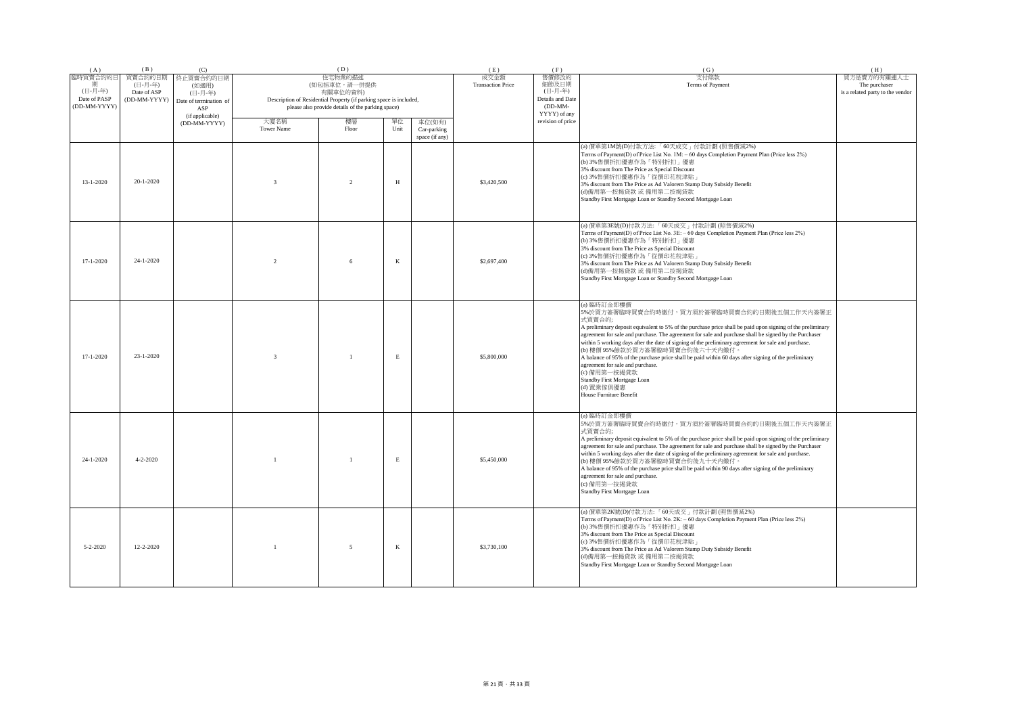| (A)                                                      | (B)                                               | (C)                                                                                               |                | (D)                                                                                                                                                                  |      |                               | (E)                              | (F)                                                                                             | (G)                                                                                                                                                                                                                                                                                                                                                                                                                                                                                                                                                                                                                                                                      | (H)                                                              |
|----------------------------------------------------------|---------------------------------------------------|---------------------------------------------------------------------------------------------------|----------------|----------------------------------------------------------------------------------------------------------------------------------------------------------------------|------|-------------------------------|----------------------------------|-------------------------------------------------------------------------------------------------|--------------------------------------------------------------------------------------------------------------------------------------------------------------------------------------------------------------------------------------------------------------------------------------------------------------------------------------------------------------------------------------------------------------------------------------------------------------------------------------------------------------------------------------------------------------------------------------------------------------------------------------------------------------------------|------------------------------------------------------------------|
| 臨時買賣合約的日<br>期<br>(日-月-年)<br>Date of PASP<br>(DD-MM-YYYY) | 買賣合約的日期<br>(日-月-年)<br>Date of ASP<br>(DD-MM-YYYY) | 終止買賣合約的日期<br>(如適用)<br>(日-月-年)<br>Date of termination of<br>ASP<br>(if applicable)<br>(DD-MM-YYYY) | 大廈名稱           | 住宅物業的描述<br>(如包括車位,請一併提供<br>有關車位的資料)<br>Description of Residential Property (if parking space is included,<br>please also provide details of the parking space)<br>樓層 | 單位   | 車位(如有)                        | 成交金額<br><b>Transaction Price</b> | 售價修改的<br>細節及日期<br>(日-月-年)<br>Details and Date<br>$(DD-MM-$<br>YYYY) of any<br>revision of price | 支付條款<br>Terms of Payment                                                                                                                                                                                                                                                                                                                                                                                                                                                                                                                                                                                                                                                 | 買方是賣方的有關連人士<br>The purchaser<br>is a related party to the vendor |
|                                                          |                                                   |                                                                                                   | Tower Name     | Floor                                                                                                                                                                | Unit | Car-parking<br>space (if any) |                                  |                                                                                                 |                                                                                                                                                                                                                                                                                                                                                                                                                                                                                                                                                                                                                                                                          |                                                                  |
| $13 - 1 - 2020$                                          | $20 - 1 - 2020$                                   |                                                                                                   | $\mathcal{R}$  | $\mathfrak{D}$                                                                                                                                                       | H    |                               | \$3,420,500                      |                                                                                                 | (a) 價單第1M號(D)付款方法:「60天成交」付款計劃(照售價減2%)<br>Terms of Payment(D) of Price List No. 1M: - 60 days Completion Payment Plan (Price less 2%)<br>(b) 3%售價折扣優惠作為「特別折扣」優惠<br>3% discount from The Price as Special Discount<br>(c) 3%售價折扣優惠作為「從價印花稅津貼」<br>3% discount from The Price as Ad Valorem Stamp Duty Subsidy Benefit<br>(d)備用第一按揭貸款 或 備用第二按揭貸款<br>Standby First Mortgage Loan or Standby Second Mortgage Loan                                                                                                                                                                                                                                                              |                                                                  |
| $17 - 1 - 2020$                                          | $24 - 1 - 2020$                                   |                                                                                                   | $\mathfrak{D}$ | 6                                                                                                                                                                    | K    |                               | \$2,697,400                      |                                                                                                 | (a) 價單第3E號(D)付款方法:「60天成交」付款計劃 (照售價減2%)<br>Terms of Payment(D) of Price List No. 3E: - 60 days Completion Payment Plan (Price less 2%)<br>(b) 3%售價折扣優惠作為「特別折扣」優惠<br>3% discount from The Price as Special Discount<br>(c) 3%售價折扣優惠作為「從價印花稅津貼」<br>3% discount from The Price as Ad Valorem Stamp Duty Subsidy Benefit<br>(d)備用第一按揭貸款 或 備用第二按揭貸款<br>Standby First Mortgage Loan or Standby Second Mortgage Loan                                                                                                                                                                                                                                                             |                                                                  |
| $17 - 1 - 2020$                                          | 23-1-2020                                         |                                                                                                   | $\mathcal{R}$  | $\mathbf{1}$                                                                                                                                                         | E    |                               | \$5,800,000                      |                                                                                                 | (a) 臨時訂金即樓價<br>5%於買方簽署臨時買賣合約時繳付,買方須於簽署臨時買賣合約的日期後五個工作天內簽署正<br>式買賣合約;<br>A preliminary deposit equivalent to 5% of the purchase price shall be paid upon signing of the preliminary<br>agreement for sale and purchase. The agreement for sale and purchase shall be signed by the Purchaser<br>within 5 working days after the date of signing of the preliminary agreement for sale and purchase.<br>(b) 樓價 95%餘款於買方簽署臨時買賣合約後六十天內繳付。<br>A balance of 95% of the purchase price shall be paid within 60 days after signing of the preliminary<br>agreement for sale and purchase.<br>(c) 備用第一按揭貸款<br>Standby First Mortgage Loan<br>(d) 置業傢俱優惠<br>House Furniture Benefit |                                                                  |
| $24 - 1 - 2020$                                          | $4 - 2 - 2020$                                    |                                                                                                   |                | $\mathbf{1}$                                                                                                                                                         | Е    |                               | \$5,450,000                      |                                                                                                 | (a) 臨時訂金即樓價<br>5%於買方簽署臨時買賣合約時繳付,買方須於簽署臨時買賣合約的日期後五個工作天內簽署正<br>式買賣合約;<br>A preliminary deposit equivalent to 5% of the purchase price shall be paid upon signing of the preliminary<br>agreement for sale and purchase. The agreement for sale and purchase shall be signed by the Purchaser<br>within 5 working days after the date of signing of the preliminary agreement for sale and purchase.<br>(b) 樓價 95%餘款於買方簽署臨時買賣合約後九十天內繳付。<br>A balance of 95% of the purchase price shall be paid within 90 days after signing of the preliminary<br>agreement for sale and purchase.<br>(c) 備用第一按揭貸款<br>Standby First Mortgage Loan                                          |                                                                  |
| $5 - 2 - 2020$                                           | $12 - 2 - 2020$                                   |                                                                                                   |                | 5                                                                                                                                                                    | K    |                               | \$3,730,100                      |                                                                                                 | (a) 價單第2K號(D)付款方法:「60天成交」付款計劃 (照售價減2%)<br>Terms of Payment(D) of Price List No. 2K: - 60 days Completion Payment Plan (Price less 2%)<br>(b) 3%售價折扣優惠作為「特別折扣」優惠<br>3% discount from The Price as Special Discount<br>(c) 3%售價折扣優惠作為「從價印花稅津貼」<br>3% discount from The Price as Ad Valorem Stamp Duty Subsidy Benefit<br>(d)備用第一按揭貸款 或 備用第二按揭貸款<br>Standby First Mortgage Loan or Standby Second Mortgage Loan                                                                                                                                                                                                                                                             |                                                                  |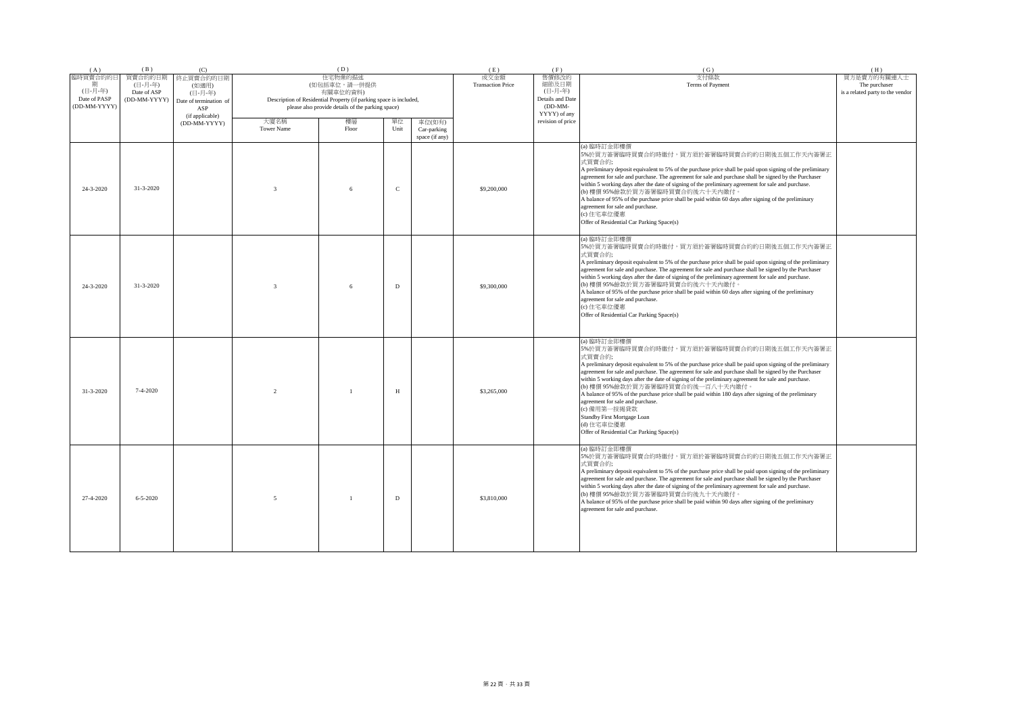| (A)                                                      | (B)                                               | (C)                                                            |                                                                                                                                                                | (D)            |               |                                         | (E)                                                                        | (F)                      | (G)                                                                                                                                                                                                                                                                                                                                                                                                                                                                                                                                                                                                                                                                                           | (H) |
|----------------------------------------------------------|---------------------------------------------------|----------------------------------------------------------------|----------------------------------------------------------------------------------------------------------------------------------------------------------------|----------------|---------------|-----------------------------------------|----------------------------------------------------------------------------|--------------------------|-----------------------------------------------------------------------------------------------------------------------------------------------------------------------------------------------------------------------------------------------------------------------------------------------------------------------------------------------------------------------------------------------------------------------------------------------------------------------------------------------------------------------------------------------------------------------------------------------------------------------------------------------------------------------------------------------|-----|
| 臨時買賣合約的日<br>期<br>(日-月-年)<br>Date of PASP<br>(DD-MM-YYYY) | 買賣合約的日期<br>(日-月-年)<br>Date of ASP<br>(DD-MM-YYYY) | 終止買賣合約的日期<br>(如適用)<br>(日-月-年)<br>Date of termination of<br>ASP | 住宅物業的描述<br>(如包括車位,請一併提供<br>有關車位的資料)<br>Description of Residential Property (if parking space is included,<br>please also provide details of the parking space) |                |               | 成交金額<br><b>Transaction Price</b>        | 售價修改的<br>細節及日期<br>(日-月-年)<br>Details and Date<br>$(DD-MM-$<br>YYYY) of any | 支付條款<br>Terms of Payment | 買方是賣方的有關連人士<br>The purchaser<br>is a related party to the vendor                                                                                                                                                                                                                                                                                                                                                                                                                                                                                                                                                                                                                              |     |
|                                                          |                                                   | (if applicable)<br>(DD-MM-YYYY)                                | 大廈名稱<br><b>Tower Name</b>                                                                                                                                      | 樓層<br>Floor    | 單位<br>Unit    | 車位(如有)<br>Car-parking<br>space (if any) |                                                                            | revision of price        |                                                                                                                                                                                                                                                                                                                                                                                                                                                                                                                                                                                                                                                                                               |     |
| 24-3-2020                                                | 31-3-2020                                         |                                                                | $\mathbf{3}$                                                                                                                                                   | 6              | $\mathcal{C}$ |                                         | \$9,200,000                                                                |                          | (a) 臨時訂金即樓價<br>5%於買方簽署臨時買賣合約時繳付,買方須於簽署臨時買賣合約的日期後五個工作天內簽署正<br>式買賣合約;<br>A preliminary deposit equivalent to 5% of the purchase price shall be paid upon signing of the preliminary<br>agreement for sale and purchase. The agreement for sale and purchase shall be signed by the Purchaser<br>within 5 working days after the date of signing of the preliminary agreement for sale and purchase.<br>(b) 樓價 95%餘款於買方簽署臨時買賣合約後六十天內繳付。<br>A balance of 95% of the purchase price shall be paid within 60 days after signing of the preliminary<br>agreement for sale and purchase.<br>(c) 住宅車位優惠<br>Offer of Residential Car Parking Space(s)                                                   |     |
| 24-3-2020                                                | 31-3-2020                                         |                                                                | $\mathbf{3}$                                                                                                                                                   | 6              | D             |                                         | \$9,300,000                                                                |                          | (a) 臨時訂金即樓價<br>5%於買方簽署臨時買賣合約時繳付,買方須於簽署臨時買賣合約的日期後五個工作天內簽署正<br>式買賣合約;<br>A preliminary deposit equivalent to 5% of the purchase price shall be paid upon signing of the preliminary<br>agreement for sale and purchase. The agreement for sale and purchase shall be signed by the Purchaser<br>within 5 working days after the date of signing of the preliminary agreement for sale and purchase.<br>(b) 樓價 95%餘款於買方簽署臨時買賣合約後六十天內繳付。<br>A balance of 95% of the purchase price shall be paid within 60 days after signing of the preliminary<br>agreement for sale and purchase.<br>(c) 住宅車位優惠<br>Offer of Residential Car Parking Space(s)                                                   |     |
| $31 - 3 - 2020$                                          | $7 - 4 - 2020$                                    |                                                                | 2                                                                                                                                                              | $\overline{1}$ | H             |                                         | \$3,265,000                                                                |                          | (a) 臨時訂金即樓價<br>5%於買方簽署臨時買賣合約時繳付,買方須於簽署臨時買賣合約的日期後五個工作天內簽署正<br>式買賣合約;<br>A preliminary deposit equivalent to 5% of the purchase price shall be paid upon signing of the preliminary<br>agreement for sale and purchase. The agreement for sale and purchase shall be signed by the Purchaser<br>within 5 working days after the date of signing of the preliminary agreement for sale and purchase.<br>(b) 樓價 95%餘款於買方簽署臨時買賣合約後一百八十天內繳付。<br>A balance of 95% of the purchase price shall be paid within 180 days after signing of the preliminary<br>agreement for sale and purchase.<br>(c) 備用第一按揭貸款<br>Standby First Mortgage Loan<br>(d) 住宅車位優惠<br>Offer of Residential Car Parking Space(s) |     |
| 27-4-2020                                                | $6 - 5 - 2020$                                    |                                                                | $\sim$                                                                                                                                                         | $\overline{1}$ | D             |                                         | \$3,810,000                                                                |                          | (a) 臨時訂金即樓價<br>5%於買方簽署臨時買賣合約時繳付,買方須於簽署臨時買賣合約的日期後五個工作天內簽署正<br>式買賣合約;<br>A preliminary deposit equivalent to 5% of the purchase price shall be paid upon signing of the preliminary<br>agreement for sale and purchase. The agreement for sale and purchase shall be signed by the Purchaser<br>within 5 working days after the date of signing of the preliminary agreement for sale and purchase.<br>(b) 樓價 95%餘款於買方簽署臨時買賣合約後九十天內繳付。<br>A balance of 95% of the purchase price shall be paid within 90 days after signing of the preliminary<br>agreement for sale and purchase.                                                                                                              |     |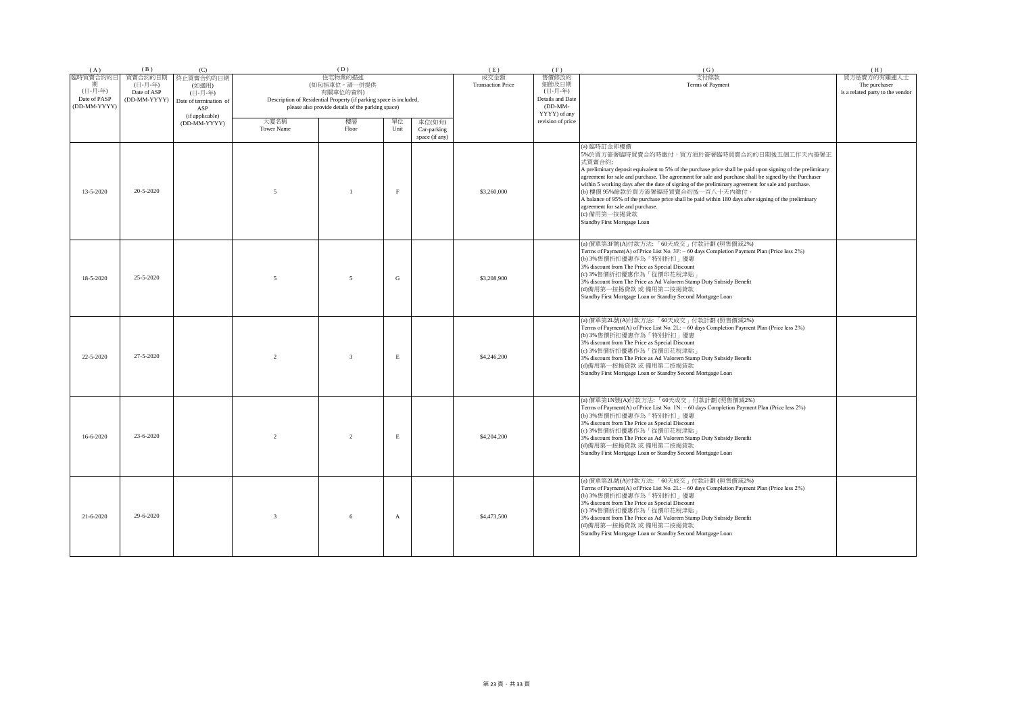| (A)             | (B)                | (C)                    |                   | (D)                                                                |              |                       | (E)                              | (F)                               | (G)                                                                                                                                                                                                                                                                                                                                                                                                                                                                                                                                                                                                                                | (H)                              |
|-----------------|--------------------|------------------------|-------------------|--------------------------------------------------------------------|--------------|-----------------------|----------------------------------|-----------------------------------|------------------------------------------------------------------------------------------------------------------------------------------------------------------------------------------------------------------------------------------------------------------------------------------------------------------------------------------------------------------------------------------------------------------------------------------------------------------------------------------------------------------------------------------------------------------------------------------------------------------------------------|----------------------------------|
| 臨時買賣合約的日        | 買賣合約的日期<br>(日-月-年) | 終止買賣合約的日期<br>(如適用)     |                   | 住宅物業的描述<br>(如包括車位,請一併提供                                            |              |                       | 成交金額<br><b>Transaction Price</b> | 售價修改的<br>細節及日期                    | 支付條款<br>Terms of Payment                                                                                                                                                                                                                                                                                                                                                                                                                                                                                                                                                                                                           | 買方是賣方的有關連人士<br>The purchaser     |
| (日-月-年)         | Date of ASP        | (日-月-年)                |                   | 有關車位的資料)                                                           |              |                       |                                  | (日-月-年)                           |                                                                                                                                                                                                                                                                                                                                                                                                                                                                                                                                                                                                                                    | is a related party to the vendor |
| Date of PASP    | (DD-MM-YYYY)       | Date of termination of |                   | Description of Residential Property (if parking space is included, |              |                       |                                  | Details and Date                  |                                                                                                                                                                                                                                                                                                                                                                                                                                                                                                                                                                                                                                    |                                  |
| (DD-MM-YYYY)    |                    | ASP                    |                   | please also provide details of the parking space)                  |              |                       |                                  | $(DD-MM-$                         |                                                                                                                                                                                                                                                                                                                                                                                                                                                                                                                                                                                                                                    |                                  |
|                 |                    | (if applicable)        | 大廈名稱              | 樓層                                                                 | 單位           |                       |                                  | YYYY) of any<br>revision of price |                                                                                                                                                                                                                                                                                                                                                                                                                                                                                                                                                                                                                                    |                                  |
|                 |                    | (DD-MM-YYYY)           | <b>Tower Name</b> | Floor                                                              | Unit         | 車位(如有)<br>Car-parking |                                  |                                   |                                                                                                                                                                                                                                                                                                                                                                                                                                                                                                                                                                                                                                    |                                  |
|                 |                    |                        |                   |                                                                    |              | space (if any)        |                                  |                                   |                                                                                                                                                                                                                                                                                                                                                                                                                                                                                                                                                                                                                                    |                                  |
| 13-5-2020       | 20-5-2020          |                        | $\overline{5}$    |                                                                    | F            |                       | \$3,260,000                      |                                   | (a) 臨時訂金即樓價<br>5%於買方簽署臨時買賣合約時繳付,買方須於簽署臨時買賣合約的日期後五個工作天內簽署正<br>式買賣合約;<br>A preliminary deposit equivalent to 5% of the purchase price shall be paid upon signing of the preliminary<br>agreement for sale and purchase. The agreement for sale and purchase shall be signed by the Purchaser<br>within 5 working days after the date of signing of the preliminary agreement for sale and purchase.<br>(b) 樓價 95%餘款於買方簽署臨時買賣合約後一百八十天內繳付。<br>A balance of 95% of the purchase price shall be paid within 180 days after signing of the preliminary<br>agreement for sale and purchase.<br>(c) 備用第一按揭貸款<br>Standby First Mortgage Loan |                                  |
| 18-5-2020       | 25-5-2020          |                        | $\overline{5}$    | $\overline{5}$                                                     | ${\bf G}$    |                       | \$3,208,900                      |                                   | (a) 價單第3F號(A)付款方法: 「60天成交」付款計劃 (照售價減2%)<br>Terms of Payment(A) of Price List No. 3F: - 60 days Completion Payment Plan (Price less 2%)<br>(b) 3%售價折扣優惠作為「特別折扣」優惠<br>3% discount from The Price as Special Discount<br>(c) 3%售價折扣優惠作為「從價印花稅津貼」<br>3% discount from The Price as Ad Valorem Stamp Duty Subsidy Benefit<br>(d)備用第一按揭貸款 或 備用第二按揭貸款<br>Standby First Mortgage Loan or Standby Second Mortgage Loan                                                                                                                                                                                                                      |                                  |
| 22-5-2020       | 27-5-2020          |                        | $\mathfrak{D}$    | $\mathbf{3}$                                                       | $\,$ E       |                       | \$4,246,200                      |                                   | (a) 價單第2L號(A)付款方法:「60天成交」付款計劃 (照售價減2%)<br>Terms of Payment(A) of Price List No. 2L: - 60 days Completion Payment Plan (Price less 2%)<br>(b) 3%售價折扣優惠作為「特別折扣」優惠<br>3% discount from The Price as Special Discount<br>(c) 3%售價折扣優惠作為「從價印花稅津貼」<br>3% discount from The Price as Ad Valorem Stamp Duty Subsidy Benefit<br>(d)備用第一按揭貸款 或 備用第二按揭貸款<br>Standby First Mortgage Loan or Standby Second Mortgage Loan                                                                                                                                                                                                                       |                                  |
| $16 - 6 - 2020$ | 23-6-2020          |                        | $\overline{2}$    | $\overline{2}$                                                     | $\,$ E       |                       | \$4,204,200                      |                                   | (a) 價單第1N號(A)付款方法:「60天成交」付款計劃 (照售價減2%)<br>Terms of Payment(A) of Price List No. 1N: - 60 days Completion Payment Plan (Price less 2%)<br>(b) 3%售價折扣優惠作為「特別折扣」優惠<br>3% discount from The Price as Special Discount<br>(c) 3%售價折扣優惠作為「從價印花稅津貼」<br>3% discount from The Price as Ad Valorem Stamp Duty Subsidy Benefit<br>(d)備用第一按揭貸款 或 備用第二按揭貸款<br>Standby First Mortgage Loan or Standby Second Mortgage Loan                                                                                                                                                                                                                       |                                  |
| 21-6-2020       | 29-6-2020          |                        | $\mathbf{3}$      |                                                                    | $\mathbf{A}$ |                       | \$4,473,500                      |                                   | (a) 價單第2L號(A)付款方法:「60天成交」付款計劃 (照售價減2%)<br>Terms of Payment(A) of Price List No. 2L: - 60 days Completion Payment Plan (Price less 2%)<br>(b) 3%售價折扣優惠作為「特別折扣」優惠<br>3% discount from The Price as Special Discount<br>(c) 3%售價折扣優惠作為「從價印花稅津貼」<br>3% discount from The Price as Ad Valorem Stamp Duty Subsidy Benefit<br>(d)備用第一按揭貸款 或 備用第二按揭貸款<br>Standby First Mortgage Loan or Standby Second Mortgage Loan                                                                                                                                                                                                                       |                                  |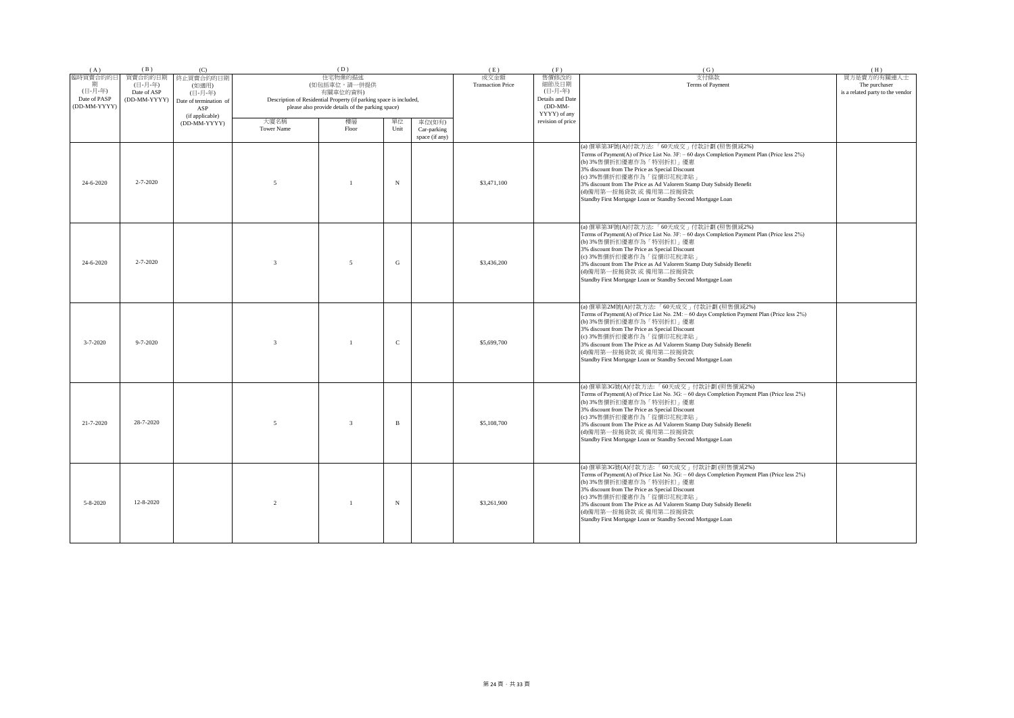| (A)                                                 | (B)                                               | (C)                                                                               |                           | (D)                                                                                                                                                            |             |                                         | (E)                              | (F)                                                                        | (G)                                                                                                                                                                                                                                                                                                                                                                                                           | (H)                                                              |
|-----------------------------------------------------|---------------------------------------------------|-----------------------------------------------------------------------------------|---------------------------|----------------------------------------------------------------------------------------------------------------------------------------------------------------|-------------|-----------------------------------------|----------------------------------|----------------------------------------------------------------------------|---------------------------------------------------------------------------------------------------------------------------------------------------------------------------------------------------------------------------------------------------------------------------------------------------------------------------------------------------------------------------------------------------------------|------------------------------------------------------------------|
| 臨時買賣合約的日<br>(日-月-年)<br>Date of PASP<br>(DD-MM-YYYY) | 買賣合約的日期<br>(日-月-年)<br>Date of ASP<br>(DD-MM-YYYY) | 終止買賣合約的日期<br>(如適用)<br>(日-月-年)<br>Date of termination of<br>ASP<br>(if applicable) |                           | 住宅物業的描述<br>(如包括車位,請一併提供<br>有關車位的資料)<br>Description of Residential Property (if parking space is included,<br>please also provide details of the parking space) |             |                                         | 成交金額<br><b>Transaction Price</b> | 售價修改的<br>細節及日期<br>(日-月-年)<br>Details and Date<br>$(DD-MM-$<br>YYYY) of any | 支付條款<br>Terms of Payment                                                                                                                                                                                                                                                                                                                                                                                      | 買方是賣方的有關連人士<br>The purchaser<br>is a related party to the vendor |
|                                                     |                                                   | (DD-MM-YYYY)                                                                      | 大廈名稱<br><b>Tower Name</b> | 樓層<br>Floor                                                                                                                                                    | 單位<br>Unit  | 車位(如有)<br>Car-parking<br>space (if any) |                                  | revision of price                                                          |                                                                                                                                                                                                                                                                                                                                                                                                               |                                                                  |
| 24-6-2020                                           | $2 - 7 - 2020$                                    |                                                                                   | $\overline{5}$            | $\overline{1}$                                                                                                                                                 | $_{\rm N}$  |                                         | \$3,471,100                      |                                                                            | (a) 價單第3F號(A)付款方法:「60天成交」付款計劃(照售價減2%)<br>Terms of Payment(A) of Price List No. 3F: - 60 days Completion Payment Plan (Price less 2%)<br>(b) 3%售價折扣優惠作為「特別折扣」優惠<br>3% discount from The Price as Special Discount<br>(c) 3%售價折扣優惠作為「從價印花稅津貼」<br>3% discount from The Price as Ad Valorem Stamp Duty Subsidy Benefit<br>(d)備用第一按揭貸款 或 備用第二按揭貸款<br>Standby First Mortgage Loan or Standby Second Mortgage Loan   |                                                                  |
| 24-6-2020                                           | $2 - 7 - 2020$                                    |                                                                                   | $\overline{3}$            | $\sim$                                                                                                                                                         | G           |                                         | \$3,436,200                      |                                                                            | (a) 價單第3F號(A)付款方法:「60天成交」付款計劃(照售價減2%)<br>Terms of Payment(A) of Price List No. 3F: - 60 days Completion Payment Plan (Price less 2%)<br>(b) 3%售價折扣優惠作為「特別折扣」優惠<br>3% discount from The Price as Special Discount<br>(c) 3%售價折扣優惠作為「從價印花稅津貼」<br>3% discount from The Price as Ad Valorem Stamp Duty Subsidy Benefit<br>(d)備用第一按揭貸款 或 備用第二按揭貸款<br>Standby First Mortgage Loan or Standby Second Mortgage Loan   |                                                                  |
| $3 - 7 - 2020$                                      | $9 - 7 - 2020$                                    |                                                                                   | $\overline{3}$            |                                                                                                                                                                | $\mathbf C$ |                                         | \$5,699,700                      |                                                                            | (a) 價單第2M號(A)付款方法:「60天成交」付款計劃(照售價減2%)<br>Terms of Payment(A) of Price List No. 2M: - 60 days Completion Payment Plan (Price less 2%)<br>(b) 3%售價折扣優惠作為「特別折扣」優惠<br>3% discount from The Price as Special Discount<br>(c) 3%售價折扣優惠作為「從價印花稅津貼」<br>3% discount from The Price as Ad Valorem Stamp Duty Subsidy Benefit<br>(d)備用第一按揭貸款 或 備用第二按揭貸款<br>Standby First Mortgage Loan or Standby Second Mortgage Loan   |                                                                  |
| 21-7-2020                                           | 28-7-2020                                         |                                                                                   | $\overline{5}$            | $\overline{3}$                                                                                                                                                 | B           |                                         | \$5,108,700                      |                                                                            | (a) 價單第3G號(A)付款方法:「60天成交」付款計劃(照售價減2%)<br>Terms of Payment(A) of Price List No. 3G: - 60 days Completion Payment Plan (Price less 2%)<br>(b) 3%售價折扣優惠作為「特別折扣」優惠<br>3% discount from The Price as Special Discount<br>(c) 3%售價折扣優惠作為「從價印花稅津貼<br>3% discount from The Price as Ad Valorem Stamp Duty Subsidy Benefit<br>(d)備用第一按揭貸款 或 備用第二按揭貸款<br>Standby First Mortgage Loan or Standby Second Mortgage Loan    |                                                                  |
| 5-8-2020                                            | 12-8-2020                                         |                                                                                   | 2                         | $\overline{1}$                                                                                                                                                 | $_{\rm N}$  |                                         | \$3,261,900                      |                                                                            | (a) 價單第3G號(A)付款方法: 「60天成交」付款計劃 (照售價減2%)<br>Terms of Payment(A) of Price List No. 3G: - 60 days Completion Payment Plan (Price less 2%)<br>(b) 3%售價折扣優惠作為「特別折扣」優惠<br>3% discount from The Price as Special Discount<br>(c) 3%售價折扣優惠作為「從價印花稅津貼」<br>3% discount from The Price as Ad Valorem Stamp Duty Subsidy Benefit<br>(d)備用第一按揭貸款 或 備用第二按揭貸款<br>Standby First Mortgage Loan or Standby Second Mortgage Loan |                                                                  |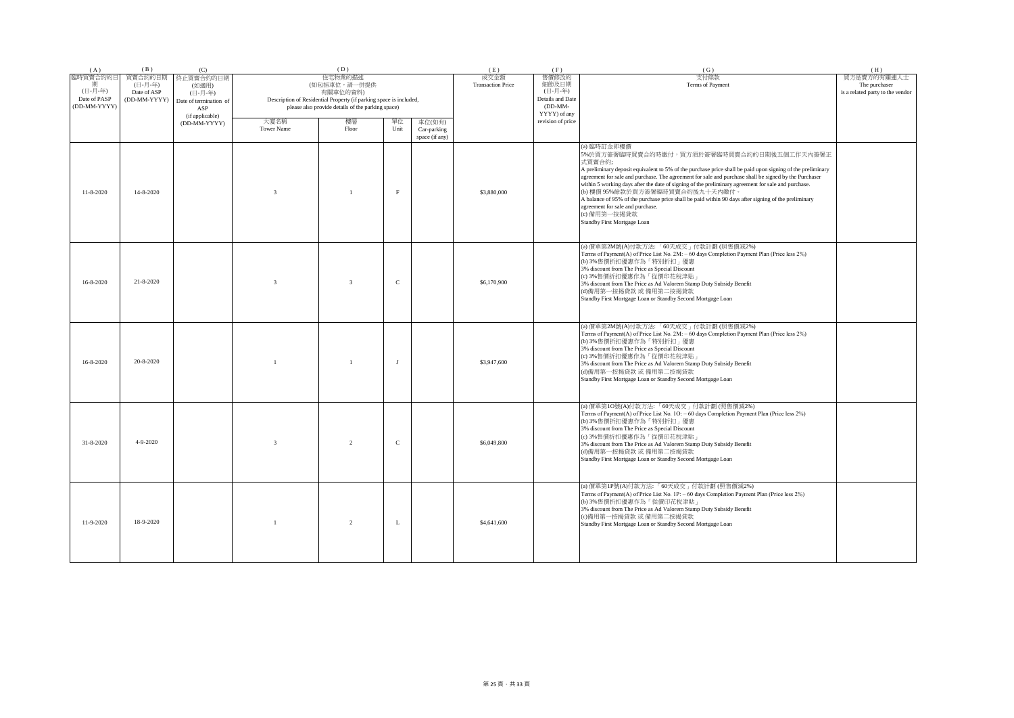| (A)                          | (B)                | (C)                    |                   | (D)                                                                |              |                | (E)                              | (F)                           | (G)                                                                                                                                                                                                                                                                                                                                                                                                                                                                                                                                                                                                                             | (H)                              |
|------------------------------|--------------------|------------------------|-------------------|--------------------------------------------------------------------|--------------|----------------|----------------------------------|-------------------------------|---------------------------------------------------------------------------------------------------------------------------------------------------------------------------------------------------------------------------------------------------------------------------------------------------------------------------------------------------------------------------------------------------------------------------------------------------------------------------------------------------------------------------------------------------------------------------------------------------------------------------------|----------------------------------|
| 臨時買賣合約的日                     | 買賣合約的日期<br>(日-月-年) | 終止買賣合約的日期<br>(如適用)     |                   | 住宅物業的描述<br>(如包括車位,請一併提供                                            |              |                | 成交金額<br><b>Transaction Price</b> | 售價修改的<br>細節及日期                | 支付條款<br>Terms of Payment                                                                                                                                                                                                                                                                                                                                                                                                                                                                                                                                                                                                        | 買方是賣方的有關連人士<br>The purchaser     |
| (日-月-年)                      | Date of ASP        | (日-月-年)                |                   | 有關車位的資料)                                                           |              |                |                                  | (日-月-年)                       |                                                                                                                                                                                                                                                                                                                                                                                                                                                                                                                                                                                                                                 | is a related party to the vendor |
| Date of PASP<br>(DD-MM-YYYY) | (DD-MM-YYYY)       | Date of termination of |                   | Description of Residential Property (if parking space is included, |              |                |                                  | Details and Date<br>$(DD-MM-$ |                                                                                                                                                                                                                                                                                                                                                                                                                                                                                                                                                                                                                                 |                                  |
|                              |                    | ASP<br>(if applicable) |                   | please also provide details of the parking space)                  |              |                |                                  | YYYY) of any                  |                                                                                                                                                                                                                                                                                                                                                                                                                                                                                                                                                                                                                                 |                                  |
|                              |                    | (DD-MM-YYYY)           | 大廈名稱              | 樓層                                                                 | 單位           | 車位(如有)         |                                  | revision of price             |                                                                                                                                                                                                                                                                                                                                                                                                                                                                                                                                                                                                                                 |                                  |
|                              |                    |                        | <b>Tower Name</b> | Floor                                                              | Unit         | Car-parking    |                                  |                               |                                                                                                                                                                                                                                                                                                                                                                                                                                                                                                                                                                                                                                 |                                  |
|                              |                    |                        |                   |                                                                    |              | space (if any) |                                  |                               |                                                                                                                                                                                                                                                                                                                                                                                                                                                                                                                                                                                                                                 |                                  |
| $11 - 8 - 2020$              | 14-8-2020          |                        | $\overline{3}$    |                                                                    | F            |                | \$3,880,000                      |                               | (a) 臨時訂金即樓價<br>5%於買方簽署臨時買賣合約時繳付,買方須於簽署臨時買賣合約的日期後五個工作天內簽署正<br>式買賣合約;<br>A preliminary deposit equivalent to 5% of the purchase price shall be paid upon signing of the preliminary<br>agreement for sale and purchase. The agreement for sale and purchase shall be signed by the Purchaser<br>within 5 working days after the date of signing of the preliminary agreement for sale and purchase.<br>(b) 樓價 95%餘款於買方簽署臨時買賣合約後九十天內繳付。<br>A balance of 95% of the purchase price shall be paid within 90 days after signing of the preliminary<br>agreement for sale and purchase.<br>(c) 備用第一按揭貸款<br>Standby First Mortgage Loan |                                  |
| $16 - 8 - 2020$              | $21 - 8 - 2020$    |                        | $\mathbf{3}$      | $\mathbf{3}$                                                       | $\mathsf{C}$ |                | \$6,170,900                      |                               | (a) 價單第2M號(A)付款方法: 「60天成交」付款計劃 (照售價減2%)<br>Terms of Payment(A) of Price List No. 2M: - 60 days Completion Payment Plan (Price less 2%)<br>(b) 3%售價折扣優惠作為「特別折扣」優惠<br>3% discount from The Price as Special Discount<br>(c) 3%售價折扣優惠作為「從價印花稅津貼」<br>3% discount from The Price as Ad Valorem Stamp Duty Subsidy Benefit<br>(d)備用第一按揭貸款 或 備用第二按揭貸款<br>Standby First Mortgage Loan or Standby Second Mortgage Loan                                                                                                                                                                                                                   |                                  |
| $16 - 8 - 2020$              | 20-8-2020          |                        |                   | $\overline{1}$                                                     | $\mathbf{I}$ |                | \$3,947,600                      |                               | (a) 價單第2M號(A)付款方法: 「60天成交」付款計劃 (照售價減2%)<br>Terms of Payment(A) of Price List No. 2M: - 60 days Completion Payment Plan (Price less 2%)<br>(b) 3%售價折扣優惠作為「特別折扣」優惠<br>3% discount from The Price as Special Discount<br>(c) 3%售價折扣優惠作為「從價印花稅津貼」<br>3% discount from The Price as Ad Valorem Stamp Duty Subsidy Benefit<br>(d)備用第一按揭貸款 或 備用第二按揭貸款<br>Standby First Mortgage Loan or Standby Second Mortgage Loan                                                                                                                                                                                                                   |                                  |
| 31-8-2020                    | $4 - 9 - 2020$     |                        | $\overline{3}$    | 2                                                                  | $\mathsf{C}$ |                | \$6,049,800                      |                               | (a) 價單第10號(A)付款方法:「60天成交」付款計劃(照售價減2%)<br>Terms of Payment(A) of Price List No. 1O: - 60 days Completion Payment Plan (Price less 2%)<br>(b) 3%售價折扣優惠作為「特別折扣」優惠<br>3% discount from The Price as Special Discount<br>(c) 3%售價折扣優惠作為「從價印花稅津貼」<br>3% discount from The Price as Ad Valorem Stamp Duty Subsidy Benefit<br>(d)備用第一按揭貸款 或 備用第二按揭貸款<br>Standby First Mortgage Loan or Standby Second Mortgage Loan                                                                                                                                                                                                                     |                                  |
| 11-9-2020                    | 18-9-2020          |                        | $\overline{1}$    | 2                                                                  | L            |                | \$4,641,600                      |                               | (a) 價單第1P號(A)付款方法: 「60天成交」付款計劃 (照售價減2%)<br>Terms of Payment(A) of Price List No. 1P: - 60 days Completion Payment Plan (Price less 2%)<br>(b) 3%售價折扣優惠作為「從價印花稅津貼」<br>3% discount from The Price as Ad Valorem Stamp Duty Subsidy Benefit<br>(c)備用第一按揭貸款 或 備用第二按揭貸款<br>Standby First Mortgage Loan or Standby Second Mortgage Loan                                                                                                                                                                                                                                                                                               |                                  |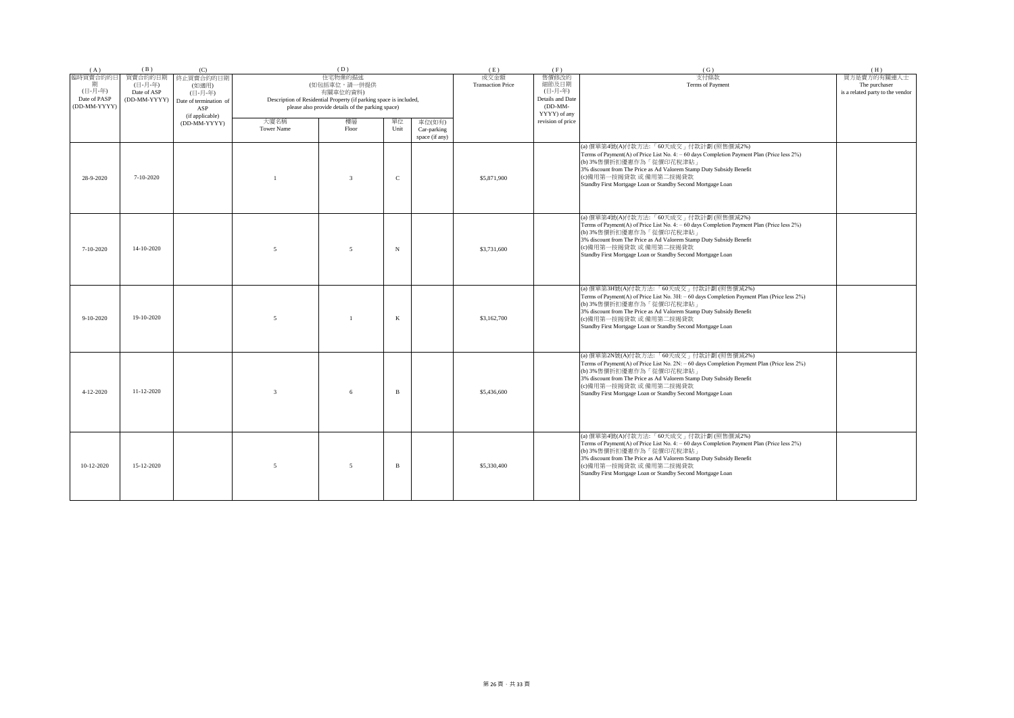| (A)             | (B)                | (C)                    |                   | (D)                                                                |                     | (E)                              | (F)                       | (G)                                                                                                                                   | (H)                              |
|-----------------|--------------------|------------------------|-------------------|--------------------------------------------------------------------|---------------------|----------------------------------|---------------------------|---------------------------------------------------------------------------------------------------------------------------------------|----------------------------------|
| 臨時買賣合約的日<br>龃   | 買賣合約的日期<br>(日-月-年) | 終止買賣合約的日期<br>(如適用)     |                   | 住宅物業的描述<br>(如包括車位,請一併提供                                            |                     | 成交金額<br><b>Transaction Price</b> | 售價修改的<br>細節及日期            | 支付條款<br>Terms of Payment                                                                                                              | 買方是賣方的有關連人士<br>The purchaser     |
| (日-月-年)         | Date of ASP        | (日-月-年)                |                   | 有關車位的資料)                                                           |                     |                                  | (日-月-年)                   |                                                                                                                                       | is a related party to the vendor |
| Date of PASP    | (DD-MM-YYYY)       | Date of termination of |                   | Description of Residential Property (if parking space is included, |                     |                                  | Details and Date          |                                                                                                                                       |                                  |
| (DD-MM-YYYY)    |                    | ASP<br>(if applicable) |                   | please also provide details of the parking space)                  |                     |                                  | $(DD-MM-$<br>YYYY) of any |                                                                                                                                       |                                  |
|                 |                    | (DD-MM-YYYY)           | 大廈名稱              | 樓層                                                                 | 單位<br>車位(如有)        |                                  | revision of price         |                                                                                                                                       |                                  |
|                 |                    |                        | <b>Tower Name</b> | Floor                                                              | Unit<br>Car-parking |                                  |                           |                                                                                                                                       |                                  |
|                 |                    |                        |                   |                                                                    | space (if any)      |                                  |                           |                                                                                                                                       |                                  |
|                 |                    |                        |                   |                                                                    |                     |                                  |                           | (a) 價單第4號(A)付款方法:「60天成交」付款計劃 (照售價減2%)<br>Terms of Payment(A) of Price List No. 4: - 60 days Completion Payment Plan (Price less 2%)   |                                  |
|                 |                    |                        |                   |                                                                    |                     |                                  |                           | (b) 3%售價折扣優惠作為「從價印花稅津貼」                                                                                                               |                                  |
|                 |                    |                        |                   |                                                                    |                     |                                  |                           | 3% discount from The Price as Ad Valorem Stamp Duty Subsidy Benefit                                                                   |                                  |
| 28-9-2020       | $7-10-2020$        |                        |                   | $\overline{3}$                                                     | $\mathcal{C}$       | \$5,871,900                      |                           | (c)備用第一按揭貸款 或 備用第二按揭貸款<br>Standby First Mortgage Loan or Standby Second Mortgage Loan                                                 |                                  |
|                 |                    |                        |                   |                                                                    |                     |                                  |                           |                                                                                                                                       |                                  |
|                 |                    |                        |                   |                                                                    |                     |                                  |                           |                                                                                                                                       |                                  |
|                 |                    |                        |                   |                                                                    |                     |                                  |                           |                                                                                                                                       |                                  |
|                 |                    |                        |                   |                                                                    |                     |                                  |                           | (a) 價單第4號(A)付款方法:「60天成交」付款計劃(照售價減2%)<br>Terms of Payment(A) of Price List No. 4: - 60 days Completion Payment Plan (Price less 2%)    |                                  |
|                 |                    |                        |                   |                                                                    |                     |                                  |                           | (b) 3%售價折扣優惠作為「從價印花稅津貼」                                                                                                               |                                  |
|                 |                    |                        |                   |                                                                    |                     |                                  |                           | 3% discount from The Price as Ad Valorem Stamp Duty Subsidy Benefit<br>(c)備用第一按揭貸款 或 備用第二按揭貸款                                         |                                  |
| 7-10-2020       | 14-10-2020         |                        | $\overline{5}$    | 5                                                                  | $_{\rm N}$          | \$3,731,600                      |                           | Standby First Mortgage Loan or Standby Second Mortgage Loan                                                                           |                                  |
|                 |                    |                        |                   |                                                                    |                     |                                  |                           |                                                                                                                                       |                                  |
|                 |                    |                        |                   |                                                                    |                     |                                  |                           |                                                                                                                                       |                                  |
|                 |                    |                        |                   |                                                                    |                     |                                  |                           |                                                                                                                                       |                                  |
|                 |                    |                        |                   |                                                                    |                     |                                  |                           | (a) 價單第3H號(A)付款方法:「60天成交」付款計劃 (照售價減2%)<br>Terms of Payment(A) of Price List No. 3H: - 60 days Completion Payment Plan (Price less 2%) |                                  |
|                 |                    |                        |                   |                                                                    |                     |                                  |                           | (b) 3%售價折扣優惠作為「從價印花稅津貼」                                                                                                               |                                  |
| $9-10-2020$     | 19-10-2020         |                        | $\overline{5}$    | $\overline{1}$                                                     | K                   | \$3,162,700                      |                           | 3% discount from The Price as Ad Valorem Stamp Duty Subsidy Benefit<br>(c)備用第一按揭貸款 或 備用第二按揭貸款                                         |                                  |
|                 |                    |                        |                   |                                                                    |                     |                                  |                           | Standby First Mortgage Loan or Standby Second Mortgage Loan                                                                           |                                  |
|                 |                    |                        |                   |                                                                    |                     |                                  |                           |                                                                                                                                       |                                  |
|                 |                    |                        |                   |                                                                    |                     |                                  |                           |                                                                                                                                       |                                  |
|                 |                    |                        |                   |                                                                    |                     |                                  |                           | (a) 價單第2N號(A)付款方法: 「60天成交」付款計劃 (照售價減2%)                                                                                               |                                  |
|                 |                    |                        |                   |                                                                    |                     |                                  |                           | Terms of Payment(A) of Price List No. 2N: - 60 days Completion Payment Plan (Price less 2%)<br>(b) 3%售價折扣優惠作為「從價印花稅津貼」                |                                  |
|                 |                    |                        |                   |                                                                    |                     |                                  |                           | 3% discount from The Price as Ad Valorem Stamp Duty Subsidy Benefit                                                                   |                                  |
|                 | $11 - 12 - 2020$   |                        | $\mathcal{R}$     |                                                                    | $\mathbf{B}$        |                                  |                           | (c)備用第一按揭貸款 或 備用第二按揭貸款                                                                                                                |                                  |
| $4 - 12 - 2020$ |                    |                        |                   | 6                                                                  |                     | \$5,436,600                      |                           | Standby First Mortgage Loan or Standby Second Mortgage Loan                                                                           |                                  |
|                 |                    |                        |                   |                                                                    |                     |                                  |                           |                                                                                                                                       |                                  |
|                 |                    |                        |                   |                                                                    |                     |                                  |                           |                                                                                                                                       |                                  |
|                 |                    |                        |                   |                                                                    |                     |                                  |                           |                                                                                                                                       |                                  |
|                 |                    |                        |                   |                                                                    |                     |                                  |                           | (a) 價單第4號(A)付款方法:「60天成交」付款計劃 (照售價減2%)<br>Terms of Payment(A) of Price List No. 4: - 60 days Completion Payment Plan (Price less 2%)   |                                  |
|                 |                    |                        |                   |                                                                    |                     |                                  |                           | (b) 3%售價折扣優惠作為「從價印花稅津貼」                                                                                                               |                                  |
|                 |                    |                        |                   |                                                                    |                     |                                  |                           | 3% discount from The Price as Ad Valorem Stamp Duty Subsidy Benefit                                                                   |                                  |
| 10-12-2020      | 15-12-2020         |                        | $\overline{5}$    | 5                                                                  | B                   | \$5,330,400                      |                           | (c)備用第一按揭貸款 或 備用第二按揭貸款<br>Standby First Mortgage Loan or Standby Second Mortgage Loan                                                 |                                  |
|                 |                    |                        |                   |                                                                    |                     |                                  |                           |                                                                                                                                       |                                  |
|                 |                    |                        |                   |                                                                    |                     |                                  |                           |                                                                                                                                       |                                  |
|                 |                    |                        |                   |                                                                    |                     |                                  |                           |                                                                                                                                       |                                  |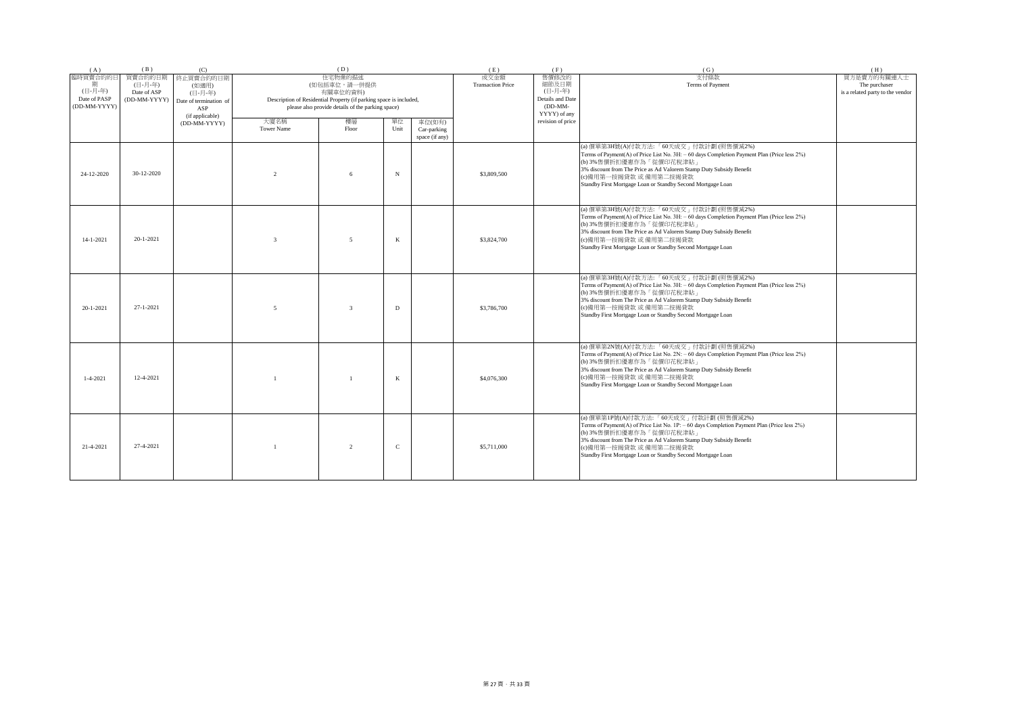| (A)             | (B)          | (C)                    |                   | (D)                                                                |             |                | (E)                      | (F)               | (G)                                                                                                                                                                                                                                                                                                                               | (H)                              |
|-----------------|--------------|------------------------|-------------------|--------------------------------------------------------------------|-------------|----------------|--------------------------|-------------------|-----------------------------------------------------------------------------------------------------------------------------------------------------------------------------------------------------------------------------------------------------------------------------------------------------------------------------------|----------------------------------|
| 臨時買賣合約的日        | 買賣合約的日期      | 終止買賣合約的日期              |                   | 住宅物業的描述                                                            |             |                | 成交金額                     | 售價修改的             | 支付條款                                                                                                                                                                                                                                                                                                                              | 買方是賣方的有關連人士                      |
|                 | (日-月-年)      | (如適用)                  |                   | (如包括車位,請一併提供                                                       |             |                | <b>Transaction Price</b> | 細節及日期             | Terms of Payment                                                                                                                                                                                                                                                                                                                  | The purchaser                    |
| (日-月-年)         | Date of ASP  | (日-月-年)                |                   | 有關車位的資料)                                                           |             |                |                          | (日-月-年)           |                                                                                                                                                                                                                                                                                                                                   | is a related party to the vendor |
| Date of PASP    | (DD-MM-YYYY) | Date of termination of |                   | Description of Residential Property (if parking space is included, |             |                |                          | Details and Date  |                                                                                                                                                                                                                                                                                                                                   |                                  |
| (DD-MM-YYYY)    |              | ASP                    |                   | please also provide details of the parking space)                  |             |                |                          | $(DD-MM-$         |                                                                                                                                                                                                                                                                                                                                   |                                  |
|                 |              | (if applicable)        |                   |                                                                    |             |                |                          | YYYY) of any      |                                                                                                                                                                                                                                                                                                                                   |                                  |
|                 |              | (DD-MM-YYYY)           | 大廈名稱              | 樓層                                                                 | 單位          | 車位(如有)         |                          | revision of price |                                                                                                                                                                                                                                                                                                                                   |                                  |
|                 |              |                        | <b>Tower Name</b> | Floor                                                              | Unit        | Car-parking    |                          |                   |                                                                                                                                                                                                                                                                                                                                   |                                  |
|                 |              |                        |                   |                                                                    |             | space (if any) |                          |                   |                                                                                                                                                                                                                                                                                                                                   |                                  |
| 24-12-2020      | 30-12-2020   |                        | $\mathfrak{D}$    | 6                                                                  | N           |                | \$3,809,500              |                   | (a) 價單第3H號(A)付款方法:「60天成交」付款計劃(照售價減2%)<br>Terms of Payment(A) of Price List No. 3H: - 60 days Completion Payment Plan (Price less 2%)<br>(b) 3%售價折扣優惠作為「從價印花稅津貼」<br>3% discount from The Price as Ad Valorem Stamp Duty Subsidy Benefit<br>(c)備用第一按揭貸款 或 備用第二按揭貸款<br>Standby First Mortgage Loan or Standby Second Mortgage Loan   |                                  |
| $14 - 1 - 2021$ | 20-1-2021    |                        | $\mathcal{R}$     | $\overline{\phantom{0}}$                                           | K           |                | \$3,824,700              |                   | (a) 價單第3H號(A)付款方法:「60天成交」付款計劃 (照售價減2%)<br>Terms of Payment(A) of Price List No. 3H: - 60 days Completion Payment Plan (Price less 2%)<br>(b) 3%售價折扣優惠作為「從價印花稅津貼」<br>3% discount from The Price as Ad Valorem Stamp Duty Subsidy Benefit<br>(c)備用第一按揭貸款 或 備用第二按揭貸款<br>Standby First Mortgage Loan or Standby Second Mortgage Loan  |                                  |
| 20-1-2021       | 27-1-2021    |                        | 5                 | $\overline{3}$                                                     | D           |                | \$3,786,700              |                   | (a) 價單第3H號(A)付款方法:「60天成交」付款計劃(照售價減2%)<br>Terms of Payment(A) of Price List No. 3H: - 60 days Completion Payment Plan (Price less 2%)<br>(b) 3%售價折扣優惠作為「從價印花稅津貼」<br>3% discount from The Price as Ad Valorem Stamp Duty Subsidy Benefit<br>(c)備用第一按揭貸款 或 備用第二按揭貸款<br>Standby First Mortgage Loan or Standby Second Mortgage Loan   |                                  |
| $1 - 4 - 2021$  | 12-4-2021    |                        |                   |                                                                    | K           |                | \$4,076,300              |                   | (a) 價單第2N號(A)付款方法: 「60天成交」付款計劃 (照售價減2%)<br>Terms of Payment(A) of Price List No. 2N: - 60 days Completion Payment Plan (Price less 2%)<br>(b) 3%售價折扣優惠作為「從價印花稅津貼」<br>3% discount from The Price as Ad Valorem Stamp Duty Subsidy Benefit<br>(c)備用第一按揭貸款 或 備用第二按揭貸款<br>Standby First Mortgage Loan or Standby Second Mortgage Loan |                                  |
| 21-4-2021       | 27-4-2021    |                        | $\overline{1}$    | $\overline{2}$                                                     | $\mathbf C$ |                | \$5,711,000              |                   | (a) 價單第1P號(A)付款方法: 「60天成交」付款計劃 (照售價減2%)<br>Terms of Payment(A) of Price List No. 1P: - 60 days Completion Payment Plan (Price less 2%)<br>(b) 3%售價折扣優惠作為「從價印花稅津貼」<br>3% discount from The Price as Ad Valorem Stamp Duty Subsidy Benefit<br>(c)備用第一按揭貸款 或 備用第二按揭貸款<br>Standby First Mortgage Loan or Standby Second Mortgage Loan |                                  |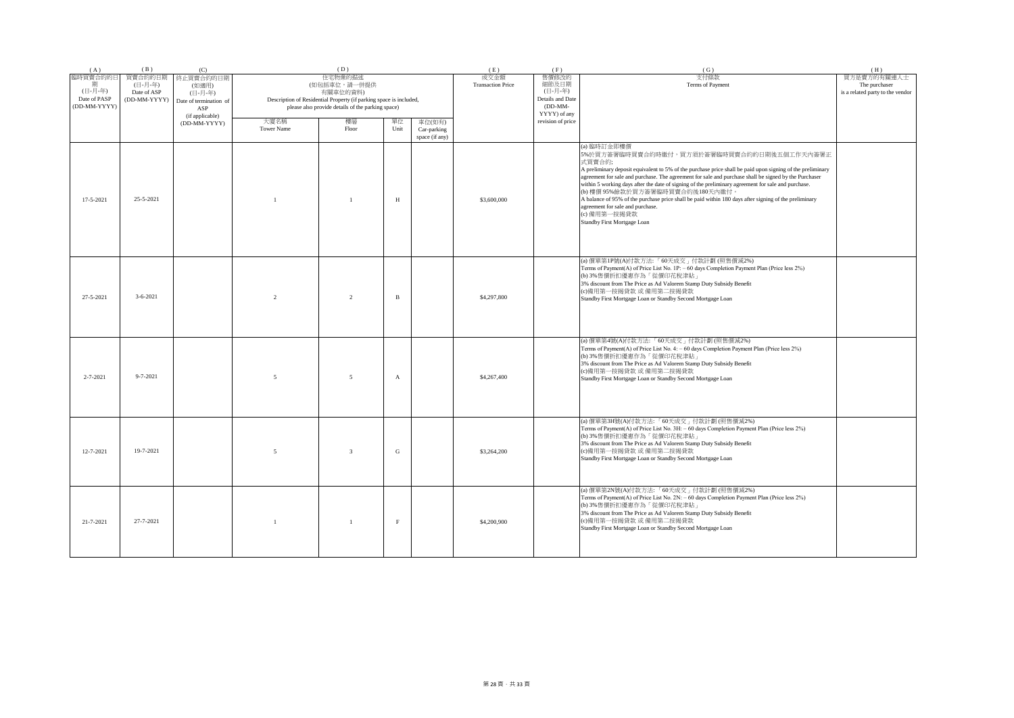| (A)                                                      | (B)                                               | (C)                                                            |                           | (D)                                                                                                                                                            |              |                                         | (E)                              | (F)                                                                        | (G)                                                                                                                                                                                                                                                                                                                                                                                                                                                                                                                                                                                                                               | (H)                                                              |
|----------------------------------------------------------|---------------------------------------------------|----------------------------------------------------------------|---------------------------|----------------------------------------------------------------------------------------------------------------------------------------------------------------|--------------|-----------------------------------------|----------------------------------|----------------------------------------------------------------------------|-----------------------------------------------------------------------------------------------------------------------------------------------------------------------------------------------------------------------------------------------------------------------------------------------------------------------------------------------------------------------------------------------------------------------------------------------------------------------------------------------------------------------------------------------------------------------------------------------------------------------------------|------------------------------------------------------------------|
| 臨時買賣合約的日<br>期<br>(日-月-年)<br>Date of PASP<br>(DD-MM-YYYY) | 買賣合約的日期<br>(日-月-年)<br>Date of ASP<br>(DD-MM-YYYY) | 終止買賣合約的日期<br>(如適用)<br>(日-月-年)<br>Date of termination of<br>ASP |                           | 住宅物業的描述<br>(如包括車位,請一併提供<br>有關車位的資料)<br>Description of Residential Property (if parking space is included,<br>please also provide details of the parking space) |              |                                         | 成交金額<br><b>Transaction Price</b> | 售價修改的<br>細節及日期<br>(日-月-年)<br>Details and Date<br>$(DD-MM-$<br>YYYY) of any | 支付條款<br>Terms of Payment                                                                                                                                                                                                                                                                                                                                                                                                                                                                                                                                                                                                          | 買方是賣方的有關連人士<br>The purchaser<br>is a related party to the vendor |
|                                                          |                                                   | (if applicable)<br>(DD-MM-YYYY)                                | 大廈名稱<br><b>Tower Name</b> | 樓層<br>Floor                                                                                                                                                    | 單位<br>Unit   | 車位(如有)<br>Car-parking<br>space (if any) |                                  | revision of price                                                          |                                                                                                                                                                                                                                                                                                                                                                                                                                                                                                                                                                                                                                   |                                                                  |
| $17 - 5 - 2021$                                          | 25-5-2021                                         |                                                                |                           | $\mathbf{1}$                                                                                                                                                   | H            |                                         | \$3,600,000                      |                                                                            | (a) 臨時訂金即樓價<br>5%於買方簽署臨時買賣合約時繳付,買方須於簽署臨時買賣合約的日期後五個工作天內簽署正<br>式買賣合約;<br>A preliminary deposit equivalent to 5% of the purchase price shall be paid upon signing of the preliminary<br>agreement for sale and purchase. The agreement for sale and purchase shall be signed by the Purchaser<br>within 5 working days after the date of signing of the preliminary agreement for sale and purchase.<br>(b) 樓價 95%餘款於買方簽署臨時買賣合約後180天內繳付。<br>A balance of 95% of the purchase price shall be paid within 180 days after signing of the preliminary<br>agreement for sale and purchase.<br>(c) 備用第一按揭貸款<br>Standby First Mortgage Loan |                                                                  |
| 27-5-2021                                                | $3 - 6 - 2021$                                    |                                                                | $\overline{2}$            | $\overline{2}$                                                                                                                                                 | B            |                                         | \$4,297,800                      |                                                                            | (a) 價單第1P號(A)付款方法: 「60天成交」付款計劃 (照售價減2%)<br>Terms of Payment(A) of Price List No. 1P: - 60 days Completion Payment Plan (Price less 2%)<br>(b) 3%售價折扣優惠作為「從價印花稅津貼」<br>3% discount from The Price as Ad Valorem Stamp Duty Subsidy Benefit<br>(c)備用第一按揭貸款 或 備用第二按揭貸款<br>Standby First Mortgage Loan or Standby Second Mortgage Loan                                                                                                                                                                                                                                                                                                 |                                                                  |
| $2 - 7 - 2021$                                           | $9 - 7 - 2021$                                    |                                                                | $\overline{\phantom{0}}$  | 5                                                                                                                                                              | $\mathbf{A}$ |                                         | \$4,267,400                      |                                                                            | (a) 價單第4號(A)付款方法:「60天成交」付款計劃(照售價減2%)<br>Terms of Payment(A) of Price List No. 4: - 60 days Completion Payment Plan (Price less 2%)<br>(b) 3%售價折扣優惠作為「從價印花稅津貼」<br>3% discount from The Price as Ad Valorem Stamp Duty Subsidy Benefit<br>(c)備用第一按揭貸款 或 備用第二按揭貸款<br>Standby First Mortgage Loan or Standby Second Mortgage Loan                                                                                                                                                                                                                                                                                                     |                                                                  |
| $12 - 7 - 2021$                                          | 19-7-2021                                         |                                                                | $\overline{5}$            | $\overline{3}$                                                                                                                                                 | ${\rm G}$    |                                         | \$3,264,200                      |                                                                            | (a) 價單第3H號(A)付款方法:「60天成交」付款計劃(照售價減2%)<br>Terms of Payment(A) of Price List No. 3H: - 60 days Completion Payment Plan (Price less 2%)<br>(b) 3%售價折扣優惠作為「從價印花稅津貼」<br>3% discount from The Price as Ad Valorem Stamp Duty Subsidy Benefit<br>(c)備用第一按揭貸款 或 備用第二按揭貸款<br>Standby First Mortgage Loan or Standby Second Mortgage Loan                                                                                                                                                                                                                                                                                                   |                                                                  |
| 21-7-2021                                                | 27-7-2021                                         |                                                                | $\overline{1}$            | $\overline{1}$                                                                                                                                                 | $\mathbf{F}$ |                                         | \$4,200,900                      |                                                                            | (a) 價單第2N號(A)付款方法: 「60天成交」付款計劃 (照售價減2%)<br>Terms of Payment(A) of Price List No. 2N: - 60 days Completion Payment Plan (Price less 2%)<br>(b) 3%售價折扣優惠作為「從價印花稅津貼」<br>3% discount from The Price as Ad Valorem Stamp Duty Subsidy Benefit<br>(c)備用第一按揭貸款 或 備用第二按揭貸款<br>Standby First Mortgage Loan or Standby Second Mortgage Loan                                                                                                                                                                                                                                                                                                 |                                                                  |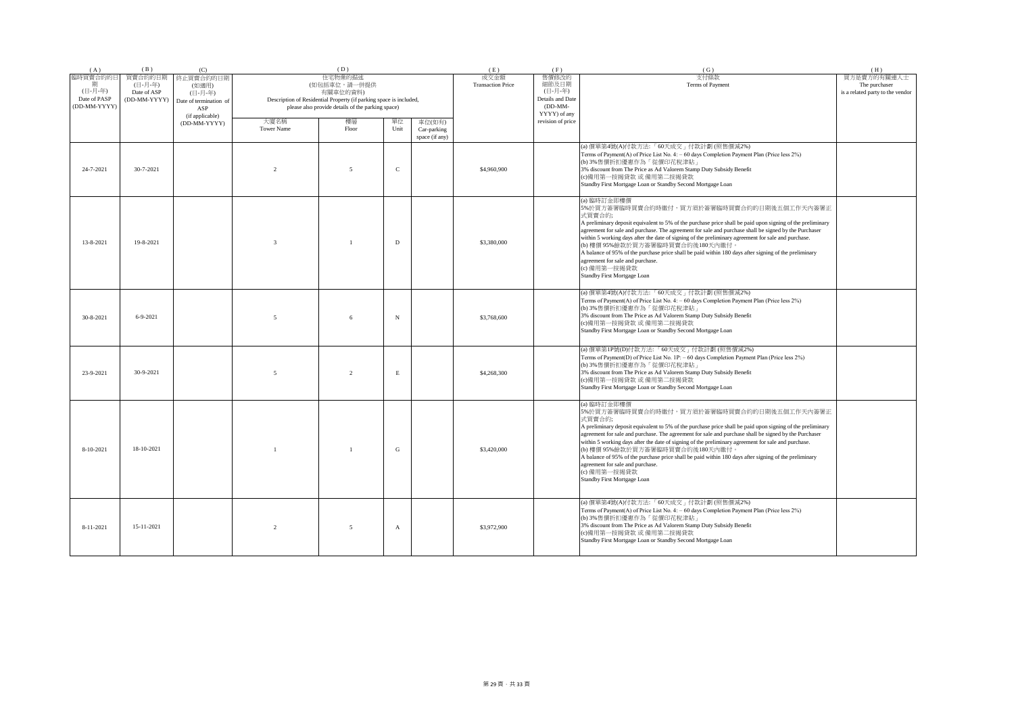| (A)             | (B)                    | (C)                           |                          | (D)                                                                            |               |                | (E)                      | (F)               | (G)                                                                                                                                                                                                                                                                                                                                                                                                                                                                                                                                                                                                                               | (H)                              |
|-----------------|------------------------|-------------------------------|--------------------------|--------------------------------------------------------------------------------|---------------|----------------|--------------------------|-------------------|-----------------------------------------------------------------------------------------------------------------------------------------------------------------------------------------------------------------------------------------------------------------------------------------------------------------------------------------------------------------------------------------------------------------------------------------------------------------------------------------------------------------------------------------------------------------------------------------------------------------------------------|----------------------------------|
| 臨時買賣合約的日        | 買賣合約的日期                | 終止買賣合約的日期                     |                          | 住宅物業的描述                                                                        |               |                | 成交金額                     | 售價修改的             | 支付條款                                                                                                                                                                                                                                                                                                                                                                                                                                                                                                                                                                                                                              | 買方是賣方的有關連人士                      |
| (日-月-年)         | (日-月-年)<br>Date of ASP | (如適用)                         |                          | (如包括車位,請一併提供                                                                   |               |                | <b>Transaction Price</b> | 細節及日期<br>(日-月-年)  | Terms of Payment                                                                                                                                                                                                                                                                                                                                                                                                                                                                                                                                                                                                                  | The purchaser                    |
| Date of PASP    | (DD-MM-YYYY)           | (日-月-年)                       |                          | 有關車位的資料)<br>Description of Residential Property (if parking space is included, |               |                |                          | Details and Date  |                                                                                                                                                                                                                                                                                                                                                                                                                                                                                                                                                                                                                                   | is a related party to the vendor |
| (DD-MM-YYYY)    |                        | Date of termination of<br>ASP |                          | please also provide details of the parking space)                              |               |                |                          | $(DD-MM-$         |                                                                                                                                                                                                                                                                                                                                                                                                                                                                                                                                                                                                                                   |                                  |
|                 |                        | (if applicable)               |                          |                                                                                |               |                |                          | YYYY) of any      |                                                                                                                                                                                                                                                                                                                                                                                                                                                                                                                                                                                                                                   |                                  |
|                 |                        | (DD-MM-YYYY)                  | 大廈名稱                     | 樓層                                                                             | 單位            | 車位(如有)         |                          | revision of price |                                                                                                                                                                                                                                                                                                                                                                                                                                                                                                                                                                                                                                   |                                  |
|                 |                        |                               | <b>Tower Name</b>        | Floor                                                                          | Unit          | Car-parking    |                          |                   |                                                                                                                                                                                                                                                                                                                                                                                                                                                                                                                                                                                                                                   |                                  |
|                 |                        |                               |                          |                                                                                |               | space (if any) |                          |                   |                                                                                                                                                                                                                                                                                                                                                                                                                                                                                                                                                                                                                                   |                                  |
| 24-7-2021       | 30-7-2021              |                               | $\mathfrak{D}$           | $\overline{5}$                                                                 | $\mathcal{C}$ |                | \$4,960,900              |                   | (a) 價單第4號(A)付款方法: 「60天成交」付款計劃 (照售價減2%)<br>Terms of Payment(A) of Price List No. 4: - 60 days Completion Payment Plan (Price less 2%)<br>(b) 3%售價折扣優惠作為「從價印花稅津貼」<br>3% discount from The Price as Ad Valorem Stamp Duty Subsidy Benefit<br>(c)備用第一按揭貸款 或 備用第二按揭貸款<br>Standby First Mortgage Loan or Standby Second Mortgage Loan                                                                                                                                                                                                                                                                                                   |                                  |
| $13 - 8 - 2021$ | 19-8-2021              |                               | $\overline{\mathbf{3}}$  |                                                                                | D             |                | \$3,380,000              |                   | (a) 臨時訂金即樓價<br>5%於買方簽署臨時買賣合約時繳付,買方須於簽署臨時買賣合約的日期後五個工作天內簽署正<br>式買賣合約;<br>A preliminary deposit equivalent to 5% of the purchase price shall be paid upon signing of the preliminary<br>agreement for sale and purchase. The agreement for sale and purchase shall be signed by the Purchaser<br>within 5 working days after the date of signing of the preliminary agreement for sale and purchase.<br>(b) 樓價 95%餘款於買方簽署臨時買賣合約後180天內繳付<br>A balance of 95% of the purchase price shall be paid within 180 days after signing of the preliminary<br>agreement for sale and purchase.<br>(c) 備用第一按揭貸款<br>Standby First Mortgage Loan  |                                  |
| $30 - 8 - 2021$ | $6 - 9 - 2021$         |                               | 5                        |                                                                                | N             |                | \$3,768,600              |                   | (a) 價單第4號(A)付款方法:「60天成交」付款計劃 (照售價減2%)<br>Terms of Payment(A) of Price List No. 4: - 60 days Completion Payment Plan (Price less 2%)<br>(b) 3%售價折扣優惠作為「從價印花稅津貼」<br>3% discount from The Price as Ad Valorem Stamp Duty Subsidy Benefit<br>(c)備用第一按揭貸款 或 備用第二按揭貸款<br>Standby First Mortgage Loan or Standby Second Mortgage Loan                                                                                                                                                                                                                                                                                                    |                                  |
| 23-9-2021       | 30-9-2021              |                               | $\overline{\phantom{0}}$ | $\mathfrak{D}$                                                                 | E             |                | \$4,268,300              |                   | (a) 價單第1P號(D)付款方法: 「60天成交」付款計劃 (照售價減2%)<br>Terms of Payment(D) of Price List No. 1P: - 60 days Completion Payment Plan (Price less 2%)<br>(b) 3%售價折扣優惠作為「從價印花稅津貼」<br>3% discount from The Price as Ad Valorem Stamp Duty Subsidy Benefit<br>(c)備用第一按揭貸款 或 備用第二按揭貸款<br>Standby First Mortgage Loan or Standby Second Mortgage Loan                                                                                                                                                                                                                                                                                                 |                                  |
| 8-10-2021       | 18-10-2021             |                               |                          |                                                                                | G             |                | \$3,420,000              |                   | (a) 臨時訂金即樓價<br>5%於買方簽署臨時買賣合約時繳付,買方須於簽署臨時買賣合約的日期後五個工作天內簽署正<br>式買賣合約;<br>A preliminary deposit equivalent to 5% of the purchase price shall be paid upon signing of the preliminary<br>agreement for sale and purchase. The agreement for sale and purchase shall be signed by the Purchaser<br>within 5 working days after the date of signing of the preliminary agreement for sale and purchase.<br>(b) 樓價 95%餘款於買方簽署臨時買賣合約後180天內繳付。<br>A balance of 95% of the purchase price shall be paid within 180 days after signing of the preliminary<br>agreement for sale and purchase.<br>(c) 備用第一按揭貸款<br>Standby First Mortgage Loan |                                  |
| $8 - 11 - 2021$ | 15-11-2021             |                               | $\mathfrak{D}$           | $\overline{5}$                                                                 | $\mathbf{A}$  |                | \$3,972,900              |                   | (a) 價單第4號(A)付款方法: 「60天成交」付款計劃 (照售價減2%)<br>Terms of Payment(A) of Price List No. 4: - 60 days Completion Payment Plan (Price less 2%)<br>(b) 3%售價折扣優惠作為「從價印花稅津貼」<br>3% discount from The Price as Ad Valorem Stamp Duty Subsidy Benefit<br>(c)備用第一按揭貸款 或 備用第二按揭貸款<br>Standby First Mortgage Loan or Standby Second Mortgage Loan                                                                                                                                                                                                                                                                                                   |                                  |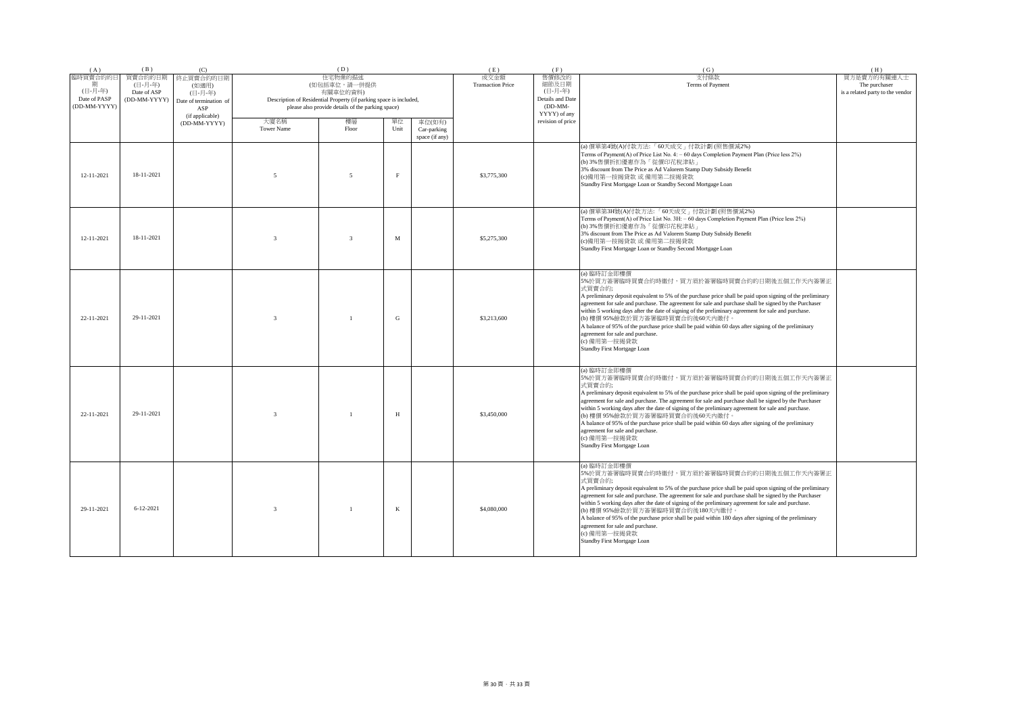| (A)                                                      | (B)                                               | (C)                                                            |                           | (D)                                                                                                                                                            |             |                                         | (E)                              | (F)                                                      | (G)                                                                                                                                                                                                                                                                                                                                                                                                                                                                                                                                                                                                                               | (H)                                                              |
|----------------------------------------------------------|---------------------------------------------------|----------------------------------------------------------------|---------------------------|----------------------------------------------------------------------------------------------------------------------------------------------------------------|-------------|-----------------------------------------|----------------------------------|----------------------------------------------------------|-----------------------------------------------------------------------------------------------------------------------------------------------------------------------------------------------------------------------------------------------------------------------------------------------------------------------------------------------------------------------------------------------------------------------------------------------------------------------------------------------------------------------------------------------------------------------------------------------------------------------------------|------------------------------------------------------------------|
| 臨時買賣合約的日<br>期<br>(日-月-年)<br>Date of PASP<br>(DD-MM-YYYY) | 買賣合約的日期<br>(日-月-年)<br>Date of ASP<br>(DD-MM-YYYY) | 終止買賣合約的日期<br>(如適用)<br>(日-月-年)<br>Date of termination of<br>ASP |                           | 住宅物業的描述<br>(如包括車位,請一併提供<br>有關車位的資料)<br>Description of Residential Property (if parking space is included,<br>please also provide details of the parking space) |             |                                         | 成交金額<br><b>Transaction Price</b> | 售價修改的<br>細節及日期<br>(日-月-年)<br>Details and Date<br>(DD-MM- | 支付條款<br>Terms of Payment                                                                                                                                                                                                                                                                                                                                                                                                                                                                                                                                                                                                          | 買方是賣方的有關連人士<br>The purchaser<br>is a related party to the vendor |
|                                                          |                                                   | (if applicable)<br>(DD-MM-YYYY)                                | 大廈名稱<br><b>Tower Name</b> | 樓層<br>Floor                                                                                                                                                    | 單位<br>Unit  | 車位(如有)<br>Car-parking<br>space (if any) |                                  | YYYY) of any<br>revision of price                        |                                                                                                                                                                                                                                                                                                                                                                                                                                                                                                                                                                                                                                   |                                                                  |
| 12-11-2021                                               | 18-11-2021                                        |                                                                | $\sim$                    | $\overline{5}$                                                                                                                                                 | $_{\rm F}$  |                                         | \$3,775,300                      |                                                          | (a) 價單第4號(A)付款方法:「60天成交」付款計劃 (照售價減2%)<br>Terms of Payment(A) of Price List No. 4: - 60 days Completion Payment Plan (Price less 2%)<br>(b) 3%售價折扣優惠作為「從價印花稅津貼」<br>3% discount from The Price as Ad Valorem Stamp Duty Subsidy Benefit<br>(c)備用第一按揭貸款 或 備用第二按揭貸款<br>Standby First Mortgage Loan or Standby Second Mortgage Loan                                                                                                                                                                                                                                                                                                    |                                                                  |
| 12-11-2021                                               | 18-11-2021                                        |                                                                | $\mathbf{3}$              | $\overline{3}$                                                                                                                                                 | $\mathbf M$ |                                         | \$5,275,300                      |                                                          | (a) 價單第3H號(A)付款方法:「60天成交」付款計劃(照售價減2%)<br>Terms of Payment(A) of Price List No. 3H: - 60 days Completion Payment Plan (Price less 2%)<br>(b) 3%售價折扣優惠作為「從價印花稅津貼」<br>3% discount from The Price as Ad Valorem Stamp Duty Subsidy Benefit<br>(c)備用第一按揭貸款 或 備用第二按揭貸款<br>Standby First Mortgage Loan or Standby Second Mortgage Loan                                                                                                                                                                                                                                                                                                   |                                                                  |
| 22-11-2021                                               | 29-11-2021                                        |                                                                | $\overline{3}$            | $\mathbf{1}$                                                                                                                                                   | G           |                                         | \$3,213,600                      |                                                          | (a) 臨時訂金即樓價<br>5%於買方簽署臨時買賣合約時繳付,買方須於簽署臨時買賣合約的日期後五個工作天內簽署正<br>式買賣合約;<br>A preliminary deposit equivalent to 5% of the purchase price shall be paid upon signing of the preliminary<br>agreement for sale and purchase. The agreement for sale and purchase shall be signed by the Purchaser<br>within 5 working days after the date of signing of the preliminary agreement for sale and purchase.<br>(b) 樓價 95%餘款於買方簽署臨時買賣合約後60天內繳付。<br>A balance of 95% of the purchase price shall be paid within 60 days after signing of the preliminary<br>agreement for sale and purchase.<br>(c) 備用第一按揭貸款<br>Standby First Mortgage Loan   |                                                                  |
| 22-11-2021                                               | 29-11-2021                                        |                                                                | $\mathbf{3}$              | $\overline{1}$                                                                                                                                                 | H           |                                         | \$3,450,000                      |                                                          | (a) 臨時訂金即樓價<br>5%於買方簽署臨時買賣合約時繳付,買方須於簽署臨時買賣合約的日期後五個工作天內簽署正<br>式買賣合約;<br>A preliminary deposit equivalent to 5% of the purchase price shall be paid upon signing of the preliminary<br>agreement for sale and purchase. The agreement for sale and purchase shall be signed by the Purchaser<br>within 5 working days after the date of signing of the preliminary agreement for sale and purchase.<br>(b) 樓價 95%餘款於買方簽署臨時買賣合約後60天內繳付。<br>A balance of 95% of the purchase price shall be paid within 60 days after signing of the preliminary<br>agreement for sale and purchase.<br>(c) 備用第一按揭貸款<br>Standby First Mortgage Loan   |                                                                  |
| 29-11-2021                                               | $6 - 12 - 2021$                                   |                                                                | $\mathbf{3}$              |                                                                                                                                                                | $\bf K$     |                                         | \$4,080,000                      |                                                          | (a) 臨時訂金即樓價<br>5%於買方簽署臨時買賣合約時繳付,買方須於簽署臨時買賣合約的日期後五個工作天內簽署正<br>式買賣合約;<br>A preliminary deposit equivalent to 5% of the purchase price shall be paid upon signing of the preliminary<br>agreement for sale and purchase. The agreement for sale and purchase shall be signed by the Purchaser<br>within 5 working days after the date of signing of the preliminary agreement for sale and purchase.<br>(b) 樓價 95%餘款於買方簽署臨時買賣合約後180天內繳付。<br>A balance of 95% of the purchase price shall be paid within 180 days after signing of the preliminary<br>agreement for sale and purchase.<br>(c) 備用第一按揭貸款<br>Standby First Mortgage Loan |                                                                  |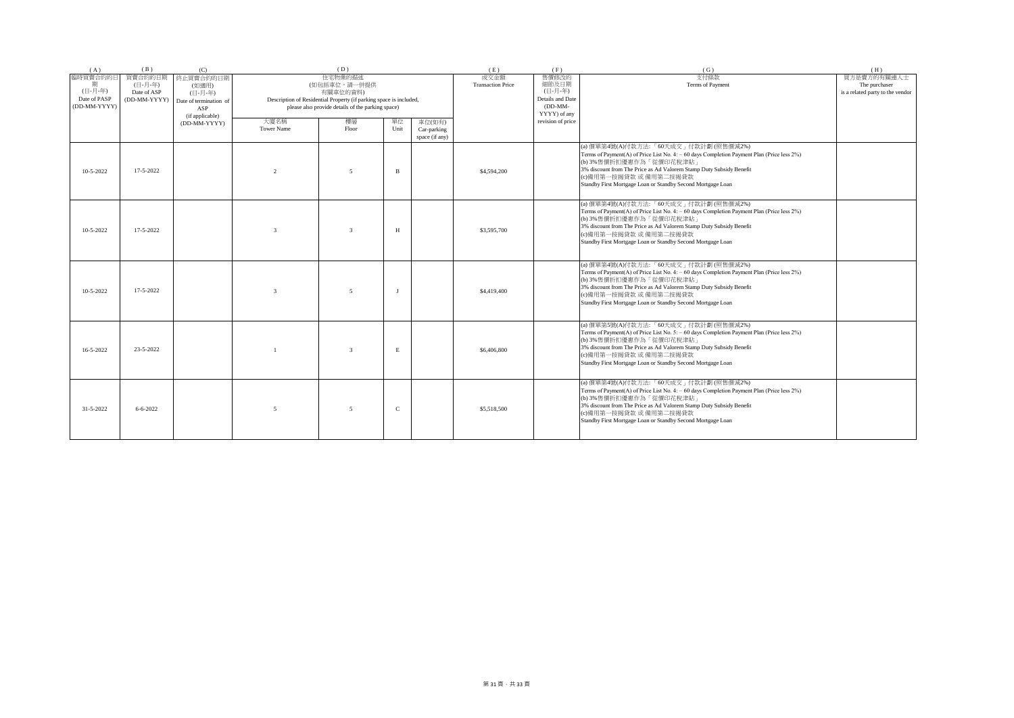| (A)                                                 | (B)                                               | (C)                                                                               |                           | (D)                                                                                                                                                            |              |                                         | (E)                              | (F)                                                                        | (G)                                                                                                                                                                                                                                                                                                                            | (H)                                                              |
|-----------------------------------------------------|---------------------------------------------------|-----------------------------------------------------------------------------------|---------------------------|----------------------------------------------------------------------------------------------------------------------------------------------------------------|--------------|-----------------------------------------|----------------------------------|----------------------------------------------------------------------------|--------------------------------------------------------------------------------------------------------------------------------------------------------------------------------------------------------------------------------------------------------------------------------------------------------------------------------|------------------------------------------------------------------|
| 臨時買賣合約的日<br>(日-月-年)<br>Date of PASP<br>(DD-MM-YYYY) | 買賣合約的日期<br>(日-月-年)<br>Date of ASP<br>(DD-MM-YYYY) | 終止買賣合約的日期<br>(如適用)<br>(日-月-年)<br>Date of termination of<br>ASP<br>(if applicable) |                           | 住宅物業的描述<br>(如包括車位,請一併提供<br>有關車位的資料)<br>Description of Residential Property (if parking space is included,<br>please also provide details of the parking space) |              |                                         | 成交金額<br><b>Transaction Price</b> | 售價修改的<br>細節及日期<br>(日-月-年)<br>Details and Date<br>$(DD-MM-$<br>YYYY) of any | 支付條款<br>Terms of Payment                                                                                                                                                                                                                                                                                                       | 買方是賣方的有關連人士<br>The purchaser<br>is a related party to the vendor |
|                                                     |                                                   | (DD-MM-YYYY)                                                                      | 大廈名稱<br><b>Tower Name</b> | 樓層<br>Floor                                                                                                                                                    | 單位<br>Unit   | 車位(如有)<br>Car-parking<br>space (if any) |                                  | revision of price                                                          |                                                                                                                                                                                                                                                                                                                                |                                                                  |
| $10 - 5 - 2022$                                     | 17-5-2022                                         |                                                                                   | $\mathfrak{D}$            | $\sim$                                                                                                                                                         | B            |                                         | \$4,594,200                      |                                                                            | (a) 價單第4號(A)付款方法:「60天成交」付款計劃 (照售價減2%)<br>Terms of Payment(A) of Price List No. 4: - 60 days Completion Payment Plan (Price less 2%)<br>(b) 3%售價折扣優惠作為「從價印花稅津貼」<br>3% discount from The Price as Ad Valorem Stamp Duty Subsidy Benefit<br>(c)備用第一按揭貸款 或 備用第二按揭貸款<br>Standby First Mortgage Loan or Standby Second Mortgage Loan |                                                                  |
| $10 - 5 - 2022$                                     | 17-5-2022                                         |                                                                                   |                           | $\mathbf{3}$                                                                                                                                                   | H            |                                         | \$3,595,700                      |                                                                            | (a) 價單第4號(A)付款方法:「60天成交」付款計劃 (照售價減2%)<br>Terms of Payment(A) of Price List No. 4: - 60 days Completion Payment Plan (Price less 2%)<br>(b) 3%售價折扣優惠作為「從價印花稅津貼」<br>3% discount from The Price as Ad Valorem Stamp Duty Subsidy Benefit<br>(c)備用第一按揭貸款 或 備用第二按揭貸款<br>Standby First Mortgage Loan or Standby Second Mortgage Loan |                                                                  |
| 10-5-2022                                           | 17-5-2022                                         |                                                                                   | $\mathcal{R}$             | $\sim$                                                                                                                                                         |              |                                         | \$4,419,400                      |                                                                            | (a) 價單第4號(A)付款方法:「60天成交」付款計劃(照售價減2%)<br>Terms of Payment(A) of Price List No. 4: - 60 days Completion Payment Plan (Price less 2%)<br>(b) 3%售價折扣優惠作為「從價印花稅津貼」<br>3% discount from The Price as Ad Valorem Stamp Duty Subsidy Benefit<br>(c)備用第一按揭貸款 或 備用第二按揭貸款<br>Standby First Mortgage Loan or Standby Second Mortgage Loan  |                                                                  |
| 16-5-2022                                           | 23-5-2022                                         |                                                                                   |                           | $\mathbf{3}$                                                                                                                                                   | E            |                                         | \$6,406,800                      |                                                                            | (a) 價單第5號(A)付款方法:「60天成交」付款計劃(照售價減2%)<br>Terms of Payment(A) of Price List No. 5: - 60 days Completion Payment Plan (Price less 2%)<br>(b) 3%售價折扣優惠作為「從價印花稅津貼」<br>3% discount from The Price as Ad Valorem Stamp Duty Subsidy Benefit<br>(c)備用第一按揭貸款 或 備用第二按揭貸款<br>Standby First Mortgage Loan or Standby Second Mortgage Loan  |                                                                  |
| 31-5-2022                                           | $6 - 6 - 2022$                                    |                                                                                   | 5                         | 5                                                                                                                                                              | $\mathbf{C}$ |                                         | \$5,518,500                      |                                                                            | (a) 價單第4號(A)付款方法:「60天成交」付款計劃 (照售價減2%)<br>Terms of Payment(A) of Price List No. 4: - 60 days Completion Payment Plan (Price less 2%)<br>(b) 3%售價折扣優惠作為「從價印花稅津貼」<br>3% discount from The Price as Ad Valorem Stamp Duty Subsidy Benefit<br>(c)備用第一按揭貸款 或 備用第二按揭貸款<br>Standby First Mortgage Loan or Standby Second Mortgage Loan |                                                                  |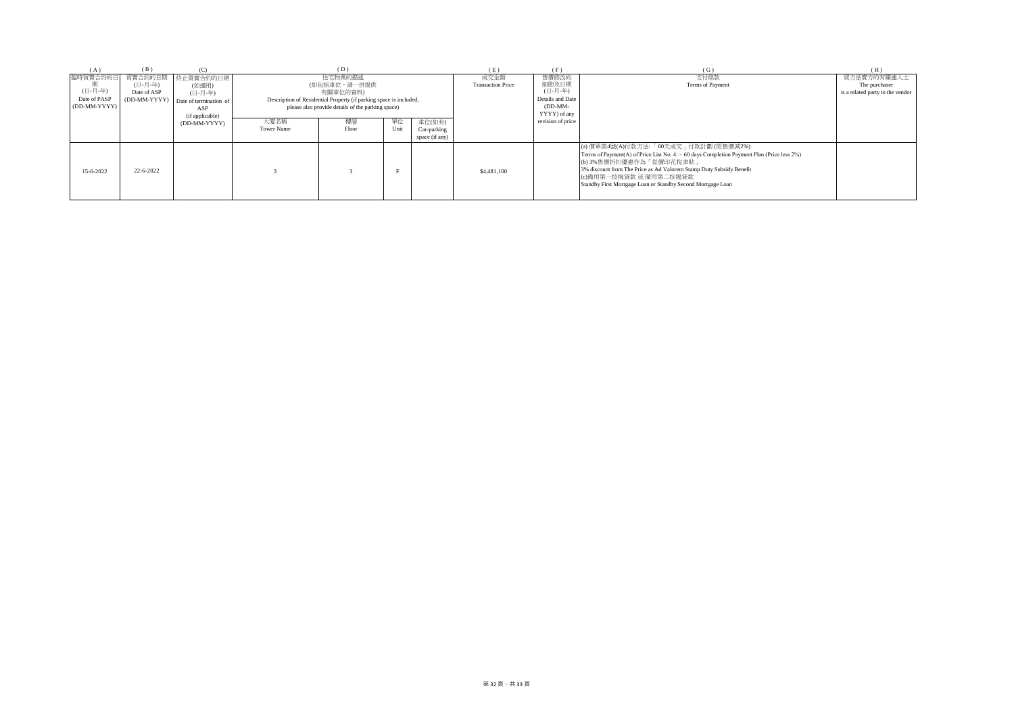| (H)                              |
|----------------------------------|
| 買方是賣方的有關連人士                      |
| The purchaser                    |
| is a related party to the vendor |
|                                  |
|                                  |
|                                  |
|                                  |
|                                  |
|                                  |
|                                  |
|                                  |
|                                  |
|                                  |
|                                  |
|                                  |
|                                  |
|                                  |